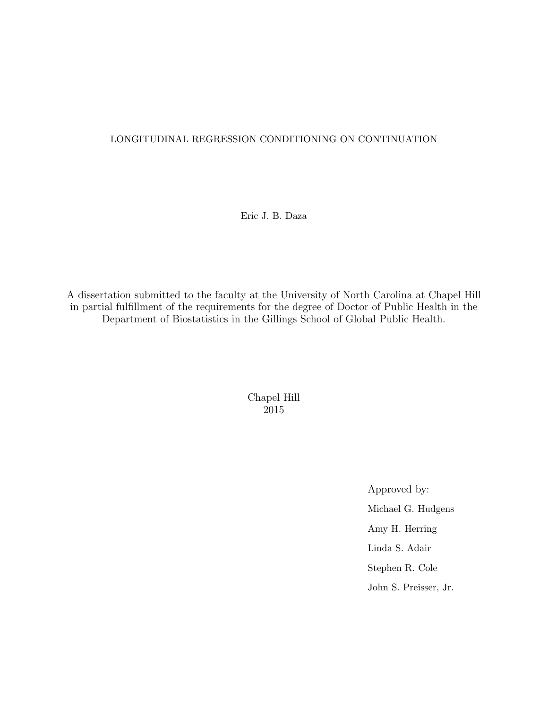# LONGITUDINAL REGRESSION CONDITIONING ON CONTINUATION

Eric J. B. Daza

A dissertation submitted to the faculty at the University of North Carolina at Chapel Hill in partial fulfillment of the requirements for the degree of Doctor of Public Health in the Department of Biostatistics in the Gillings School of Global Public Health.

> Chapel Hill 2015

> > Approved by: Michael G. Hudgens Amy H. Herring Linda S. Adair Stephen R. Cole John S. Preisser, Jr.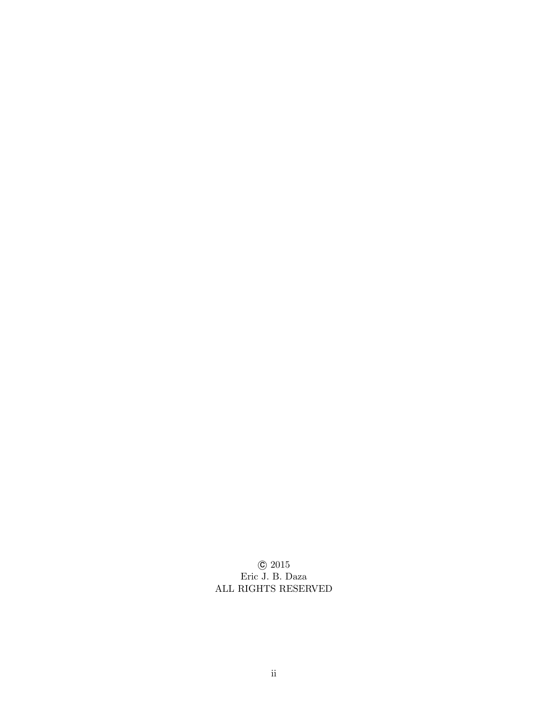$\copyright$  2015 Eric J. B. Daza ALL RIGHTS RESERVED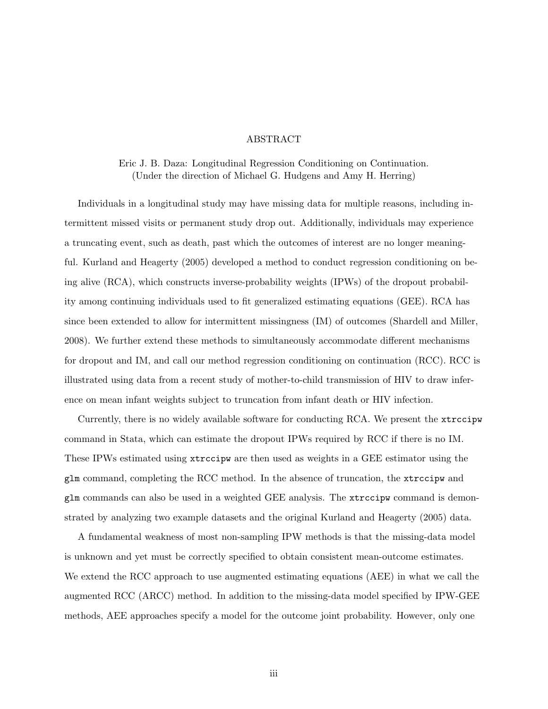# ABSTRACT

Eric J. B. Daza: Longitudinal Regression Conditioning on Continuation. (Under the direction of Michael G. Hudgens and Amy H. Herring)

Individuals in a longitudinal study may have missing data for multiple reasons, including intermittent missed visits or permanent study drop out. Additionally, individuals may experience a truncating event, such as death, past which the outcomes of interest are no longer meaningful. Kurland and Heagerty (2005) developed a method to conduct regression conditioning on being alive (RCA), which constructs inverse-probability weights (IPWs) of the dropout probability among continuing individuals used to fit generalized estimating equations (GEE). RCA has since been extended to allow for intermittent missingness (IM) of outcomes (Shardell and Miller, 2008). We further extend these methods to simultaneously accommodate different mechanisms for dropout and IM, and call our method regression conditioning on continuation (RCC). RCC is illustrated using data from a recent study of mother-to-child transmission of HIV to draw inference on mean infant weights subject to truncation from infant death or HIV infection.

Currently, there is no widely available software for conducting RCA. We present the xtrccipw command in Stata, which can estimate the dropout IPWs required by RCC if there is no IM. These IPWs estimated using xtrccipw are then used as weights in a GEE estimator using the glm command, completing the RCC method. In the absence of truncation, the xtrccipw and glm commands can also be used in a weighted GEE analysis. The xtrccipw command is demonstrated by analyzing two example datasets and the original Kurland and Heagerty (2005) data.

A fundamental weakness of most non-sampling IPW methods is that the missing-data model is unknown and yet must be correctly specified to obtain consistent mean-outcome estimates. We extend the RCC approach to use augmented estimating equations (AEE) in what we call the augmented RCC (ARCC) method. In addition to the missing-data model specified by IPW-GEE methods, AEE approaches specify a model for the outcome joint probability. However, only one

iii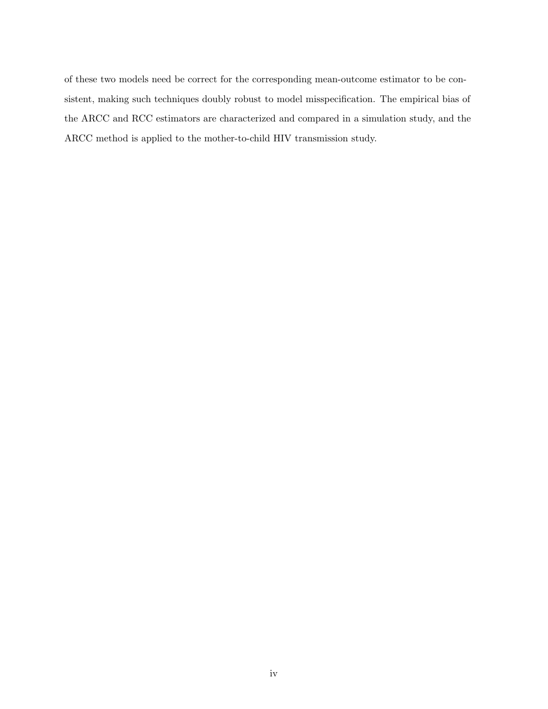of these two models need be correct for the corresponding mean-outcome estimator to be consistent, making such techniques doubly robust to model misspecification. The empirical bias of the ARCC and RCC estimators are characterized and compared in a simulation study, and the ARCC method is applied to the mother-to-child HIV transmission study.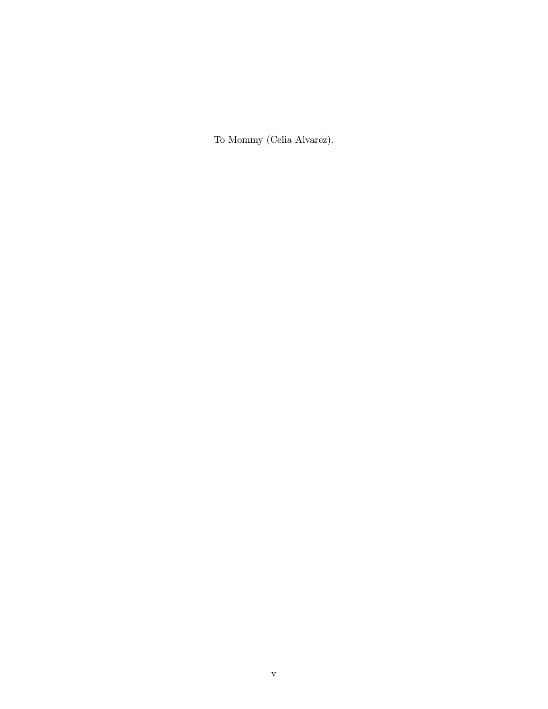To Mommy (Celia Alvarez).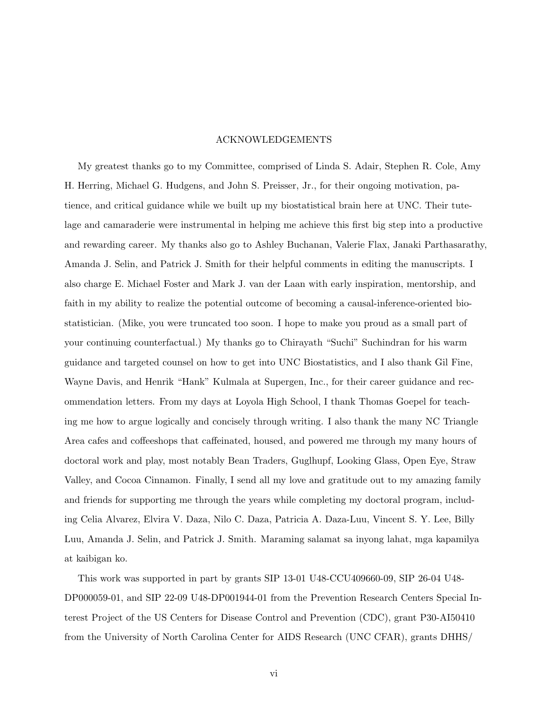# ACKNOWLEDGEMENTS

My greatest thanks go to my Committee, comprised of Linda S. Adair, Stephen R. Cole, Amy H. Herring, Michael G. Hudgens, and John S. Preisser, Jr., for their ongoing motivation, patience, and critical guidance while we built up my biostatistical brain here at UNC. Their tutelage and camaraderie were instrumental in helping me achieve this first big step into a productive and rewarding career. My thanks also go to Ashley Buchanan, Valerie Flax, Janaki Parthasarathy, Amanda J. Selin, and Patrick J. Smith for their helpful comments in editing the manuscripts. I also charge E. Michael Foster and Mark J. van der Laan with early inspiration, mentorship, and faith in my ability to realize the potential outcome of becoming a causal-inference-oriented biostatistician. (Mike, you were truncated too soon. I hope to make you proud as a small part of your continuing counterfactual.) My thanks go to Chirayath "Suchi" Suchindran for his warm guidance and targeted counsel on how to get into UNC Biostatistics, and I also thank Gil Fine, Wayne Davis, and Henrik "Hank" Kulmala at Supergen, Inc., for their career guidance and recommendation letters. From my days at Loyola High School, I thank Thomas Goepel for teaching me how to argue logically and concisely through writing. I also thank the many NC Triangle Area cafes and coffeeshops that caffeinated, housed, and powered me through my many hours of doctoral work and play, most notably Bean Traders, Guglhupf, Looking Glass, Open Eye, Straw Valley, and Cocoa Cinnamon. Finally, I send all my love and gratitude out to my amazing family and friends for supporting me through the years while completing my doctoral program, including Celia Alvarez, Elvira V. Daza, Nilo C. Daza, Patricia A. Daza-Luu, Vincent S. Y. Lee, Billy Luu, Amanda J. Selin, and Patrick J. Smith. Maraming salamat sa inyong lahat, mga kapamilya at kaibigan ko.

This work was supported in part by grants SIP 13-01 U48-CCU409660-09, SIP 26-04 U48- DP000059-01, and SIP 22-09 U48-DP001944-01 from the Prevention Research Centers Special Interest Project of the US Centers for Disease Control and Prevention (CDC), grant P30-AI50410 from the University of North Carolina Center for AIDS Research (UNC CFAR), grants DHHS/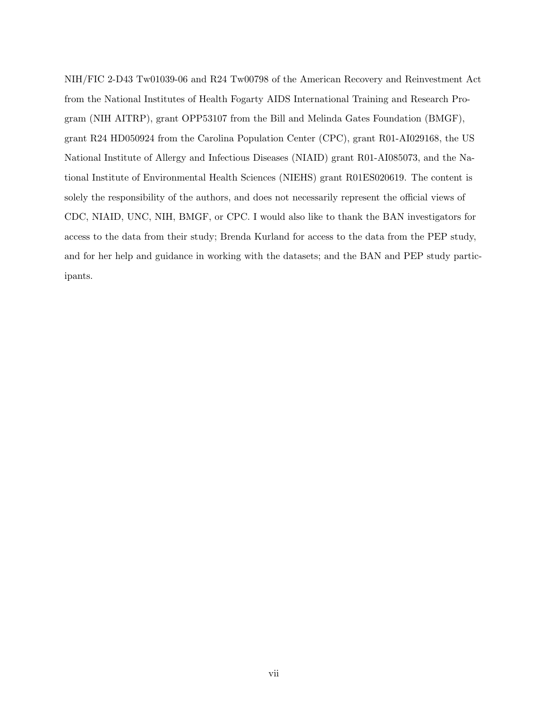NIH/FIC 2-D43 Tw01039-06 and R24 Tw00798 of the American Recovery and Reinvestment Act from the National Institutes of Health Fogarty AIDS International Training and Research Program (NIH AITRP), grant OPP53107 from the Bill and Melinda Gates Foundation (BMGF), grant R24 HD050924 from the Carolina Population Center (CPC), grant R01-AI029168, the US National Institute of Allergy and Infectious Diseases (NIAID) grant R01-AI085073, and the National Institute of Environmental Health Sciences (NIEHS) grant R01ES020619. The content is solely the responsibility of the authors, and does not necessarily represent the official views of CDC, NIAID, UNC, NIH, BMGF, or CPC. I would also like to thank the BAN investigators for access to the data from their study; Brenda Kurland for access to the data from the PEP study, and for her help and guidance in working with the datasets; and the BAN and PEP study participants.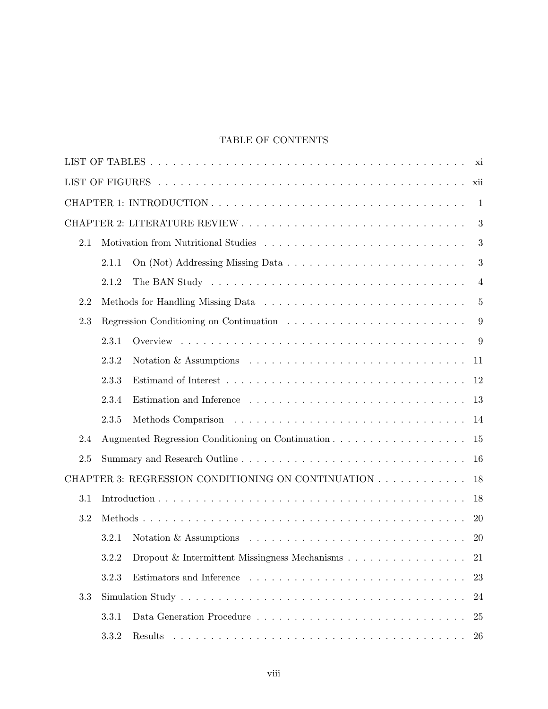# TABLE OF CONTENTS

|     |       |                                                                                                                                                                                                                                                                                                                                                                                                                                                                                                         | xii            |
|-----|-------|---------------------------------------------------------------------------------------------------------------------------------------------------------------------------------------------------------------------------------------------------------------------------------------------------------------------------------------------------------------------------------------------------------------------------------------------------------------------------------------------------------|----------------|
|     |       |                                                                                                                                                                                                                                                                                                                                                                                                                                                                                                         | -1             |
|     |       |                                                                                                                                                                                                                                                                                                                                                                                                                                                                                                         | 3              |
| 2.1 |       |                                                                                                                                                                                                                                                                                                                                                                                                                                                                                                         | 3              |
|     | 2.1.1 |                                                                                                                                                                                                                                                                                                                                                                                                                                                                                                         | 3              |
|     | 2.1.2 |                                                                                                                                                                                                                                                                                                                                                                                                                                                                                                         | $\overline{4}$ |
| 2.2 |       |                                                                                                                                                                                                                                                                                                                                                                                                                                                                                                         | $\overline{5}$ |
| 2.3 |       |                                                                                                                                                                                                                                                                                                                                                                                                                                                                                                         | 9              |
|     | 2.3.1 |                                                                                                                                                                                                                                                                                                                                                                                                                                                                                                         | 9              |
|     | 2.3.2 | Notation & Assumptions $\ldots \ldots \ldots \ldots \ldots \ldots \ldots \ldots \ldots \ldots$                                                                                                                                                                                                                                                                                                                                                                                                          | 11             |
|     | 2.3.3 |                                                                                                                                                                                                                                                                                                                                                                                                                                                                                                         | 12             |
|     | 2.3.4 |                                                                                                                                                                                                                                                                                                                                                                                                                                                                                                         | 13             |
|     | 2.3.5 |                                                                                                                                                                                                                                                                                                                                                                                                                                                                                                         | 14             |
| 2.4 |       |                                                                                                                                                                                                                                                                                                                                                                                                                                                                                                         | 15             |
| 2.5 |       |                                                                                                                                                                                                                                                                                                                                                                                                                                                                                                         | 16             |
|     |       | CHAPTER 3: REGRESSION CONDITIONING ON CONTINUATION                                                                                                                                                                                                                                                                                                                                                                                                                                                      | 18             |
| 3.1 |       |                                                                                                                                                                                                                                                                                                                                                                                                                                                                                                         | 18             |
| 3.2 |       |                                                                                                                                                                                                                                                                                                                                                                                                                                                                                                         | 20             |
|     | 3.2.1 | Notation & Assumptions $\ldots \ldots \ldots \ldots \ldots \ldots \ldots \ldots \ldots \ldots$                                                                                                                                                                                                                                                                                                                                                                                                          | <b>20</b>      |
|     |       | 3.2.2 Dropout & Intermittent Missingness Mechanisms 21                                                                                                                                                                                                                                                                                                                                                                                                                                                  |                |
|     | 3.2.3 |                                                                                                                                                                                                                                                                                                                                                                                                                                                                                                         | 23             |
| 3.3 |       |                                                                                                                                                                                                                                                                                                                                                                                                                                                                                                         | 24             |
|     | 3.3.1 |                                                                                                                                                                                                                                                                                                                                                                                                                                                                                                         | 25             |
|     | 3.3.2 | Results<br>$\mathcal{L}_{\mathcal{A}}(\mathcal{A}) = \mathcal{L}_{\mathcal{A}}(\mathcal{A}) = \mathcal{L}_{\mathcal{A}}(\mathcal{A}) = \mathcal{L}_{\mathcal{A}}(\mathcal{A}) = \mathcal{L}_{\mathcal{A}}(\mathcal{A}) = \mathcal{L}_{\mathcal{A}}(\mathcal{A}) = \mathcal{L}_{\mathcal{A}}(\mathcal{A}) = \mathcal{L}_{\mathcal{A}}(\mathcal{A}) = \mathcal{L}_{\mathcal{A}}(\mathcal{A}) = \mathcal{L}_{\mathcal{A}}(\mathcal{A}) = \mathcal{L}_{\mathcal{A}}(\mathcal{A}) = \mathcal{L}_{\mathcal{A$ | 26             |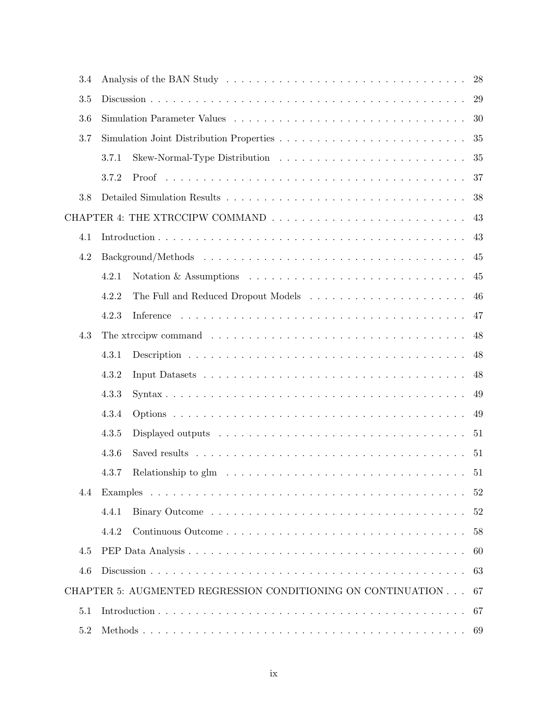| 3.4 |                                                                                                         | 28 |
|-----|---------------------------------------------------------------------------------------------------------|----|
| 3.5 |                                                                                                         | 29 |
| 3.6 |                                                                                                         | 30 |
| 3.7 |                                                                                                         | 35 |
|     | 3.7.1                                                                                                   | 35 |
|     | 3.7.2                                                                                                   | 37 |
| 3.8 |                                                                                                         | 38 |
|     |                                                                                                         | 43 |
| 4.1 |                                                                                                         | 43 |
| 4.2 |                                                                                                         | 45 |
|     | Notation & Assumptions $\ldots \ldots \ldots \ldots \ldots \ldots \ldots \ldots \ldots \ldots$<br>4.2.1 | 45 |
|     | 4.2.2                                                                                                   | 46 |
|     | 4.2.3                                                                                                   | 47 |
| 4.3 |                                                                                                         | 48 |
|     | 4.3.1                                                                                                   | 48 |
|     | 4.3.2                                                                                                   | 48 |
|     | 4.3.3                                                                                                   | 49 |
|     | 4.3.4                                                                                                   | 49 |
|     | 4.3.5                                                                                                   | 51 |
|     | 4.3.6                                                                                                   | 51 |
|     |                                                                                                         | 51 |
| 4.4 |                                                                                                         | 52 |
|     | 4.4.1                                                                                                   | 52 |
|     | 4.4.2                                                                                                   | 58 |
| 4.5 |                                                                                                         | 60 |
| 4.6 |                                                                                                         | 63 |
|     | CHAPTER 5: AUGMENTED REGRESSION CONDITIONING ON CONTINUATION                                            | 67 |
| 5.1 |                                                                                                         | 67 |
| 5.2 |                                                                                                         |    |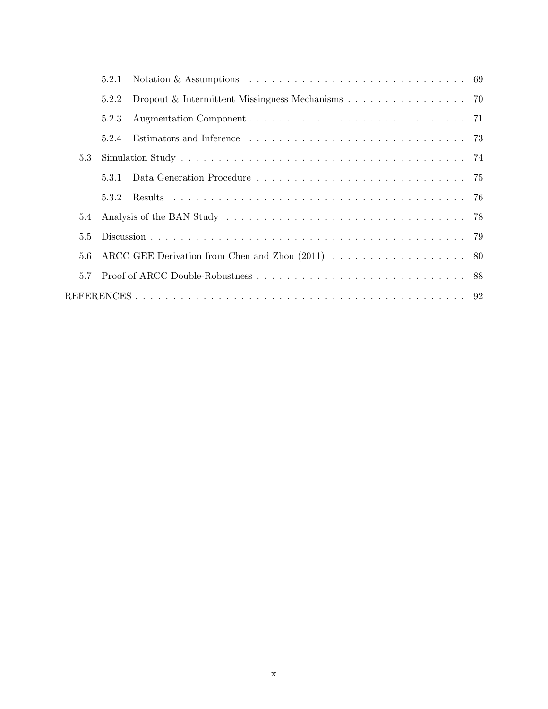|     | 5.2.1 |                                                  |  |
|-----|-------|--------------------------------------------------|--|
|     | 5.2.2 | Dropout & Intermittent Missingness Mechanisms 70 |  |
|     | 5.2.3 |                                                  |  |
|     | 5.2.4 |                                                  |  |
| 5.3 |       |                                                  |  |
|     | 5.3.1 |                                                  |  |
|     | 5.3.2 |                                                  |  |
| 5.4 |       |                                                  |  |
| 5.5 |       |                                                  |  |
| 5.6 |       |                                                  |  |
| 5.7 |       |                                                  |  |
|     |       |                                                  |  |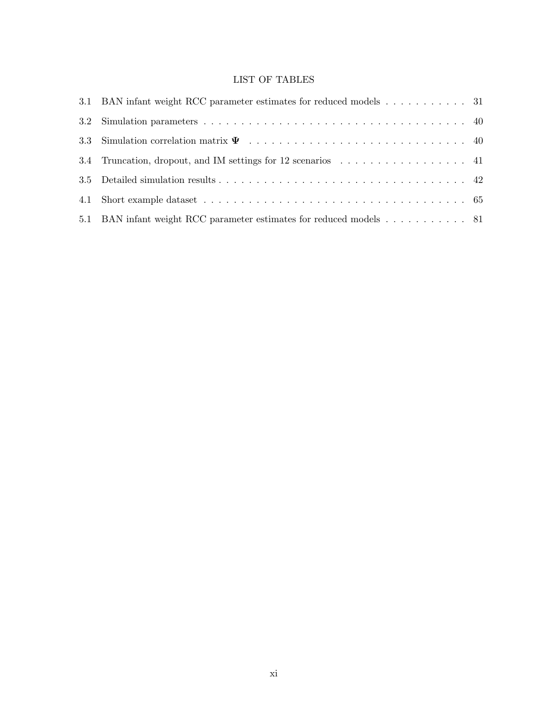# LIST OF TABLES

|     | 3.1 BAN infant weight RCC parameter estimates for reduced models 31 |  |
|-----|---------------------------------------------------------------------|--|
|     |                                                                     |  |
|     |                                                                     |  |
| 3.4 | Truncation, dropout, and IM settings for 12 scenarios 41            |  |
|     |                                                                     |  |
| 4.1 |                                                                     |  |
|     | 5.1 BAN infant weight RCC parameter estimates for reduced models 81 |  |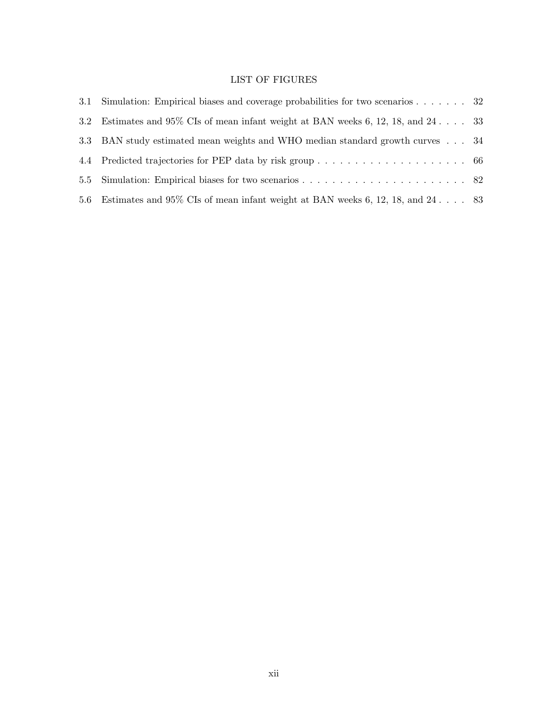# LIST OF FIGURES

| 3.1 | Simulation: Empirical biases and coverage probabilities for two scenarios $\dots \dots$ 32 |  |
|-----|--------------------------------------------------------------------------------------------|--|
| 3.2 | Estimates and 95% CIs of mean infant weight at BAN weeks 6, 12, 18, and 24 33              |  |
|     | 3.3 BAN study estimated mean weights and WHO median standard growth curves 34              |  |
|     |                                                                                            |  |
|     |                                                                                            |  |
| 5.6 | Estimates and 95% CIs of mean infant weight at BAN weeks 6, 12, 18, and 24 83              |  |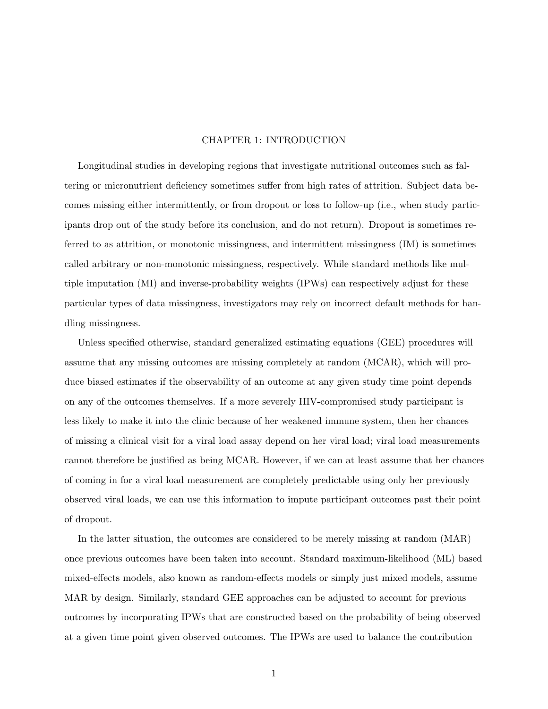# CHAPTER 1: INTRODUCTION

Longitudinal studies in developing regions that investigate nutritional outcomes such as faltering or micronutrient deficiency sometimes suffer from high rates of attrition. Subject data becomes missing either intermittently, or from dropout or loss to follow-up (i.e., when study participants drop out of the study before its conclusion, and do not return). Dropout is sometimes referred to as attrition, or monotonic missingness, and intermittent missingness (IM) is sometimes called arbitrary or non-monotonic missingness, respectively. While standard methods like multiple imputation (MI) and inverse-probability weights (IPWs) can respectively adjust for these particular types of data missingness, investigators may rely on incorrect default methods for handling missingness.

Unless specified otherwise, standard generalized estimating equations (GEE) procedures will assume that any missing outcomes are missing completely at random (MCAR), which will produce biased estimates if the observability of an outcome at any given study time point depends on any of the outcomes themselves. If a more severely HIV-compromised study participant is less likely to make it into the clinic because of her weakened immune system, then her chances of missing a clinical visit for a viral load assay depend on her viral load; viral load measurements cannot therefore be justified as being MCAR. However, if we can at least assume that her chances of coming in for a viral load measurement are completely predictable using only her previously observed viral loads, we can use this information to impute participant outcomes past their point of dropout.

In the latter situation, the outcomes are considered to be merely missing at random (MAR) once previous outcomes have been taken into account. Standard maximum-likelihood (ML) based mixed-effects models, also known as random-effects models or simply just mixed models, assume MAR by design. Similarly, standard GEE approaches can be adjusted to account for previous outcomes by incorporating IPWs that are constructed based on the probability of being observed at a given time point given observed outcomes. The IPWs are used to balance the contribution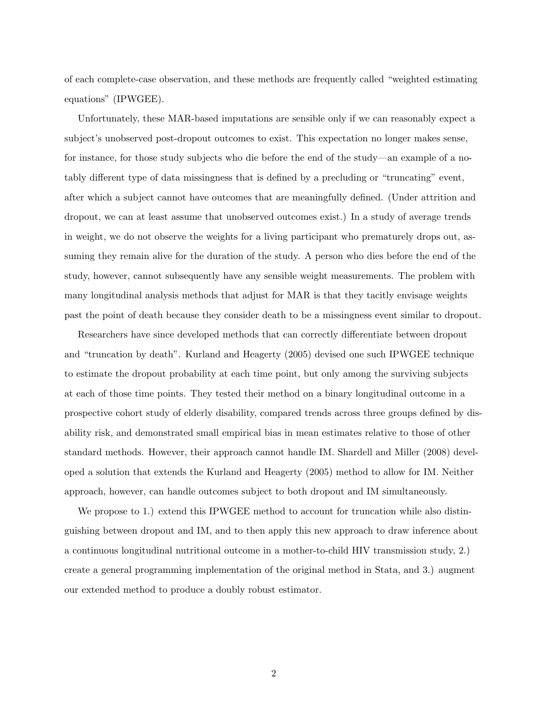of each complete-case observation, and these methods are frequently called "weighted estimating equations" (IPWGEE).

Unfortunately, these MAR-based imputations are sensible only if we can reasonably expect a subject's unobserved post-dropout outcomes to exist. This expectation no longer makes sense, for instance, for those study subjects who die before the end of the study—an example of a notably different type of data missingness that is defined by a precluding or "truncating" event, after which a subject cannot have outcomes that are meaningfully defined. (Under attrition and dropout, we can at least assume that unobserved outcomes exist.) In a study of average trends in weight, we do not observe the weights for a living participant who prematurely drops out, assuming they remain alive for the duration of the study. A person who dies before the end of the study, however, cannot subsequently have any sensible weight measurements. The problem with many longitudinal analysis methods that adjust for MAR is that they tacitly envisage weights past the point of death because they consider death to be a missingness event similar to dropout.

Researchers have since developed methods that can correctly differentiate between dropout and "truncation by death". Kurland and Heagerty (2005) devised one such IPWGEE technique to estimate the dropout probability at each time point, but only among the surviving subjects at each of those time points. They tested their method on a binary longitudinal outcome in a prospective cohort study of elderly disability, compared trends across three groups defined by disability risk, and demonstrated small empirical bias in mean estimates relative to those of other standard methods. However, their approach cannot handle IM. Shardell and Miller (2008) developed a solution that extends the Kurland and Heagerty (2005) method to allow for IM. Neither approach, however, can handle outcomes subject to both dropout and IM simultaneously.

We propose to 1.) extend this IPWGEE method to account for truncation while also distinguishing between dropout and IM, and to then apply this new approach to draw inference about a continuous longitudinal nutritional outcome in a mother-to-child HIV transmission study, 2.) create a general programming implementation of the original method in Stata, and 3.) augment our extended method to produce a doubly robust estimator.

2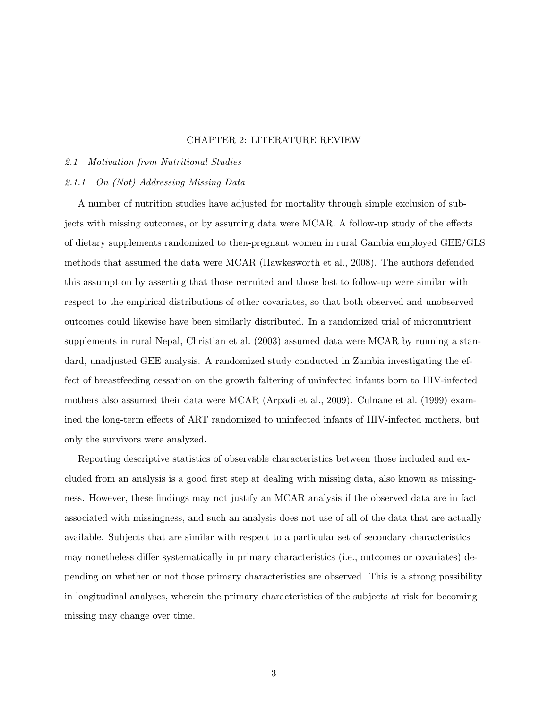# CHAPTER 2: LITERATURE REVIEW

### 2.1 Motivation from Nutritional Studies

# 2.1.1 On (Not) Addressing Missing Data

A number of nutrition studies have adjusted for mortality through simple exclusion of subjects with missing outcomes, or by assuming data were MCAR. A follow-up study of the effects of dietary supplements randomized to then-pregnant women in rural Gambia employed GEE/GLS methods that assumed the data were MCAR (Hawkesworth et al., 2008). The authors defended this assumption by asserting that those recruited and those lost to follow-up were similar with respect to the empirical distributions of other covariates, so that both observed and unobserved outcomes could likewise have been similarly distributed. In a randomized trial of micronutrient supplements in rural Nepal, Christian et al. (2003) assumed data were MCAR by running a standard, unadjusted GEE analysis. A randomized study conducted in Zambia investigating the effect of breastfeeding cessation on the growth faltering of uninfected infants born to HIV-infected mothers also assumed their data were MCAR (Arpadi et al., 2009). Culnane et al. (1999) examined the long-term effects of ART randomized to uninfected infants of HIV-infected mothers, but only the survivors were analyzed.

Reporting descriptive statistics of observable characteristics between those included and excluded from an analysis is a good first step at dealing with missing data, also known as missingness. However, these findings may not justify an MCAR analysis if the observed data are in fact associated with missingness, and such an analysis does not use of all of the data that are actually available. Subjects that are similar with respect to a particular set of secondary characteristics may nonetheless differ systematically in primary characteristics (i.e., outcomes or covariates) depending on whether or not those primary characteristics are observed. This is a strong possibility in longitudinal analyses, wherein the primary characteristics of the subjects at risk for becoming missing may change over time.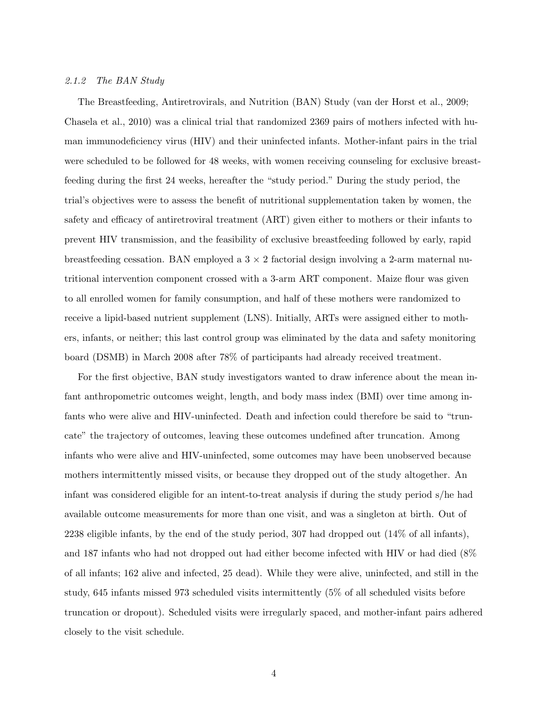### 2.1.2 The BAN Study

The Breastfeeding, Antiretrovirals, and Nutrition (BAN) Study (van der Horst et al., 2009; Chasela et al., 2010) was a clinical trial that randomized 2369 pairs of mothers infected with human immunodeficiency virus (HIV) and their uninfected infants. Mother-infant pairs in the trial were scheduled to be followed for 48 weeks, with women receiving counseling for exclusive breastfeeding during the first 24 weeks, hereafter the "study period." During the study period, the trial's objectives were to assess the benefit of nutritional supplementation taken by women, the safety and efficacy of antiretroviral treatment (ART) given either to mothers or their infants to prevent HIV transmission, and the feasibility of exclusive breastfeeding followed by early, rapid breastfeeding cessation. BAN employed a  $3 \times 2$  factorial design involving a 2-arm maternal nutritional intervention component crossed with a 3-arm ART component. Maize flour was given to all enrolled women for family consumption, and half of these mothers were randomized to receive a lipid-based nutrient supplement (LNS). Initially, ARTs were assigned either to mothers, infants, or neither; this last control group was eliminated by the data and safety monitoring board (DSMB) in March 2008 after 78% of participants had already received treatment.

For the first objective, BAN study investigators wanted to draw inference about the mean infant anthropometric outcomes weight, length, and body mass index (BMI) over time among infants who were alive and HIV-uninfected. Death and infection could therefore be said to "truncate" the trajectory of outcomes, leaving these outcomes undefined after truncation. Among infants who were alive and HIV-uninfected, some outcomes may have been unobserved because mothers intermittently missed visits, or because they dropped out of the study altogether. An infant was considered eligible for an intent-to-treat analysis if during the study period s/he had available outcome measurements for more than one visit, and was a singleton at birth. Out of 2238 eligible infants, by the end of the study period, 307 had dropped out (14% of all infants), and 187 infants who had not dropped out had either become infected with HIV or had died (8% of all infants; 162 alive and infected, 25 dead). While they were alive, uninfected, and still in the study, 645 infants missed 973 scheduled visits intermittently (5% of all scheduled visits before truncation or dropout). Scheduled visits were irregularly spaced, and mother-infant pairs adhered closely to the visit schedule.

4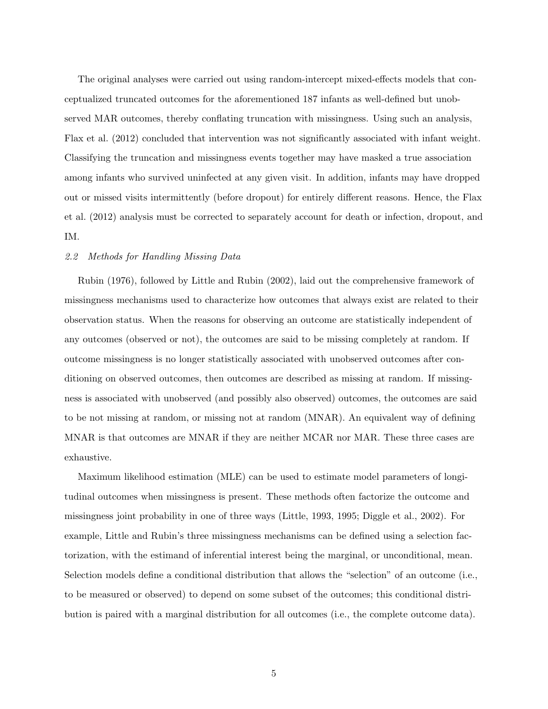The original analyses were carried out using random-intercept mixed-effects models that conceptualized truncated outcomes for the aforementioned 187 infants as well-defined but unobserved MAR outcomes, thereby conflating truncation with missingness. Using such an analysis, Flax et al. (2012) concluded that intervention was not significantly associated with infant weight. Classifying the truncation and missingness events together may have masked a true association among infants who survived uninfected at any given visit. In addition, infants may have dropped out or missed visits intermittently (before dropout) for entirely different reasons. Hence, the Flax et al. (2012) analysis must be corrected to separately account for death or infection, dropout, and IM.

### 2.2 Methods for Handling Missing Data

Rubin (1976), followed by Little and Rubin (2002), laid out the comprehensive framework of missingness mechanisms used to characterize how outcomes that always exist are related to their observation status. When the reasons for observing an outcome are statistically independent of any outcomes (observed or not), the outcomes are said to be missing completely at random. If outcome missingness is no longer statistically associated with unobserved outcomes after conditioning on observed outcomes, then outcomes are described as missing at random. If missingness is associated with unobserved (and possibly also observed) outcomes, the outcomes are said to be not missing at random, or missing not at random (MNAR). An equivalent way of defining MNAR is that outcomes are MNAR if they are neither MCAR nor MAR. These three cases are exhaustive.

Maximum likelihood estimation (MLE) can be used to estimate model parameters of longitudinal outcomes when missingness is present. These methods often factorize the outcome and missingness joint probability in one of three ways (Little, 1993, 1995; Diggle et al., 2002). For example, Little and Rubin's three missingness mechanisms can be defined using a selection factorization, with the estimand of inferential interest being the marginal, or unconditional, mean. Selection models define a conditional distribution that allows the "selection" of an outcome (i.e., to be measured or observed) to depend on some subset of the outcomes; this conditional distribution is paired with a marginal distribution for all outcomes (i.e., the complete outcome data).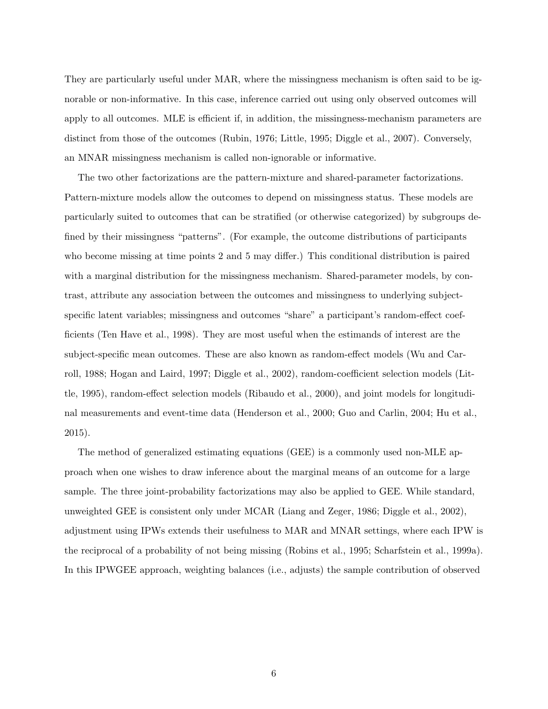They are particularly useful under MAR, where the missingness mechanism is often said to be ignorable or non-informative. In this case, inference carried out using only observed outcomes will apply to all outcomes. MLE is efficient if, in addition, the missingness-mechanism parameters are distinct from those of the outcomes (Rubin, 1976; Little, 1995; Diggle et al., 2007). Conversely, an MNAR missingness mechanism is called non-ignorable or informative.

The two other factorizations are the pattern-mixture and shared-parameter factorizations. Pattern-mixture models allow the outcomes to depend on missingness status. These models are particularly suited to outcomes that can be stratified (or otherwise categorized) by subgroups defined by their missingness "patterns". (For example, the outcome distributions of participants who become missing at time points 2 and 5 may differ.) This conditional distribution is paired with a marginal distribution for the missingness mechanism. Shared-parameter models, by contrast, attribute any association between the outcomes and missingness to underlying subjectspecific latent variables; missingness and outcomes "share" a participant's random-effect coefficients (Ten Have et al., 1998). They are most useful when the estimands of interest are the subject-specific mean outcomes. These are also known as random-effect models (Wu and Carroll, 1988; Hogan and Laird, 1997; Diggle et al., 2002), random-coefficient selection models (Little, 1995), random-effect selection models (Ribaudo et al., 2000), and joint models for longitudinal measurements and event-time data (Henderson et al., 2000; Guo and Carlin, 2004; Hu et al., 2015).

The method of generalized estimating equations (GEE) is a commonly used non-MLE approach when one wishes to draw inference about the marginal means of an outcome for a large sample. The three joint-probability factorizations may also be applied to GEE. While standard, unweighted GEE is consistent only under MCAR (Liang and Zeger, 1986; Diggle et al., 2002), adjustment using IPWs extends their usefulness to MAR and MNAR settings, where each IPW is the reciprocal of a probability of not being missing (Robins et al., 1995; Scharfstein et al., 1999a). In this IPWGEE approach, weighting balances (i.e., adjusts) the sample contribution of observed

6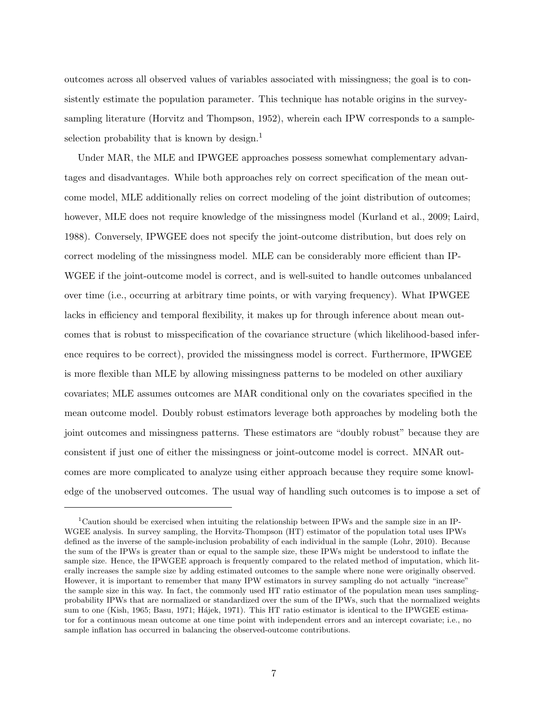outcomes across all observed values of variables associated with missingness; the goal is to consistently estimate the population parameter. This technique has notable origins in the surveysampling literature (Horvitz and Thompson, 1952), wherein each IPW corresponds to a sampleselection probability that is known by design.<sup>1</sup>

Under MAR, the MLE and IPWGEE approaches possess somewhat complementary advantages and disadvantages. While both approaches rely on correct specification of the mean outcome model, MLE additionally relies on correct modeling of the joint distribution of outcomes; however, MLE does not require knowledge of the missingness model (Kurland et al., 2009; Laird, 1988). Conversely, IPWGEE does not specify the joint-outcome distribution, but does rely on correct modeling of the missingness model. MLE can be considerably more efficient than IP-WGEE if the joint-outcome model is correct, and is well-suited to handle outcomes unbalanced over time (i.e., occurring at arbitrary time points, or with varying frequency). What IPWGEE lacks in efficiency and temporal flexibility, it makes up for through inference about mean outcomes that is robust to misspecification of the covariance structure (which likelihood-based inference requires to be correct), provided the missingness model is correct. Furthermore, IPWGEE is more flexible than MLE by allowing missingness patterns to be modeled on other auxiliary covariates; MLE assumes outcomes are MAR conditional only on the covariates specified in the mean outcome model. Doubly robust estimators leverage both approaches by modeling both the joint outcomes and missingness patterns. These estimators are "doubly robust" because they are consistent if just one of either the missingness or joint-outcome model is correct. MNAR outcomes are more complicated to analyze using either approach because they require some knowledge of the unobserved outcomes. The usual way of handling such outcomes is to impose a set of

<sup>&</sup>lt;sup>1</sup>Caution should be exercised when intuiting the relationship between IPWs and the sample size in an IP-WGEE analysis. In survey sampling, the Horvitz-Thompson (HT) estimator of the population total uses IPWs defined as the inverse of the sample-inclusion probability of each individual in the sample (Lohr, 2010). Because the sum of the IPWs is greater than or equal to the sample size, these IPWs might be understood to inflate the sample size. Hence, the IPWGEE approach is frequently compared to the related method of imputation, which literally increases the sample size by adding estimated outcomes to the sample where none were originally observed. However, it is important to remember that many IPW estimators in survey sampling do not actually "increase" the sample size in this way. In fact, the commonly used HT ratio estimator of the population mean uses samplingprobability IPWs that are normalized or standardized over the sum of the IPWs, such that the normalized weights sum to one (Kish, 1965; Basu, 1971; Hájek, 1971). This HT ratio estimator is identical to the IPWGEE estimator for a continuous mean outcome at one time point with independent errors and an intercept covariate; i.e., no sample inflation has occurred in balancing the observed-outcome contributions.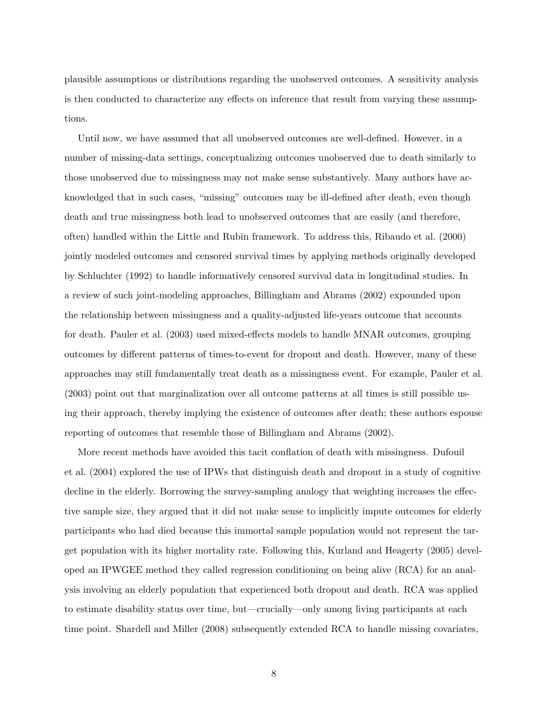plausible assumptions or distributions regarding the unobserved outcomes. A sensitivity analysis is then conducted to characterize any effects on inference that result from varying these assumptions.

Until now, we have assumed that all unobserved outcomes are well-defined. However, in a number of missing-data settings, conceptualizing outcomes unobserved due to death similarly to those unobserved due to missingness may not make sense substantively. Many authors have acknowledged that in such cases, "missing" outcomes may be ill-defined after death, even though death and true missingness both lead to unobserved outcomes that are easily (and therefore, often) handled within the Little and Rubin framework. To address this, Ribaudo et al. (2000) jointly modeled outcomes and censored survival times by applying methods originally developed by Schluchter (1992) to handle informatively censored survival data in longitudinal studies. In a review of such joint-modeling approaches, Billingham and Abrams (2002) expounded upon the relationship between missingness and a quality-adjusted life-years outcome that accounts for death. Pauler et al. (2003) used mixed-effects models to handle MNAR outcomes, grouping outcomes by different patterns of times-to-event for dropout and death. However, many of these approaches may still fundamentally treat death as a missingness event. For example, Pauler et al. (2003) point out that marginalization over all outcome patterns at all times is still possible using their approach, thereby implying the existence of outcomes after death; these authors espouse reporting of outcomes that resemble those of Billingham and Abrams (2002).

More recent methods have avoided this tacit conflation of death with missingness. Dufouil et al. (2004) explored the use of IPWs that distinguish death and dropout in a study of cognitive decline in the elderly. Borrowing the survey-sampling analogy that weighting increases the effective sample size, they argued that it did not make sense to implicitly impute outcomes for elderly participants who had died because this immortal sample population would not represent the target population with its higher mortality rate. Following this, Kurland and Heagerty (2005) developed an IPWGEE method they called regression conditioning on being alive (RCA) for an analysis involving an elderly population that experienced both dropout and death. RCA was applied to estimate disability status over time, but—crucially—only among living participants at each time point. Shardell and Miller (2008) subsequently extended RCA to handle missing covariates,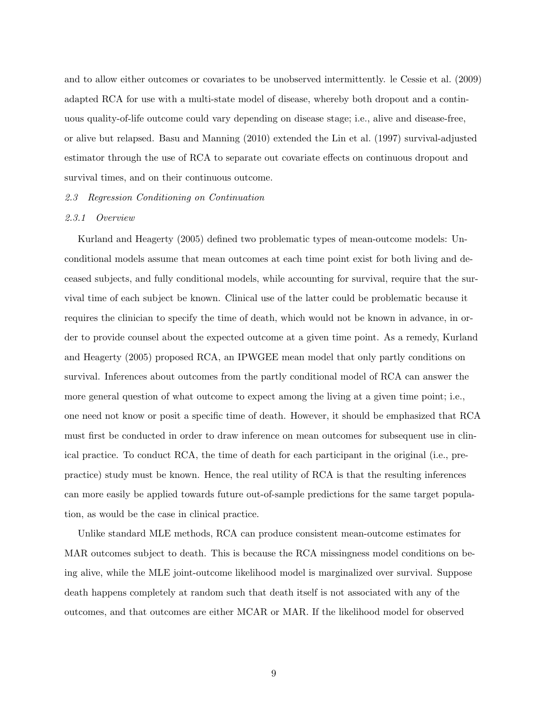and to allow either outcomes or covariates to be unobserved intermittently. le Cessie et al. (2009) adapted RCA for use with a multi-state model of disease, whereby both dropout and a continuous quality-of-life outcome could vary depending on disease stage; i.e., alive and disease-free, or alive but relapsed. Basu and Manning (2010) extended the Lin et al. (1997) survival-adjusted estimator through the use of RCA to separate out covariate effects on continuous dropout and survival times, and on their continuous outcome.

## 2.3 Regression Conditioning on Continuation

# 2.3.1 Overview

Kurland and Heagerty (2005) defined two problematic types of mean-outcome models: Unconditional models assume that mean outcomes at each time point exist for both living and deceased subjects, and fully conditional models, while accounting for survival, require that the survival time of each subject be known. Clinical use of the latter could be problematic because it requires the clinician to specify the time of death, which would not be known in advance, in order to provide counsel about the expected outcome at a given time point. As a remedy, Kurland and Heagerty (2005) proposed RCA, an IPWGEE mean model that only partly conditions on survival. Inferences about outcomes from the partly conditional model of RCA can answer the more general question of what outcome to expect among the living at a given time point; i.e., one need not know or posit a specific time of death. However, it should be emphasized that RCA must first be conducted in order to draw inference on mean outcomes for subsequent use in clinical practice. To conduct RCA, the time of death for each participant in the original (i.e., prepractice) study must be known. Hence, the real utility of RCA is that the resulting inferences can more easily be applied towards future out-of-sample predictions for the same target population, as would be the case in clinical practice.

Unlike standard MLE methods, RCA can produce consistent mean-outcome estimates for MAR outcomes subject to death. This is because the RCA missingness model conditions on being alive, while the MLE joint-outcome likelihood model is marginalized over survival. Suppose death happens completely at random such that death itself is not associated with any of the outcomes, and that outcomes are either MCAR or MAR. If the likelihood model for observed

9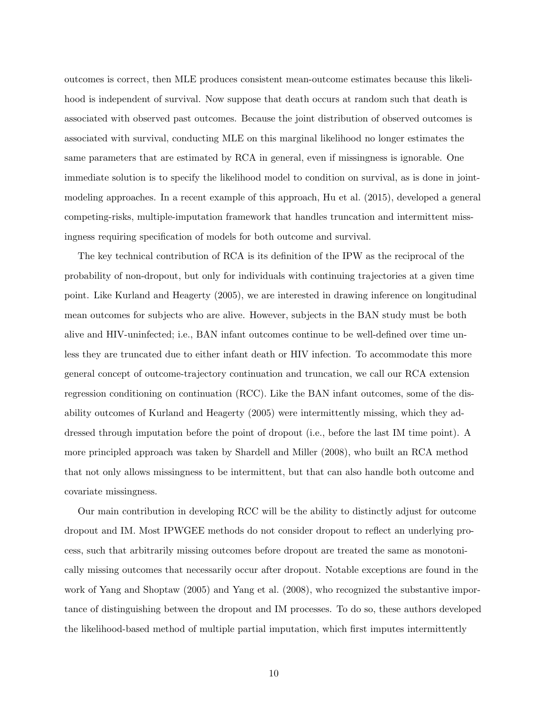outcomes is correct, then MLE produces consistent mean-outcome estimates because this likelihood is independent of survival. Now suppose that death occurs at random such that death is associated with observed past outcomes. Because the joint distribution of observed outcomes is associated with survival, conducting MLE on this marginal likelihood no longer estimates the same parameters that are estimated by RCA in general, even if missingness is ignorable. One immediate solution is to specify the likelihood model to condition on survival, as is done in jointmodeling approaches. In a recent example of this approach, Hu et al. (2015), developed a general competing-risks, multiple-imputation framework that handles truncation and intermittent missingness requiring specification of models for both outcome and survival.

The key technical contribution of RCA is its definition of the IPW as the reciprocal of the probability of non-dropout, but only for individuals with continuing trajectories at a given time point. Like Kurland and Heagerty (2005), we are interested in drawing inference on longitudinal mean outcomes for subjects who are alive. However, subjects in the BAN study must be both alive and HIV-uninfected; i.e., BAN infant outcomes continue to be well-defined over time unless they are truncated due to either infant death or HIV infection. To accommodate this more general concept of outcome-trajectory continuation and truncation, we call our RCA extension regression conditioning on continuation (RCC). Like the BAN infant outcomes, some of the disability outcomes of Kurland and Heagerty (2005) were intermittently missing, which they addressed through imputation before the point of dropout (i.e., before the last IM time point). A more principled approach was taken by Shardell and Miller (2008), who built an RCA method that not only allows missingness to be intermittent, but that can also handle both outcome and covariate missingness.

Our main contribution in developing RCC will be the ability to distinctly adjust for outcome dropout and IM. Most IPWGEE methods do not consider dropout to reflect an underlying process, such that arbitrarily missing outcomes before dropout are treated the same as monotonically missing outcomes that necessarily occur after dropout. Notable exceptions are found in the work of Yang and Shoptaw (2005) and Yang et al. (2008), who recognized the substantive importance of distinguishing between the dropout and IM processes. To do so, these authors developed the likelihood-based method of multiple partial imputation, which first imputes intermittently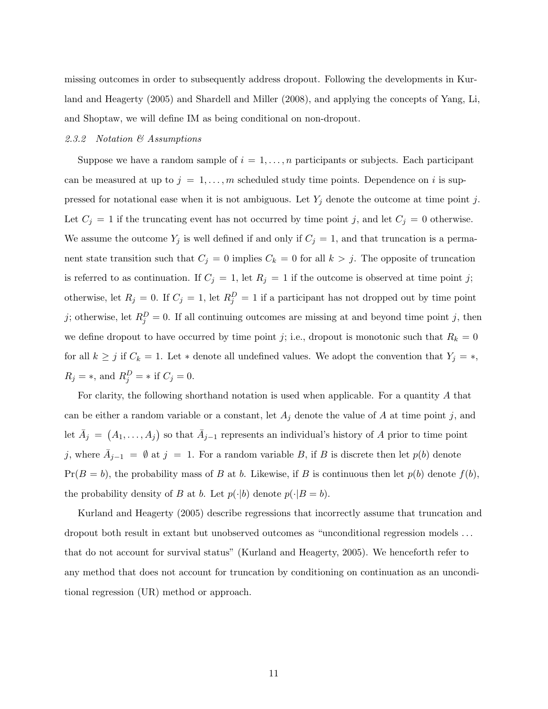missing outcomes in order to subsequently address dropout. Following the developments in Kurland and Heagerty (2005) and Shardell and Miller (2008), and applying the concepts of Yang, Li, and Shoptaw, we will define IM as being conditional on non-dropout.

# 2.3.2 Notation & Assumptions

Suppose we have a random sample of  $i = 1, \ldots, n$  participants or subjects. Each participant can be measured at up to  $j = 1, \ldots, m$  scheduled study time points. Dependence on i is suppressed for notational ease when it is not ambiguous. Let  $Y_j$  denote the outcome at time point j. Let  $C_j = 1$  if the truncating event has not occurred by time point j, and let  $C_j = 0$  otherwise. We assume the outcome  $Y_j$  is well defined if and only if  $C_j = 1$ , and that truncation is a permanent state transition such that  $C_j = 0$  implies  $C_k = 0$  for all  $k > j$ . The opposite of truncation is referred to as continuation. If  $C_j = 1$ , let  $R_j = 1$  if the outcome is observed at time point j; otherwise, let  $R_j = 0$ . If  $C_j = 1$ , let  $R_j^D = 1$  if a participant has not dropped out by time point j; otherwise, let  $R_j^D = 0$ . If all continuing outcomes are missing at and beyond time point j, then we define dropout to have occurred by time point j; i.e., dropout is monotonic such that  $R_k = 0$ for all  $k \geq j$  if  $C_k = 1$ . Let \* denote all undefined values. We adopt the convention that  $Y_j = *$ ,  $R_j = *$ , and  $R_j^D = *$  if  $C_j = 0$ .

For clarity, the following shorthand notation is used when applicable. For a quantity A that can be either a random variable or a constant, let  $A_j$  denote the value of A at time point j, and let  $\bar{A}_j = (A_1, \ldots, A_j)$  so that  $\bar{A}_{j-1}$  represents an individual's history of A prior to time point j, where  $\bar{A}_{j-1} = \emptyset$  at  $j = 1$ . For a random variable B, if B is discrete then let  $p(b)$  denote  $Pr(B = b)$ , the probability mass of B at b. Likewise, if B is continuous then let  $p(b)$  denote  $f(b)$ , the probability density of B at b. Let  $p(\cdot|b)$  denote  $p(\cdot|B=b)$ .

Kurland and Heagerty (2005) describe regressions that incorrectly assume that truncation and dropout both result in extant but unobserved outcomes as "unconditional regression models . . . that do not account for survival status" (Kurland and Heagerty, 2005). We henceforth refer to any method that does not account for truncation by conditioning on continuation as an unconditional regression (UR) method or approach.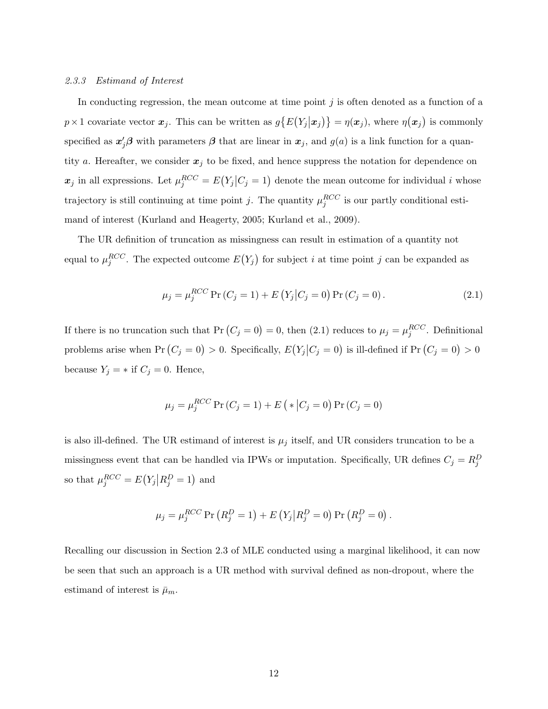#### 2.3.3 Estimand of Interest

In conducting regression, the mean outcome at time point  $j$  is often denoted as a function of a  $p \times 1$  covariate vector  $x_j$ . This can be written as  $g\{E(Y_j|x_j)\} = \eta(x_j)$ , where  $\eta(x_j)$  is commonly specified as  $x'_j\beta$  with parameters  $\beta$  that are linear in  $x_j$ , and  $g(a)$  is a link function for a quantity a. Hereafter, we consider  $x_j$  to be fixed, and hence suppress the notation for dependence on  $x_j$  in all expressions. Let  $\mu_j^{RCC} = E(Y_j | C_j = 1)$  denote the mean outcome for individual i whose trajectory is still continuing at time point j. The quantity  $\mu_j^{RCC}$  is our partly conditional estimand of interest (Kurland and Heagerty, 2005; Kurland et al., 2009).

The UR definition of truncation as missingness can result in estimation of a quantity not equal to  $\mu_j^{RCC}$ . The expected outcome  $E(Y_j)$  for subject i at time point j can be expanded as

$$
\mu_j = \mu_j^{RCC} \Pr(C_j = 1) + E(Y_j | C_j = 0) \Pr(C_j = 0).
$$
\n(2.1)

If there is no truncation such that  $Pr(C_j = 0) = 0$ , then (2.1) reduces to  $\mu_j = \mu_j^{RCC}$ . Definitional problems arise when Pr  $(C_j = 0) > 0$ . Specifically,  $E(Y_j | C_j = 0)$  is ill-defined if Pr  $(C_j = 0) > 0$ because  $Y_j = *$  if  $C_j = 0$ . Hence,

$$
\mu_j = \mu_j^{RCC} \Pr(C_j = 1) + E({*|C_j = 0}) \Pr(C_j = 0)
$$

is also ill-defined. The UR estimand of interest is  $\mu_j$  itself, and UR considers truncation to be a missingness event that can be handled via IPWs or imputation. Specifically, UR defines  $C_j = R_j^D$ so that  $\mu_j^{RCC} = E(Y_j | R_j^D = 1)$  and

$$
\mu_j = \mu_j^{RCC} \Pr(R_j^D = 1) + E(Y_j | R_j^D = 0) \Pr(R_j^D = 0).
$$

Recalling our discussion in Section 2.3 of MLE conducted using a marginal likelihood, it can now be seen that such an approach is a UR method with survival defined as non-dropout, where the estimand of interest is  $\bar{\mu}_m$ .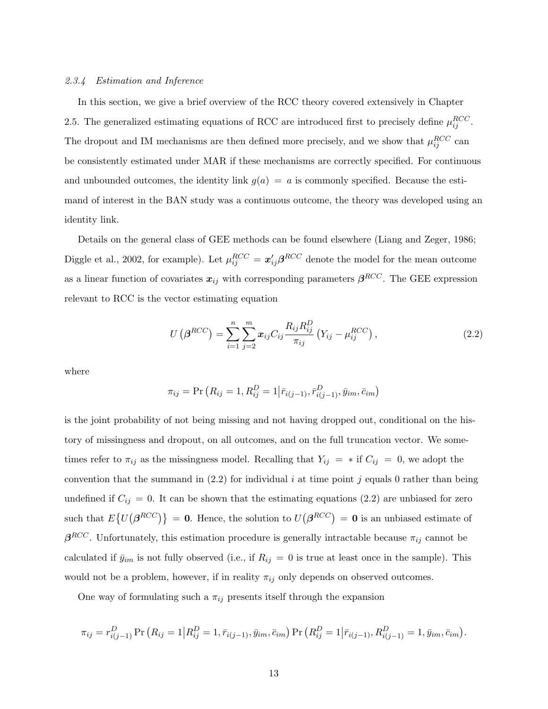### 2.3.4 Estimation and Inference

In this section, we give a brief overview of the RCC theory covered extensively in Chapter 2.5. The generalized estimating equations of RCC are introduced first to precisely define  $\mu_{ij}^{RCC}$ . The dropout and IM mechanisms are then defined more precisely, and we show that  $\mu_{ij}^{RCC}$  can be consistently estimated under MAR if these mechanisms are correctly specified. For continuous and unbounded outcomes, the identity link  $g(a) = a$  is commonly specified. Because the estimand of interest in the BAN study was a continuous outcome, the theory was developed using an identity link.

Details on the general class of GEE methods can be found elsewhere (Liang and Zeger, 1986; Diggle et al., 2002, for example). Let  $\mu_{ij}^{RCC} = \mathbf{x}'_{ij} \boldsymbol{\beta}^{RCC}$  denote the model for the mean outcome as a linear function of covariates  $x_{ij}$  with corresponding parameters  $\beta^{RCC}$ . The GEE expression relevant to RCC is the vector estimating equation

$$
U(\beta^{RCC}) = \sum_{i=1}^{n} \sum_{j=2}^{m} x_{ij} C_{ij} \frac{R_{ij} R_{ij}^D}{\pi_{ij}} (Y_{ij} - \mu_{ij}^{RCC}), \qquad (2.2)
$$

where

$$
\pi_{ij} = \Pr(R_{ij} = 1, R_{ij}^D = 1 | \bar{r}_{i(j-1)}, \bar{r}_{i(j-1)}^D, \bar{y}_{im}, \bar{c}_{im})
$$

is the joint probability of not being missing and not having dropped out, conditional on the history of missingness and dropout, on all outcomes, and on the full truncation vector. We sometimes refer to  $\pi_{ij}$  as the missingness model. Recalling that  $Y_{ij} = *$  if  $C_{ij} = 0$ , we adopt the convention that the summand in  $(2.2)$  for individual i at time point j equals 0 rather than being undefined if  $C_{ij} = 0$ . It can be shown that the estimating equations (2.2) are unbiased for zero such that  $E\{U(\beta^{RCC})\} = 0$ . Hence, the solution to  $U(\beta^{RCC}) = 0$  is an unbiased estimate of  $\beta^{RCC}$ . Unfortunately, this estimation procedure is generally intractable because  $\pi_{ij}$  cannot be calculated if  $\bar{y}_{im}$  is not fully observed (i.e., if  $R_{ij} = 0$  is true at least once in the sample). This would not be a problem, however, if in reality  $\pi_{ij}$  only depends on observed outcomes.

One way of formulating such a  $\pi_{ij}$  presents itself through the expansion

$$
\pi_{ij} = r_{i(j-1)}^D \Pr\left(R_{ij} = 1 \,|\, R_{ij}^D = 1, \bar{r}_{i(j-1)}, \bar{y}_{im}, \bar{c}_{im}\right) \Pr\left(R_{ij}^D = 1 \,|\, \bar{r}_{i(j-1)}, R_{i(j-1)}^D = 1, \bar{y}_{im}, \bar{c}_{im}\right).
$$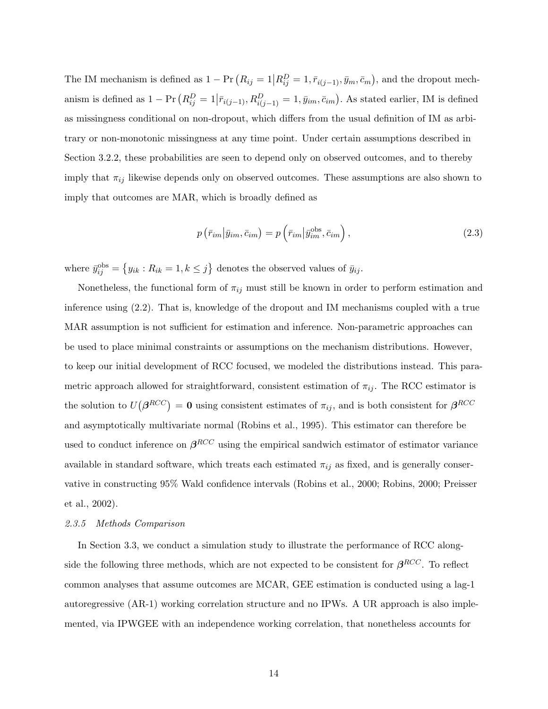The IM mechanism is defined as  $1 - Pr(R_{ij} = 1 | R_{ij}^D = 1, \bar{r}_{i(j-1)}, \bar{y}_m, \bar{c}_m)$ , and the dropout mechanism is defined as  $1 - \Pr(R_{ij}^D = 1 | \bar{r}_{i(j-1)}, R_{i(j-1)}^D = 1, \bar{y}_{im}, \bar{c}_{im})$ . As stated earlier, IM is defined as missingness conditional on non-dropout, which differs from the usual definition of IM as arbitrary or non-monotonic missingness at any time point. Under certain assumptions described in Section 3.2.2, these probabilities are seen to depend only on observed outcomes, and to thereby imply that  $\pi_{ij}$  likewise depends only on observed outcomes. These assumptions are also shown to imply that outcomes are MAR, which is broadly defined as

$$
p\left(\bar{r}_{im}|\bar{y}_{im},\bar{c}_{im}\right) = p\left(\bar{r}_{im}|\bar{y}_{im}^{\text{obs}},\bar{c}_{im}\right),\tag{2.3}
$$

where  $\bar{y}_{ij}^{\text{obs}} = \{y_{ik} : R_{ik} = 1, k \leq j\}$  denotes the observed values of  $\bar{y}_{ij}$ .

Nonetheless, the functional form of  $\pi_{ij}$  must still be known in order to perform estimation and inference using (2.2). That is, knowledge of the dropout and IM mechanisms coupled with a true MAR assumption is not sufficient for estimation and inference. Non-parametric approaches can be used to place minimal constraints or assumptions on the mechanism distributions. However, to keep our initial development of RCC focused, we modeled the distributions instead. This parametric approach allowed for straightforward, consistent estimation of  $\pi_{ij}$ . The RCC estimator is the solution to  $U(\beta^{RCC}) = 0$  using consistent estimates of  $\pi_{ij}$ , and is both consistent for  $\beta^{RCC}$ and asymptotically multivariate normal (Robins et al., 1995). This estimator can therefore be used to conduct inference on  $\beta^{RCC}$  using the empirical sandwich estimator of estimator variance available in standard software, which treats each estimated  $\pi_{ij}$  as fixed, and is generally conservative in constructing 95% Wald confidence intervals (Robins et al., 2000; Robins, 2000; Preisser et al., 2002).

### 2.3.5 Methods Comparison

In Section 3.3, we conduct a simulation study to illustrate the performance of RCC alongside the following three methods, which are not expected to be consistent for  $\beta^{RCC}$ . To reflect common analyses that assume outcomes are MCAR, GEE estimation is conducted using a lag-1 autoregressive (AR-1) working correlation structure and no IPWs. A UR approach is also implemented, via IPWGEE with an independence working correlation, that nonetheless accounts for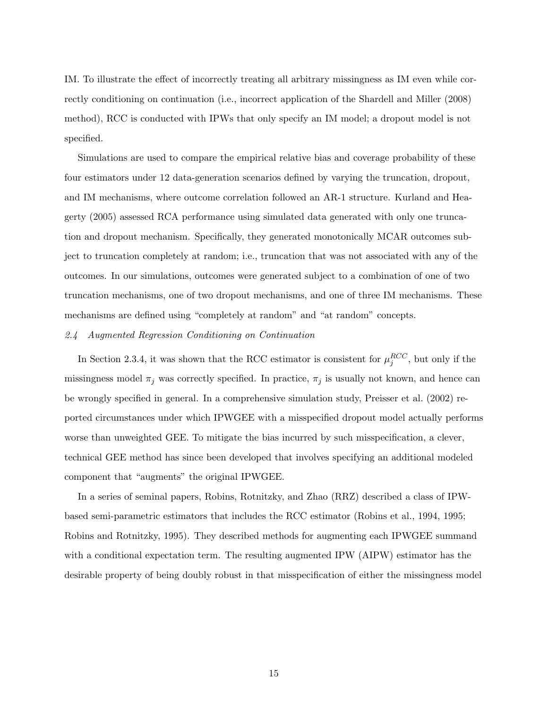IM. To illustrate the effect of incorrectly treating all arbitrary missingness as IM even while correctly conditioning on continuation (i.e., incorrect application of the Shardell and Miller (2008) method), RCC is conducted with IPWs that only specify an IM model; a dropout model is not specified.

Simulations are used to compare the empirical relative bias and coverage probability of these four estimators under 12 data-generation scenarios defined by varying the truncation, dropout, and IM mechanisms, where outcome correlation followed an AR-1 structure. Kurland and Heagerty (2005) assessed RCA performance using simulated data generated with only one truncation and dropout mechanism. Specifically, they generated monotonically MCAR outcomes subject to truncation completely at random; i.e., truncation that was not associated with any of the outcomes. In our simulations, outcomes were generated subject to a combination of one of two truncation mechanisms, one of two dropout mechanisms, and one of three IM mechanisms. These mechanisms are defined using "completely at random" and "at random" concepts.

### 2.4 Augmented Regression Conditioning on Continuation

In Section 2.3.4, it was shown that the RCC estimator is consistent for  $\mu_j^{RCC}$ , but only if the missingness model  $\pi_j$  was correctly specified. In practice,  $\pi_j$  is usually not known, and hence can be wrongly specified in general. In a comprehensive simulation study, Preisser et al. (2002) reported circumstances under which IPWGEE with a misspecified dropout model actually performs worse than unweighted GEE. To mitigate the bias incurred by such misspecification, a clever, technical GEE method has since been developed that involves specifying an additional modeled component that "augments" the original IPWGEE.

In a series of seminal papers, Robins, Rotnitzky, and Zhao (RRZ) described a class of IPWbased semi-parametric estimators that includes the RCC estimator (Robins et al., 1994, 1995; Robins and Rotnitzky, 1995). They described methods for augmenting each IPWGEE summand with a conditional expectation term. The resulting augmented IPW (AIPW) estimator has the desirable property of being doubly robust in that misspecification of either the missingness model

15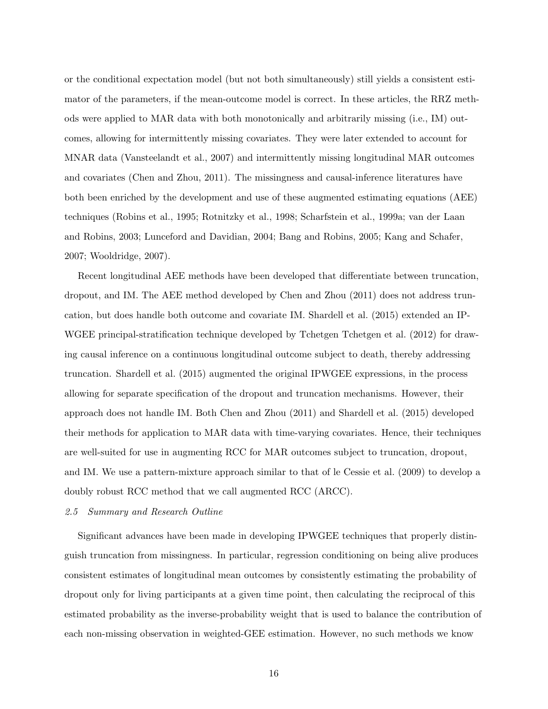or the conditional expectation model (but not both simultaneously) still yields a consistent estimator of the parameters, if the mean-outcome model is correct. In these articles, the RRZ methods were applied to MAR data with both monotonically and arbitrarily missing (i.e., IM) outcomes, allowing for intermittently missing covariates. They were later extended to account for MNAR data (Vansteelandt et al., 2007) and intermittently missing longitudinal MAR outcomes and covariates (Chen and Zhou, 2011). The missingness and causal-inference literatures have both been enriched by the development and use of these augmented estimating equations (AEE) techniques (Robins et al., 1995; Rotnitzky et al., 1998; Scharfstein et al., 1999a; van der Laan and Robins, 2003; Lunceford and Davidian, 2004; Bang and Robins, 2005; Kang and Schafer, 2007; Wooldridge, 2007).

Recent longitudinal AEE methods have been developed that differentiate between truncation, dropout, and IM. The AEE method developed by Chen and Zhou (2011) does not address truncation, but does handle both outcome and covariate IM. Shardell et al. (2015) extended an IP-WGEE principal-stratification technique developed by Tchetgen Tchetgen et al. (2012) for drawing causal inference on a continuous longitudinal outcome subject to death, thereby addressing truncation. Shardell et al. (2015) augmented the original IPWGEE expressions, in the process allowing for separate specification of the dropout and truncation mechanisms. However, their approach does not handle IM. Both Chen and Zhou (2011) and Shardell et al. (2015) developed their methods for application to MAR data with time-varying covariates. Hence, their techniques are well-suited for use in augmenting RCC for MAR outcomes subject to truncation, dropout, and IM. We use a pattern-mixture approach similar to that of le Cessie et al. (2009) to develop a doubly robust RCC method that we call augmented RCC (ARCC).

# 2.5 Summary and Research Outline

Significant advances have been made in developing IPWGEE techniques that properly distinguish truncation from missingness. In particular, regression conditioning on being alive produces consistent estimates of longitudinal mean outcomes by consistently estimating the probability of dropout only for living participants at a given time point, then calculating the reciprocal of this estimated probability as the inverse-probability weight that is used to balance the contribution of each non-missing observation in weighted-GEE estimation. However, no such methods we know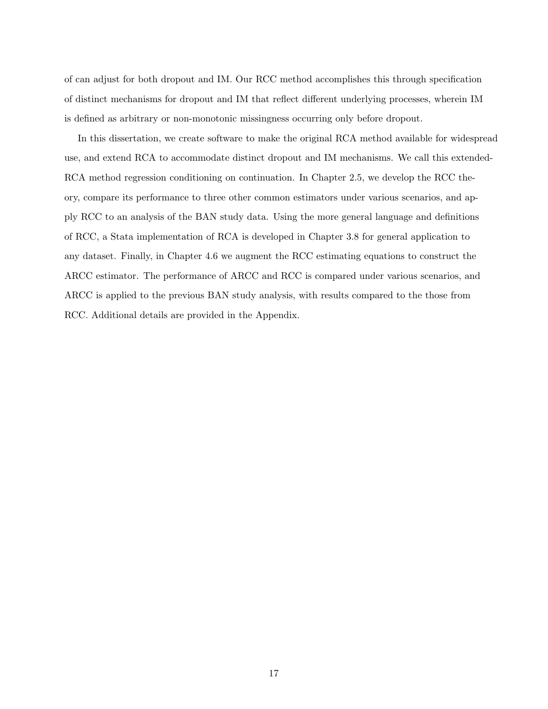of can adjust for both dropout and IM. Our RCC method accomplishes this through specification of distinct mechanisms for dropout and IM that reflect different underlying processes, wherein IM is defined as arbitrary or non-monotonic missingness occurring only before dropout.

In this dissertation, we create software to make the original RCA method available for widespread use, and extend RCA to accommodate distinct dropout and IM mechanisms. We call this extended-RCA method regression conditioning on continuation. In Chapter 2.5, we develop the RCC theory, compare its performance to three other common estimators under various scenarios, and apply RCC to an analysis of the BAN study data. Using the more general language and definitions of RCC, a Stata implementation of RCA is developed in Chapter 3.8 for general application to any dataset. Finally, in Chapter 4.6 we augment the RCC estimating equations to construct the ARCC estimator. The performance of ARCC and RCC is compared under various scenarios, and ARCC is applied to the previous BAN study analysis, with results compared to the those from RCC. Additional details are provided in the Appendix.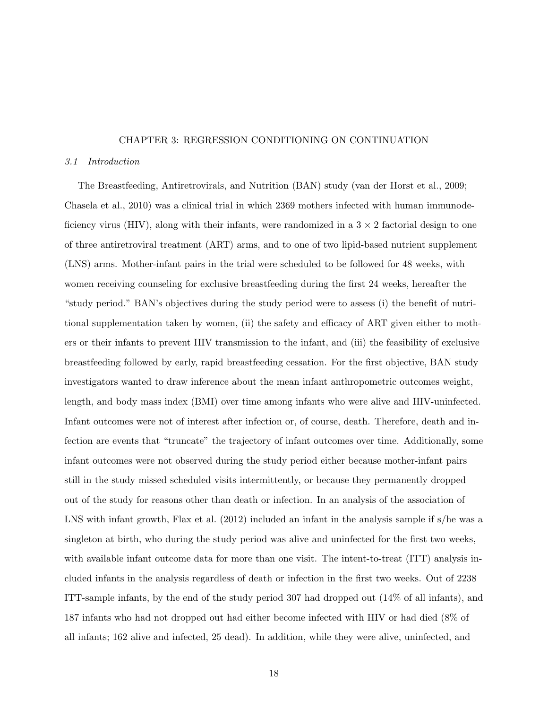### CHAPTER 3: REGRESSION CONDITIONING ON CONTINUATION

#### 3.1 Introduction

The Breastfeeding, Antiretrovirals, and Nutrition (BAN) study (van der Horst et al., 2009; Chasela et al., 2010) was a clinical trial in which 2369 mothers infected with human immunodeficiency virus (HIV), along with their infants, were randomized in a  $3 \times 2$  factorial design to one of three antiretroviral treatment (ART) arms, and to one of two lipid-based nutrient supplement (LNS) arms. Mother-infant pairs in the trial were scheduled to be followed for 48 weeks, with women receiving counseling for exclusive breastfeeding during the first 24 weeks, hereafter the "study period." BAN's objectives during the study period were to assess (i) the benefit of nutritional supplementation taken by women, (ii) the safety and efficacy of ART given either to mothers or their infants to prevent HIV transmission to the infant, and (iii) the feasibility of exclusive breastfeeding followed by early, rapid breastfeeding cessation. For the first objective, BAN study investigators wanted to draw inference about the mean infant anthropometric outcomes weight, length, and body mass index (BMI) over time among infants who were alive and HIV-uninfected. Infant outcomes were not of interest after infection or, of course, death. Therefore, death and infection are events that "truncate" the trajectory of infant outcomes over time. Additionally, some infant outcomes were not observed during the study period either because mother-infant pairs still in the study missed scheduled visits intermittently, or because they permanently dropped out of the study for reasons other than death or infection. In an analysis of the association of LNS with infant growth, Flax et al. (2012) included an infant in the analysis sample if s/he was a singleton at birth, who during the study period was alive and uninfected for the first two weeks, with available infant outcome data for more than one visit. The intent-to-treat (ITT) analysis included infants in the analysis regardless of death or infection in the first two weeks. Out of 2238 ITT-sample infants, by the end of the study period 307 had dropped out (14% of all infants), and 187 infants who had not dropped out had either become infected with HIV or had died (8% of all infants; 162 alive and infected, 25 dead). In addition, while they were alive, uninfected, and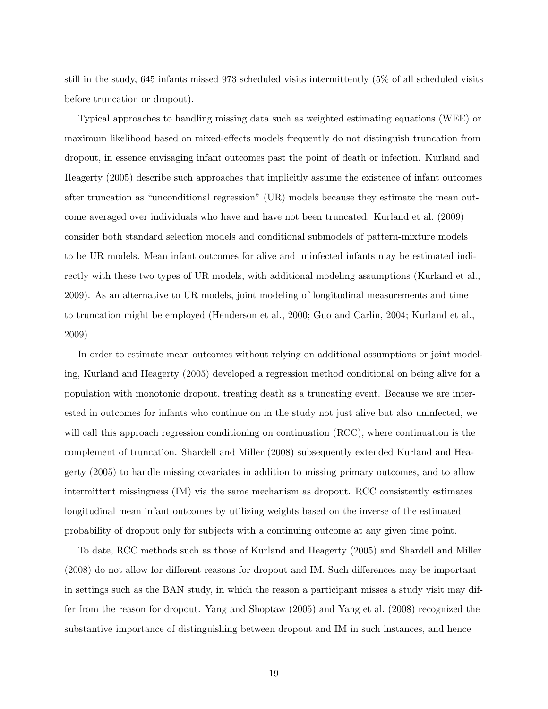still in the study, 645 infants missed 973 scheduled visits intermittently (5% of all scheduled visits before truncation or dropout).

Typical approaches to handling missing data such as weighted estimating equations (WEE) or maximum likelihood based on mixed-effects models frequently do not distinguish truncation from dropout, in essence envisaging infant outcomes past the point of death or infection. Kurland and Heagerty (2005) describe such approaches that implicitly assume the existence of infant outcomes after truncation as "unconditional regression" (UR) models because they estimate the mean outcome averaged over individuals who have and have not been truncated. Kurland et al. (2009) consider both standard selection models and conditional submodels of pattern-mixture models to be UR models. Mean infant outcomes for alive and uninfected infants may be estimated indirectly with these two types of UR models, with additional modeling assumptions (Kurland et al., 2009). As an alternative to UR models, joint modeling of longitudinal measurements and time to truncation might be employed (Henderson et al., 2000; Guo and Carlin, 2004; Kurland et al., 2009).

In order to estimate mean outcomes without relying on additional assumptions or joint modeling, Kurland and Heagerty (2005) developed a regression method conditional on being alive for a population with monotonic dropout, treating death as a truncating event. Because we are interested in outcomes for infants who continue on in the study not just alive but also uninfected, we will call this approach regression conditioning on continuation (RCC), where continuation is the complement of truncation. Shardell and Miller (2008) subsequently extended Kurland and Heagerty (2005) to handle missing covariates in addition to missing primary outcomes, and to allow intermittent missingness (IM) via the same mechanism as dropout. RCC consistently estimates longitudinal mean infant outcomes by utilizing weights based on the inverse of the estimated probability of dropout only for subjects with a continuing outcome at any given time point.

To date, RCC methods such as those of Kurland and Heagerty (2005) and Shardell and Miller (2008) do not allow for different reasons for dropout and IM. Such differences may be important in settings such as the BAN study, in which the reason a participant misses a study visit may differ from the reason for dropout. Yang and Shoptaw (2005) and Yang et al. (2008) recognized the substantive importance of distinguishing between dropout and IM in such instances, and hence

19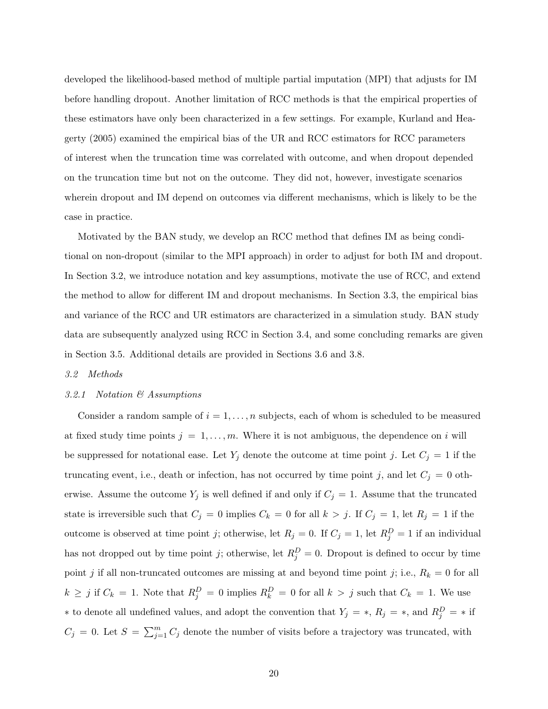developed the likelihood-based method of multiple partial imputation (MPI) that adjusts for IM before handling dropout. Another limitation of RCC methods is that the empirical properties of these estimators have only been characterized in a few settings. For example, Kurland and Heagerty (2005) examined the empirical bias of the UR and RCC estimators for RCC parameters of interest when the truncation time was correlated with outcome, and when dropout depended on the truncation time but not on the outcome. They did not, however, investigate scenarios wherein dropout and IM depend on outcomes via different mechanisms, which is likely to be the case in practice.

Motivated by the BAN study, we develop an RCC method that defines IM as being conditional on non-dropout (similar to the MPI approach) in order to adjust for both IM and dropout. In Section 3.2, we introduce notation and key assumptions, motivate the use of RCC, and extend the method to allow for different IM and dropout mechanisms. In Section 3.3, the empirical bias and variance of the RCC and UR estimators are characterized in a simulation study. BAN study data are subsequently analyzed using RCC in Section 3.4, and some concluding remarks are given in Section 3.5. Additional details are provided in Sections 3.6 and 3.8.

## 3.2 Methods

### 3.2.1 Notation & Assumptions

Consider a random sample of  $i = 1, \ldots, n$  subjects, each of whom is scheduled to be measured at fixed study time points  $j = 1, \ldots, m$ . Where it is not ambiguous, the dependence on i will be suppressed for notational ease. Let  $Y_j$  denote the outcome at time point j. Let  $C_j = 1$  if the truncating event, i.e., death or infection, has not occurred by time point j, and let  $C_j = 0$  otherwise. Assume the outcome  $Y_j$  is well defined if and only if  $C_j = 1$ . Assume that the truncated state is irreversible such that  $C_j = 0$  implies  $C_k = 0$  for all  $k > j$ . If  $C_j = 1$ , let  $R_j = 1$  if the outcome is observed at time point j; otherwise, let  $R_j = 0$ . If  $C_j = 1$ , let  $R_j^D = 1$  if an individual has not dropped out by time point j; otherwise, let  $R_j^D = 0$ . Dropout is defined to occur by time point j if all non-truncated outcomes are missing at and beyond time point j; i.e.,  $R_k = 0$  for all  $k \geq j$  if  $C_k = 1$ . Note that  $R_j^D = 0$  implies  $R_k^D = 0$  for all  $k > j$  such that  $C_k = 1$ . We use \* to denote all undefined values, and adopt the convention that  $Y_j = *$ ,  $R_j = *$ , and  $R_j^D = *$  if  $C_j = 0$ . Let  $S = \sum_{j=1}^m C_j$  denote the number of visits before a trajectory was truncated, with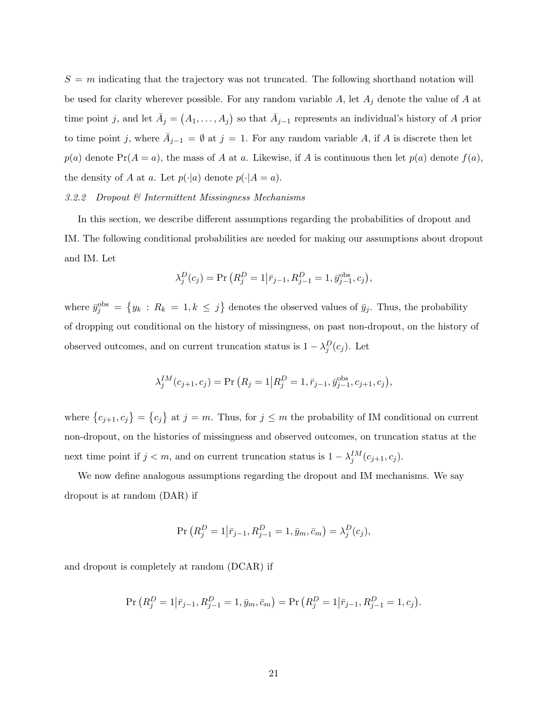$S = m$  indicating that the trajectory was not truncated. The following shorthand notation will be used for clarity wherever possible. For any random variable  $A$ , let  $A_j$  denote the value of  $A$  at time point j, and let  $\bar{A}_j = (A_1, \ldots, A_j)$  so that  $\bar{A}_{j-1}$  represents an individual's history of A prior to time point j, where  $\overline{A}_{j-1} = \emptyset$  at  $j = 1$ . For any random variable A, if A is discrete then let  $p(a)$  denote  $Pr(A = a)$ , the mass of A at a. Likewise, if A is continuous then let  $p(a)$  denote  $f(a)$ . the density of A at a. Let  $p(\cdot|a)$  denote  $p(\cdot|A = a)$ .

# 3.2.2 Dropout & Intermittent Missingness Mechanisms

In this section, we describe different assumptions regarding the probabilities of dropout and IM. The following conditional probabilities are needed for making our assumptions about dropout and IM. Let

$$
\lambda_j^D(c_j) = \Pr\left(R_j^D = 1 | \bar{r}_{j-1}, R_{j-1}^D = 1, \bar{y}_{j-1}^{\text{obs}}, c_j\right),
$$

where  $\bar{y}_j^{\text{obs}} = \{y_k : R_k = 1, k \leq j\}$  denotes the observed values of  $\bar{y}_j$ . Thus, the probability of dropping out conditional on the history of missingness, on past non-dropout, on the history of observed outcomes, and on current truncation status is  $1 - \lambda_j^D(c_j)$ . Let

$$
\lambda_j^{IM}(c_{j+1}, c_j) = \Pr(R_j = 1 | R_j^D = 1, \bar{r}_{j-1}, \bar{y}_{j-1}^{\text{obs}}, c_{j+1}, c_j),
$$

where  $\{c_{j+1}, c_j\} = \{c_j\}$  at  $j = m$ . Thus, for  $j \leq m$  the probability of IM conditional on current non-dropout, on the histories of missingness and observed outcomes, on truncation status at the next time point if  $j < m$ , and on current truncation status is  $1 - \lambda_j^{IM}(c_{j+1}, c_j)$ .

We now define analogous assumptions regarding the dropout and IM mechanisms. We say dropout is at random (DAR) if

$$
\Pr\left(R_j^D = 1 | \bar{r}_{j-1}, R_{j-1}^D = 1, \bar{y}_m, \bar{c}_m\right) = \lambda_j^D(c_j),
$$

and dropout is completely at random (DCAR) if

$$
\Pr\left(R_j^D = 1 | \bar{r}_{j-1}, R_{j-1}^D = 1, \bar{y}_m, \bar{c}_m\right) = \Pr\left(R_j^D = 1 | \bar{r}_{j-1}, R_{j-1}^D = 1, c_j\right).
$$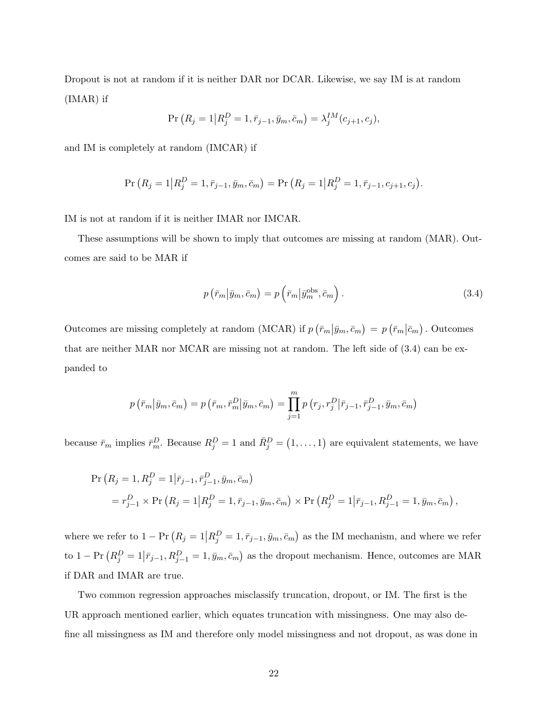Dropout is not at random if it is neither DAR nor DCAR. Likewise, we say IM is at random (IMAR) if

$$
\Pr(R_j = 1 | R_j^D = 1, \bar{r}_{j-1}, \bar{y}_m, \bar{c}_m) = \lambda_j^{IM}(c_{j+1}, c_j),
$$

and IM is completely at random (IMCAR) if

$$
\Pr(R_j = 1 | R_j^D = 1, \bar{r}_{j-1}, \bar{y}_m, \bar{c}_m) = \Pr(R_j = 1 | R_j^D = 1, \bar{r}_{j-1}, c_{j+1}, c_j).
$$

IM is not at random if it is neither IMAR nor IMCAR.

These assumptions will be shown to imply that outcomes are missing at random (MAR). Outcomes are said to be MAR if

$$
p\left(\bar{r}_m|\bar{y}_m,\bar{c}_m\right) = p\left(\bar{r}_m|\bar{y}_m^{\text{obs}},\bar{c}_m\right). \tag{3.4}
$$

Outcomes are missing completely at random (MCAR) if  $p(\bar{r}_m|\bar{y}_m,\bar{c}_m) = p(\bar{r}_m|\bar{c}_m)$ . Outcomes that are neither MAR nor MCAR are missing not at random. The left side of (3.4) can be expanded to

$$
p\left(\overline{r}_m\middle|\overline{y}_m,\overline{c}_m\right)=p\left(\overline{r}_m,\overline{r}_m^D\middle|\overline{y}_m,\overline{c}_m\right)=\prod_{j=1}^m p\left(r_j,r_j^D\middle|\overline{r}_{j-1},\overline{r}_{j-1}^D,\overline{y}_m,\overline{c}_m\right)
$$

because  $\bar{r}_m$  implies  $\bar{r}_m^D$ . Because  $R_j^D = 1$  and  $\bar{R}_j^D = (1, \ldots, 1)$  are equivalent statements, we have

$$
\Pr(R_j = 1, R_j^D = 1 | \bar{r}_{j-1}, \bar{r}_{j-1}^D, \bar{y}_m, \bar{c}_m)
$$
  
=  $r_{j-1}^D \times \Pr(R_j = 1 | R_j^D = 1, \bar{r}_{j-1}, \bar{y}_m, \bar{c}_m) \times \Pr(R_j^D = 1 | \bar{r}_{j-1}, R_{j-1}^D = 1, \bar{y}_m, \bar{c}_m),$ 

where we refer to  $1 - Pr(R_j = 1 | R_j^D = 1, \bar{r}_{j-1}, \bar{y}_m, \bar{c}_m)$  as the IM mechanism, and where we refer to  $1 - Pr(R_j^D = 1 | \bar{r}_{j-1}, R_{j-1}^D = 1, \bar{y}_m, \bar{c}_m)$  as the dropout mechanism. Hence, outcomes are MAR if DAR and IMAR are true.

Two common regression approaches misclassify truncation, dropout, or IM. The first is the UR approach mentioned earlier, which equates truncation with missingness. One may also define all missingness as IM and therefore only model missingness and not dropout, as was done in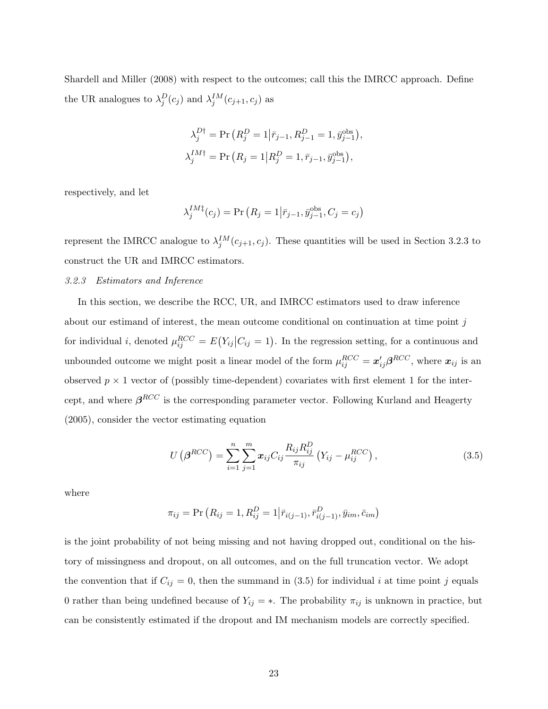Shardell and Miller (2008) with respect to the outcomes; call this the IMRCC approach. Define the UR analogues to  $\lambda_j^D(c_j)$  and  $\lambda_j^{IM}(c_{j+1}, c_j)$  as

$$
\lambda_j^{D\dagger} = \Pr\left(R_j^D = 1 | \bar{r}_{j-1}, R_{j-1}^D = 1, \bar{y}_{j-1}^{\text{obs}}\right),
$$
  

$$
\lambda_j^{IM\dagger} = \Pr\left(R_j = 1 | R_j^D = 1, \bar{r}_{j-1}, \bar{y}_{j-1}^{\text{obs}}\right),
$$

respectively, and let

$$
\lambda_j^{IM\dagger}(c_j) = \Pr(R_j = 1 | \bar{r}_{j-1}, \bar{y}_{j-1}^{obs}, C_j = c_j)
$$

represent the IMRCC analogue to  $\lambda_j^{IM}(c_{j+1}, c_j)$ . These quantities will be used in Section 3.2.3 to construct the UR and IMRCC estimators.

# 3.2.3 Estimators and Inference

In this section, we describe the RCC, UR, and IMRCC estimators used to draw inference about our estimand of interest, the mean outcome conditional on continuation at time point j for individual *i*, denoted  $\mu_{ij}^{RCC} = E(Y_{ij}|C_{ij} = 1)$ . In the regression setting, for a continuous and unbounded outcome we might posit a linear model of the form  $\mu_{ij}^{RCC} = \mathbf{x}'_{ij} \boldsymbol{\beta}^{RCC}$ , where  $\mathbf{x}_{ij}$  is an observed  $p \times 1$  vector of (possibly time-dependent) covariates with first element 1 for the intercept, and where  $\beta^{RCC}$  is the corresponding parameter vector. Following Kurland and Heagerty (2005), consider the vector estimating equation

$$
U(\beta^{RCC}) = \sum_{i=1}^{n} \sum_{j=1}^{m} x_{ij} C_{ij} \frac{R_{ij} R_{ij}^{D}}{\pi_{ij}} (Y_{ij} - \mu_{ij}^{RCC}), \qquad (3.5)
$$

where

$$
\pi_{ij} = \Pr(R_{ij} = 1, R_{ij}^D = 1 | \bar{r}_{i(j-1)}, \bar{r}_{i(j-1)}^D, \bar{y}_{im}, \bar{c}_{im})
$$

is the joint probability of not being missing and not having dropped out, conditional on the history of missingness and dropout, on all outcomes, and on the full truncation vector. We adopt the convention that if  $C_{ij} = 0$ , then the summand in (3.5) for individual i at time point j equals 0 rather than being undefined because of  $Y_{ij} = *$ . The probability  $\pi_{ij}$  is unknown in practice, but can be consistently estimated if the dropout and IM mechanism models are correctly specified.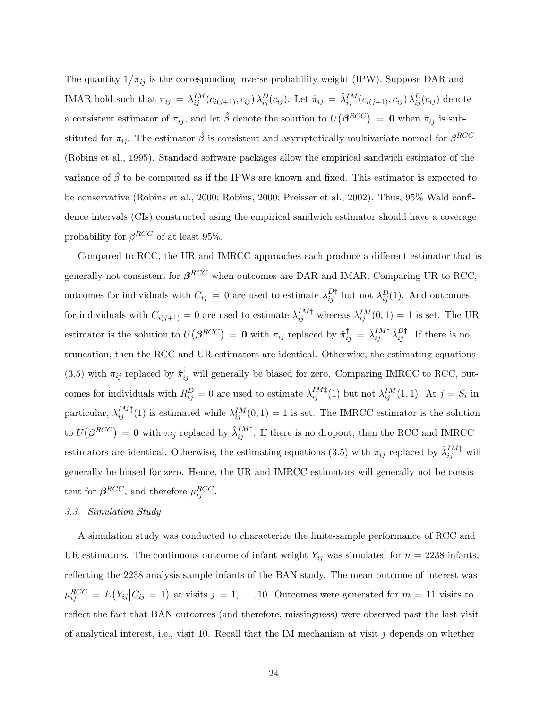The quantity  $1/\pi_{ij}$  is the corresponding inverse-probability weight (IPW). Suppose DAR and IMAR hold such that  $\pi_{ij} = \lambda_{ij}^{IM}(c_{i(j+1)}, c_{ij}) \lambda_{ij}^D(c_{ij})$ . Let  $\hat{\pi}_{ij} = \hat{\lambda}_{ij}^{IM}(c_{i(j+1)}, c_{ij}) \hat{\lambda}_{ij}^D(c_{ij})$  denote a consistent estimator of  $\pi_{ij}$ , and let  $\hat{\beta}$  denote the solution to  $U(\beta^{RCC}) = 0$  when  $\hat{\pi}_{ij}$  is substituted for  $\pi_{ij}$ . The estimator  $\hat{\beta}$  is consistent and asymptotically multivariate normal for  $\beta^{RCC}$ (Robins et al., 1995). Standard software packages allow the empirical sandwich estimator of the variance of  $\hat{\beta}$  to be computed as if the IPWs are known and fixed. This estimator is expected to be conservative (Robins et al., 2000; Robins, 2000; Preisser et al., 2002). Thus, 95% Wald confidence intervals (CIs) constructed using the empirical sandwich estimator should have a coverage probability for  $\beta^{RCC}$  of at least 95%.

Compared to RCC, the UR and IMRCC approaches each produce a different estimator that is generally not consistent for  $\beta^{RCC}$  when outcomes are DAR and IMAR. Comparing UR to RCC, outcomes for individuals with  $C_{ij} = 0$  are used to estimate  $\lambda_{ij}^{D\dagger}$  but not  $\lambda_{ij}^{D}(1)$ . And outcomes for individuals with  $C_{i(j+1)} = 0$  are used to estimate  $\lambda_{ij}^{IM\dagger}$  whereas  $\lambda_{ij}^{IM}(0,1) = 1$  is set. The UR estimator is the solution to  $U(\beta^{RCC}) = 0$  with  $\pi_{ij}$  replaced by  $\hat{\pi}_{ij}^{\dagger} = \hat{\lambda}_{ij}^{IM\dagger} \hat{\lambda}_{ij}^{D\dagger}$ . If there is no truncation, then the RCC and UR estimators are identical. Otherwise, the estimating equations (3.5) with  $\pi_{ij}$  replaced by  $\hat{\pi}_{ij}^{\dagger}$  will generally be biased for zero. Comparing IMRCC to RCC, outcomes for individuals with  $R_{ij}^D = 0$  are used to estimate  $\lambda_{ij}^{IM\ddagger}(1)$  but not  $\lambda_{ij}^{IM}(1,1)$ . At  $j = S_i$  in particular,  $\lambda_{ij}^{IM\ddagger}(1)$  is estimated while  $\lambda_{ij}^{IM}(0,1) = 1$  is set. The IMRCC estimator is the solution to  $U(\beta^{RCC}) = 0$  with  $\pi_{ij}$  replaced by  $\hat{\lambda}_{ij}^{IM^{\ddagger}}$ . If there is no dropout, then the RCC and IMRCC estimators are identical. Otherwise, the estimating equations (3.5) with  $\pi_{ij}$  replaced by  $\hat{\lambda}_{ij}^{IM\dagger}$  will generally be biased for zero. Hence, the UR and IMRCC estimators will generally not be consistent for  $\beta^{RCC}$ , and therefore  $\mu_{ij}^{RCC}$ .

# 3.3 Simulation Study

A simulation study was conducted to characterize the finite-sample performance of RCC and UR estimators. The continuous outcome of infant weight  $Y_{ij}$  was simulated for  $n = 2238$  infants, reflecting the 2238 analysis sample infants of the BAN study. The mean outcome of interest was  $\mu_{ij}^{RCC} = E(Y_{ij}|C_{ij} = 1)$  at visits  $j = 1, ..., 10$ . Outcomes were generated for  $m = 11$  visits to reflect the fact that BAN outcomes (and therefore, missingness) were observed past the last visit of analytical interest, i.e., visit 10. Recall that the IM mechanism at visit  $j$  depends on whether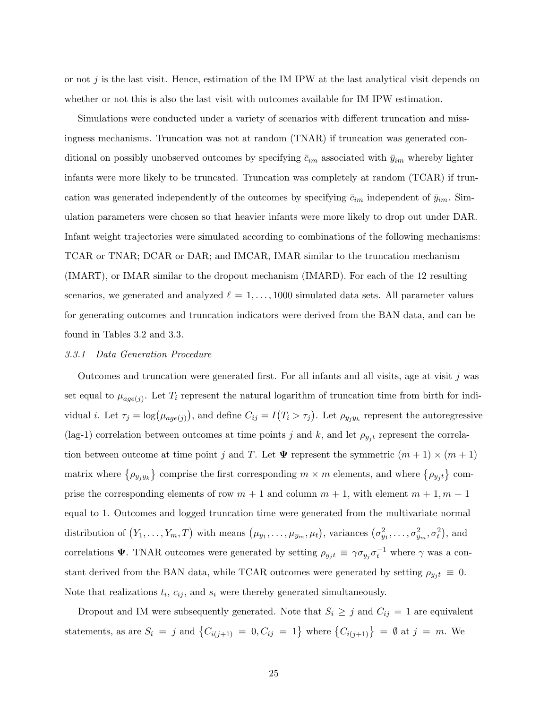or not  $j$  is the last visit. Hence, estimation of the IM IPW at the last analytical visit depends on whether or not this is also the last visit with outcomes available for IM IPW estimation.

Simulations were conducted under a variety of scenarios with different truncation and missingness mechanisms. Truncation was not at random (TNAR) if truncation was generated conditional on possibly unobserved outcomes by specifying  $\bar{c}_{im}$  associated with  $\bar{y}_{im}$  whereby lighter infants were more likely to be truncated. Truncation was completely at random (TCAR) if truncation was generated independently of the outcomes by specifying  $\bar{c}_{im}$  independent of  $\bar{y}_{im}$ . Simulation parameters were chosen so that heavier infants were more likely to drop out under DAR. Infant weight trajectories were simulated according to combinations of the following mechanisms: TCAR or TNAR; DCAR or DAR; and IMCAR, IMAR similar to the truncation mechanism (IMART), or IMAR similar to the dropout mechanism (IMARD). For each of the 12 resulting scenarios, we generated and analyzed  $\ell = 1, \ldots, 1000$  simulated data sets. All parameter values for generating outcomes and truncation indicators were derived from the BAN data, and can be found in Tables 3.2 and 3.3.

#### 3.3.1 Data Generation Procedure

Outcomes and truncation were generated first. For all infants and all visits, age at visit  $j$  was set equal to  $\mu_{age(j)}$ . Let  $T_i$  represent the natural logarithm of truncation time from birth for individual *i*. Let  $\tau_j = \log(\mu_{age(j)})$ , and define  $C_{ij} = I(T_i > \tau_j)$ . Let  $\rho_{y_jy_k}$  represent the autoregressive (lag-1) correlation between outcomes at time points j and k, and let  $\rho_{y_j t}$  represent the correlation between outcome at time point j and T. Let  $\Psi$  represent the symmetric  $(m + 1) \times (m + 1)$ matrix where  $\{\rho_{y_jy_k}\}\)$  comprise the first corresponding  $m \times m$  elements, and where  $\{\rho_{y_jt}\}\)$  comprise the corresponding elements of row  $m + 1$  and column  $m + 1$ , with element  $m + 1, m + 1$ equal to 1. Outcomes and logged truncation time were generated from the multivariate normal distribution of  $(Y_1, \ldots, Y_m, T)$  with means  $(\mu_{y_1}, \ldots, \mu_{y_m}, \mu_t)$ , variances  $(\sigma_{y_1}^2, \ldots, \sigma_{y_m}^2, \sigma_t^2)$ , and correlations  $\Psi$ . TNAR outcomes were generated by setting  $\rho_{y_j t} \equiv \gamma \sigma_{y_j} \sigma_t^{-1}$  where  $\gamma$  was a constant derived from the BAN data, while TCAR outcomes were generated by setting  $\rho_{yjt} \equiv 0$ . Note that realizations  $t_i$ ,  $c_{ij}$ , and  $s_i$  were thereby generated simultaneously.

Dropout and IM were subsequently generated. Note that  $S_i \geq j$  and  $C_{ij} = 1$  are equivalent statements, as are  $S_i = j$  and  $\{C_{i(j+1)} = 0, C_{ij} = 1\}$  where  $\{C_{i(j+1)}\} = \emptyset$  at  $j = m$ . We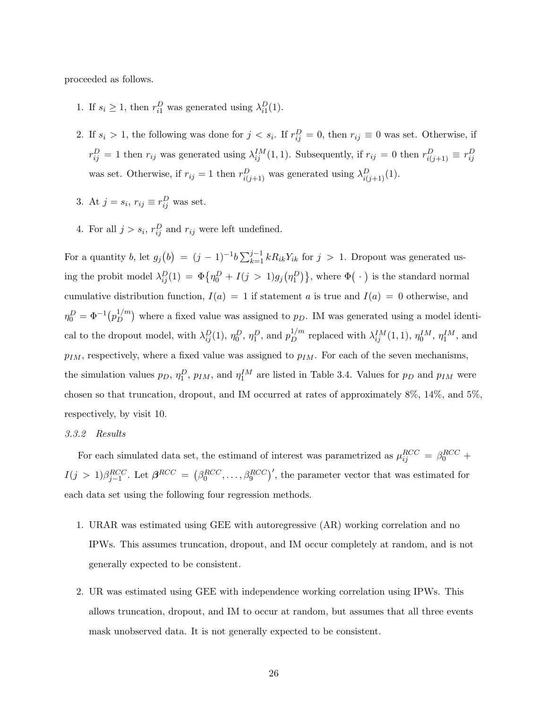proceeded as follows.

- 1. If  $s_i \geq 1$ , then  $r_{i1}^D$  was generated using  $\lambda_{i1}^D(1)$ .
- 2. If  $s_i > 1$ , the following was done for  $j < s_i$ . If  $r_{ij}^D = 0$ , then  $r_{ij} \equiv 0$  was set. Otherwise, if  $r_{ij}^D = 1$  then  $r_{ij}$  was generated using  $\lambda_{ij}^{IM}(1,1)$ . Subsequently, if  $r_{ij} = 0$  then  $r_{i(j+1)}^D \equiv r_{ij}^D$ was set. Otherwise, if  $r_{ij} = 1$  then  $r_{i(j+1)}^D$  was generated using  $\lambda_{i(j+1)}^D(1)$ .
- 3. At  $j = s_i$ ,  $r_{ij} \equiv r_{ij}^D$  was set.
- 4. For all  $j > s_i$ ,  $r_{ij}^D$  and  $r_{ij}$  were left undefined.

For a quantity b, let  $g_j(b) = (j-1)^{-1}b \sum_{k=1}^{j-1} k R_{ik} Y_{ik}$  for  $j > 1$ . Dropout was generated using the probit model  $\lambda_{ij}^D(1) = \Phi\{\eta_0^D + I(j>1)g_j(\eta_1^D)\}\$ , where  $\Phi(\cdot)$  is the standard normal cumulative distribution function,  $I(a) = 1$  if statement a is true and  $I(a) = 0$  otherwise, and  $\eta_0^D = \Phi^{-1}\big(p_D^{1/m}$  $\binom{1}{D}$  where a fixed value was assigned to  $p_D$ . IM was generated using a model identical to the dropout model, with  $\lambda_{ij}^D(1)$ ,  $\eta_0^D$ ,  $\eta_1^D$ , and  $p_D^{1/m}$  replaced with  $\lambda_{ij}^{IM}(1,1)$ ,  $\eta_0^{IM}$ ,  $\eta_1^{IM}$ , and  $p_{IM}$ , respectively, where a fixed value was assigned to  $p_{IM}$ . For each of the seven mechanisms, the simulation values  $p_D, \eta_1^D, p_{IM}$ , and  $\eta_1^{IM}$  are listed in Table 3.4. Values for  $p_D$  and  $p_{IM}$  were chosen so that truncation, dropout, and IM occurred at rates of approximately 8%, 14%, and 5%, respectively, by visit 10.

## 3.3.2 Results

For each simulated data set, the estimand of interest was parametrized as  $\mu_{ij}^{RCC} = \beta_0^{RCC} + \mu_{ij}^{RCC}$  $I(j > 1)\beta_{j-1}^{RCC}$ . Let  $\beta_{0}^{RCC} = (\beta_{0}^{RCC}, \ldots, \beta_{9}^{RCC})'$ , the parameter vector that was estimated for each data set using the following four regression methods.

- 1. URAR was estimated using GEE with autoregressive (AR) working correlation and no IPWs. This assumes truncation, dropout, and IM occur completely at random, and is not generally expected to be consistent.
- 2. UR was estimated using GEE with independence working correlation using IPWs. This allows truncation, dropout, and IM to occur at random, but assumes that all three events mask unobserved data. It is not generally expected to be consistent.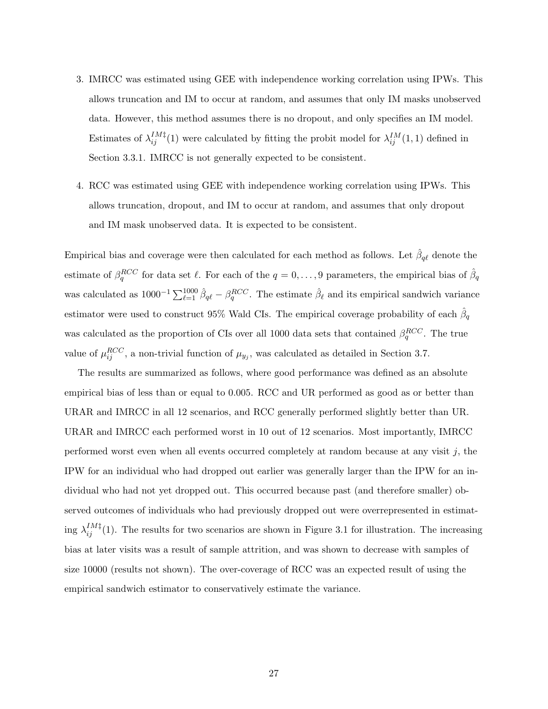- 3. IMRCC was estimated using GEE with independence working correlation using IPWs. This allows truncation and IM to occur at random, and assumes that only IM masks unobserved data. However, this method assumes there is no dropout, and only specifies an IM model. Estimates of  $\lambda_{ij}^{IM\ddagger}(1)$  were calculated by fitting the probit model for  $\lambda_{ij}^{IM}(1,1)$  defined in Section 3.3.1. IMRCC is not generally expected to be consistent.
- 4. RCC was estimated using GEE with independence working correlation using IPWs. This allows truncation, dropout, and IM to occur at random, and assumes that only dropout and IM mask unobserved data. It is expected to be consistent.

Empirical bias and coverage were then calculated for each method as follows. Let  $\hat{\beta}_{q\ell}$  denote the estimate of  $\beta_q^{RCC}$  for data set  $\ell$ . For each of the  $q = 0, \ldots, 9$  parameters, the empirical bias of  $\hat{\beta}_q$ was calculated as  $1000^{-1} \sum_{\ell=1}^{1000} \hat{\beta}_{q\ell} - \beta_q^{RCC}$ . The estimate  $\hat{\beta}_{\ell}$  and its empirical sandwich variance estimator were used to construct 95% Wald CIs. The empirical coverage probability of each  $\hat{\beta}_q$ was calculated as the proportion of CIs over all 1000 data sets that contained  $\beta_q^{RCC}$ . The true value of  $\mu_{ij}^{RCC}$ , a non-trivial function of  $\mu_{y_j}$ , was calculated as detailed in Section 3.7.

The results are summarized as follows, where good performance was defined as an absolute empirical bias of less than or equal to 0.005. RCC and UR performed as good as or better than URAR and IMRCC in all 12 scenarios, and RCC generally performed slightly better than UR. URAR and IMRCC each performed worst in 10 out of 12 scenarios. Most importantly, IMRCC performed worst even when all events occurred completely at random because at any visit  $j$ , the IPW for an individual who had dropped out earlier was generally larger than the IPW for an individual who had not yet dropped out. This occurred because past (and therefore smaller) observed outcomes of individuals who had previously dropped out were overrepresented in estimating  $\lambda_{ij}^{IM\ddagger}(1)$ . The results for two scenarios are shown in Figure 3.1 for illustration. The increasing bias at later visits was a result of sample attrition, and was shown to decrease with samples of size 10000 (results not shown). The over-coverage of RCC was an expected result of using the empirical sandwich estimator to conservatively estimate the variance.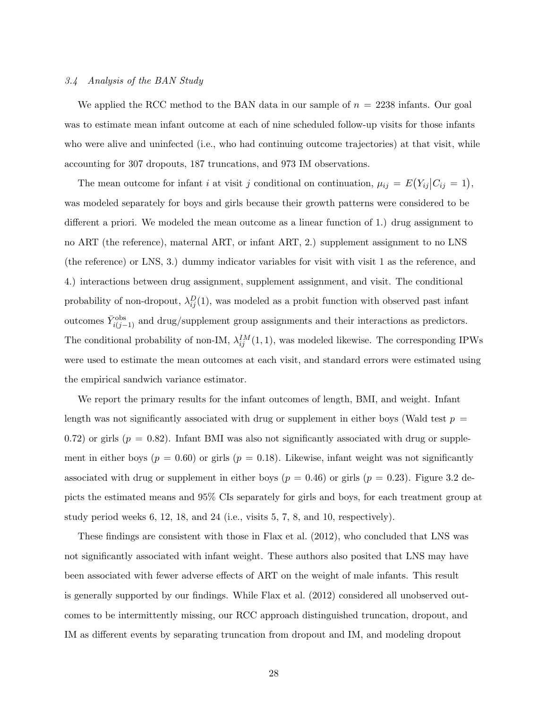# 3.4 Analysis of the BAN Study

We applied the RCC method to the BAN data in our sample of  $n = 2238$  infants. Our goal was to estimate mean infant outcome at each of nine scheduled follow-up visits for those infants who were alive and uninfected (i.e., who had continuing outcome trajectories) at that visit, while accounting for 307 dropouts, 187 truncations, and 973 IM observations.

The mean outcome for infant i at visit j conditional on continuation,  $\mu_{ij} = E(Y_{ij}|C_{ij} = 1)$ , was modeled separately for boys and girls because their growth patterns were considered to be different a priori. We modeled the mean outcome as a linear function of 1.) drug assignment to no ART (the reference), maternal ART, or infant ART, 2.) supplement assignment to no LNS (the reference) or LNS, 3.) dummy indicator variables for visit with visit 1 as the reference, and 4.) interactions between drug assignment, supplement assignment, and visit. The conditional probability of non-dropout,  $\lambda_{ij}^D(1)$ , was modeled as a probit function with observed past infant outcomes  $\bar{Y}_{i(j-1)}^{\text{obs}}$  and drug/supplement group assignments and their interactions as predictors. The conditional probability of non-IM,  $\lambda_{ij}^{IM}(1,1)$ , was modeled likewise. The corresponding IPWs were used to estimate the mean outcomes at each visit, and standard errors were estimated using the empirical sandwich variance estimator.

We report the primary results for the infant outcomes of length, BMI, and weight. Infant length was not significantly associated with drug or supplement in either boys (Wald test  $p =$ 0.72) or girls ( $p = 0.82$ ). Infant BMI was also not significantly associated with drug or supplement in either boys ( $p = 0.60$ ) or girls ( $p = 0.18$ ). Likewise, infant weight was not significantly associated with drug or supplement in either boys ( $p = 0.46$ ) or girls ( $p = 0.23$ ). Figure 3.2 depicts the estimated means and 95% CIs separately for girls and boys, for each treatment group at study period weeks 6, 12, 18, and 24 (i.e., visits 5, 7, 8, and 10, respectively).

These findings are consistent with those in Flax et al. (2012), who concluded that LNS was not significantly associated with infant weight. These authors also posited that LNS may have been associated with fewer adverse effects of ART on the weight of male infants. This result is generally supported by our findings. While Flax et al. (2012) considered all unobserved outcomes to be intermittently missing, our RCC approach distinguished truncation, dropout, and IM as different events by separating truncation from dropout and IM, and modeling dropout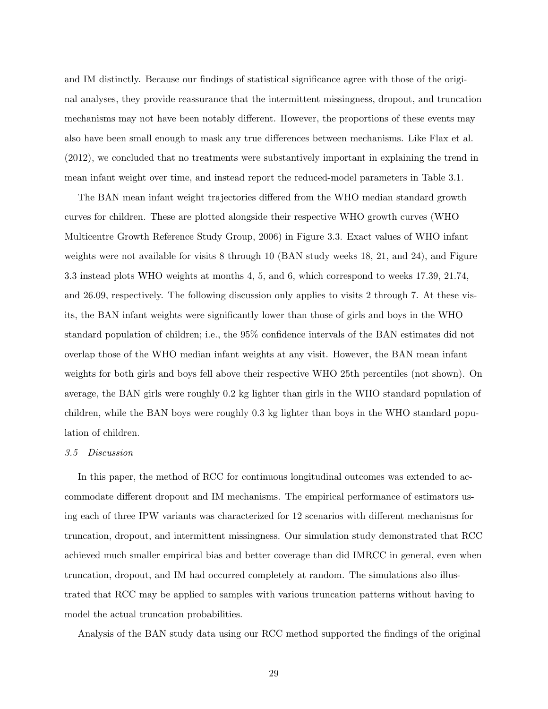and IM distinctly. Because our findings of statistical significance agree with those of the original analyses, they provide reassurance that the intermittent missingness, dropout, and truncation mechanisms may not have been notably different. However, the proportions of these events may also have been small enough to mask any true differences between mechanisms. Like Flax et al. (2012), we concluded that no treatments were substantively important in explaining the trend in mean infant weight over time, and instead report the reduced-model parameters in Table 3.1.

The BAN mean infant weight trajectories differed from the WHO median standard growth curves for children. These are plotted alongside their respective WHO growth curves (WHO Multicentre Growth Reference Study Group, 2006) in Figure 3.3. Exact values of WHO infant weights were not available for visits 8 through 10 (BAN study weeks 18, 21, and 24), and Figure 3.3 instead plots WHO weights at months 4, 5, and 6, which correspond to weeks 17.39, 21.74, and 26.09, respectively. The following discussion only applies to visits 2 through 7. At these visits, the BAN infant weights were significantly lower than those of girls and boys in the WHO standard population of children; i.e., the 95% confidence intervals of the BAN estimates did not overlap those of the WHO median infant weights at any visit. However, the BAN mean infant weights for both girls and boys fell above their respective WHO 25th percentiles (not shown). On average, the BAN girls were roughly 0.2 kg lighter than girls in the WHO standard population of children, while the BAN boys were roughly 0.3 kg lighter than boys in the WHO standard population of children.

#### 3.5 Discussion

In this paper, the method of RCC for continuous longitudinal outcomes was extended to accommodate different dropout and IM mechanisms. The empirical performance of estimators using each of three IPW variants was characterized for 12 scenarios with different mechanisms for truncation, dropout, and intermittent missingness. Our simulation study demonstrated that RCC achieved much smaller empirical bias and better coverage than did IMRCC in general, even when truncation, dropout, and IM had occurred completely at random. The simulations also illustrated that RCC may be applied to samples with various truncation patterns without having to model the actual truncation probabilities.

Analysis of the BAN study data using our RCC method supported the findings of the original

29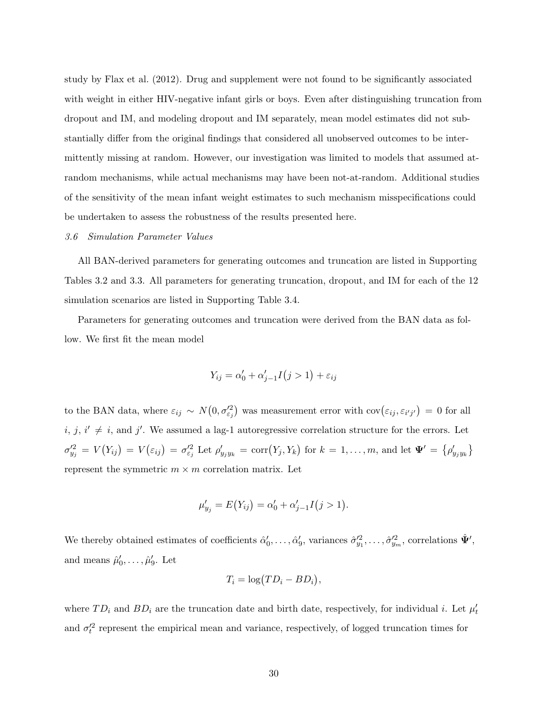study by Flax et al. (2012). Drug and supplement were not found to be significantly associated with weight in either HIV-negative infant girls or boys. Even after distinguishing truncation from dropout and IM, and modeling dropout and IM separately, mean model estimates did not substantially differ from the original findings that considered all unobserved outcomes to be intermittently missing at random. However, our investigation was limited to models that assumed atrandom mechanisms, while actual mechanisms may have been not-at-random. Additional studies of the sensitivity of the mean infant weight estimates to such mechanism misspecifications could be undertaken to assess the robustness of the results presented here.

## 3.6 Simulation Parameter Values

All BAN-derived parameters for generating outcomes and truncation are listed in Supporting Tables 3.2 and 3.3. All parameters for generating truncation, dropout, and IM for each of the 12 simulation scenarios are listed in Supporting Table 3.4.

Parameters for generating outcomes and truncation were derived from the BAN data as follow. We first fit the mean model

$$
Y_{ij} = \alpha'_0 + \alpha'_{j-1} I(j>1) + \varepsilon_{ij}
$$

to the BAN data, where  $\varepsilon_{ij} \sim N(0, \sigma_{\varepsilon_j}^2)$  was measurement error with  $cov(\varepsilon_{ij}, \varepsilon_{i'j'}) = 0$  for all  $i, j, i' \neq i$ , and j'. We assumed a lag-1 autoregressive correlation structure for the errors. Let  $\sigma_{y_j}^2 = V(Y_{ij}) = V(\varepsilon_{ij}) = \sigma_{\varepsilon_j}^2$  Let  $\rho_{y_j y_k}^{\prime} = \text{corr}(Y_j, Y_k)$  for  $k = 1, \ldots, m$ , and let  $\Psi' = {\rho_{y_j y_k}^{\prime}}$ represent the symmetric  $m \times m$  correlation matrix. Let

$$
\mu'_{y_j} = E(Y_{ij}) = \alpha'_0 + \alpha'_{j-1} I(j > 1).
$$

We thereby obtained estimates of coefficients  $\hat{\alpha}'_0, \ldots, \hat{\alpha}'_9$ , variances  $\hat{\sigma}'^2_{y_1}, \ldots, \hat{\sigma}'^2_{y_m}$ , correlations  $\hat{\Psi}'$ , and means  $\hat{\mu}'_0, \dots, \hat{\mu}'_9$ . Let

$$
T_i = \log(TD_i - BD_i),
$$

where  $TD_i$  and  $BD_i$  are the truncation date and birth date, respectively, for individual i. Let  $\mu'_t$ and  $\sigma_t^2$  represent the empirical mean and variance, respectively, of logged truncation times for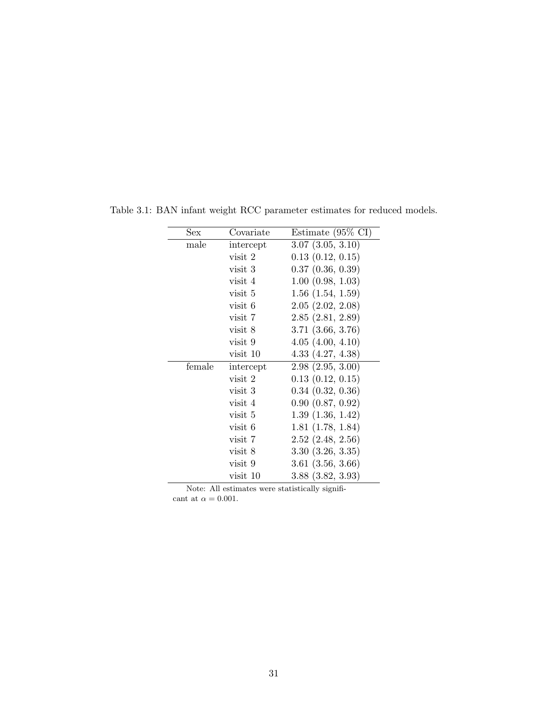| Sex    | Covariate | Estimate $(95\% \text{ CI})$ |
|--------|-----------|------------------------------|
| male   | intercept | $3.07$ $(3.05, 3.10)$        |
|        | visit 2   | 0.13(0.12, 0.15)             |
|        | visit 3   | $0.37$ $(0.36, 0.39)$        |
|        | visit 4   | 1.00(0.98, 1.03)             |
|        | visit 5   | $1.56$ $(1.54, 1.59)$        |
|        | visit 6   | 2.05(2.02, 2.08)             |
|        | visit 7   | 2.85(2.81, 2.89)             |
|        | visit 8   | $3.71$ $(3.66, 3.76)$        |
|        | visit 9   | 4.05(4.00, 4.10)             |
|        | visit 10  | 4.33(4.27, 4.38)             |
| female | intercept | 2.98(2.95, 3.00)             |
|        | visit 2   | $0.13$ $(0.12, 0.15)$        |
|        | visit 3   | $0.34$ $(0.32, 0.36)$        |
|        | visit 4   | 0.90(0.87, 0.92)             |
|        | visit 5   | 1.39(1.36, 1.42)             |
|        | visit 6   | 1.81(1.78, 1.84)             |
|        | visit 7   | $2.52$ $(2.48, 2.56)$        |
|        | visit 8   | 3.30(3.26, 3.35)             |
|        | visit 9   | $3.61$ $(3.56, 3.66)$        |
|        | visit 10  | $3.88$ $(3.82, 3.93)$        |

Table 3.1: BAN infant weight RCC parameter estimates for reduced models.

Note: All estimates were statistically significant at  $\alpha=0.001.$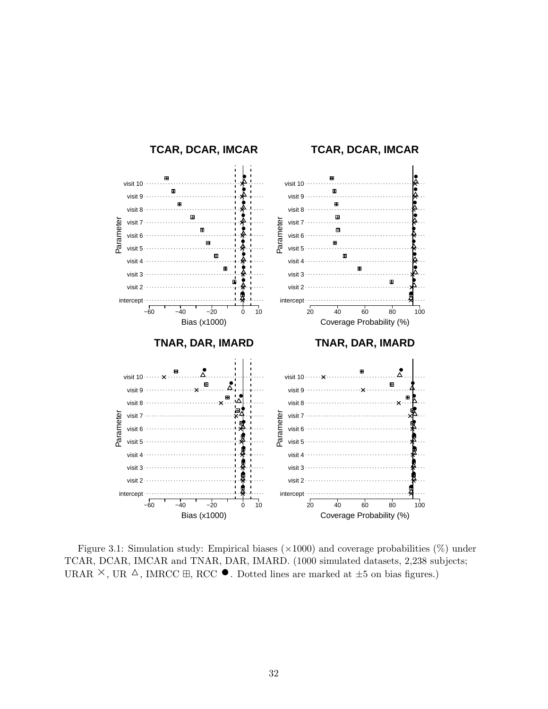

Figure 3.1: Simulation study: Empirical biases  $(\times 1000)$  and coverage probabilities  $(\%)$  under TCAR, DCAR, IMCAR and TNAR, DAR, IMARD. (1000 simulated datasets, 2,238 subjects; URAR  $\times$ , UR  $\Delta$ , IMRCC  $\boxplus$ , RCC  $\bullet$ . Dotted lines are marked at  $\pm 5$  on bias figures.)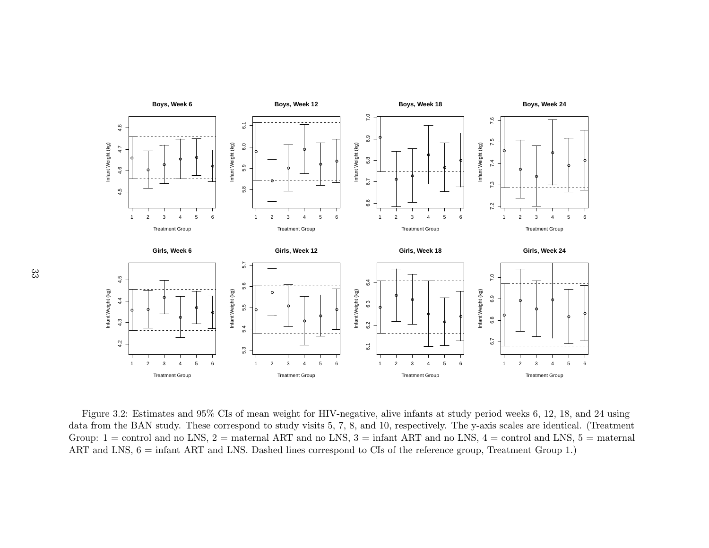

Figure 3.2: Estimates and 95% CIs of mean weight for HIV-negative, alive infants at study period weeks 6, 12, 18, and 24 using data from the BAN study. These correspond to study visits 5, 7, 8, and 10, respectively. The y-axis scales are identical. (TreatmentGroup:  $1 =$  control and no LNS,  $2 =$  maternal ART and no LNS,  $3 =$  infant ART and no LNS,  $4 =$  control and LNS,  $5 =$  maternal ART and LNS,  $6 = \text{infant ART}$  and LNS. Dashed lines correspond to CIs of the reference group, Treatment Group 1.)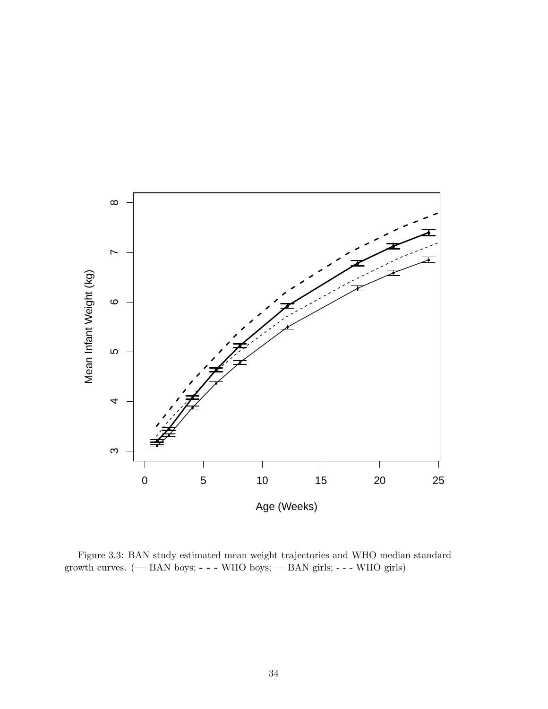

Figure 3.3: BAN study estimated mean weight trajectories and WHO median standard growth curves. (— BAN boys; - - - WHO boys; — BAN girls; - - - WHO girls)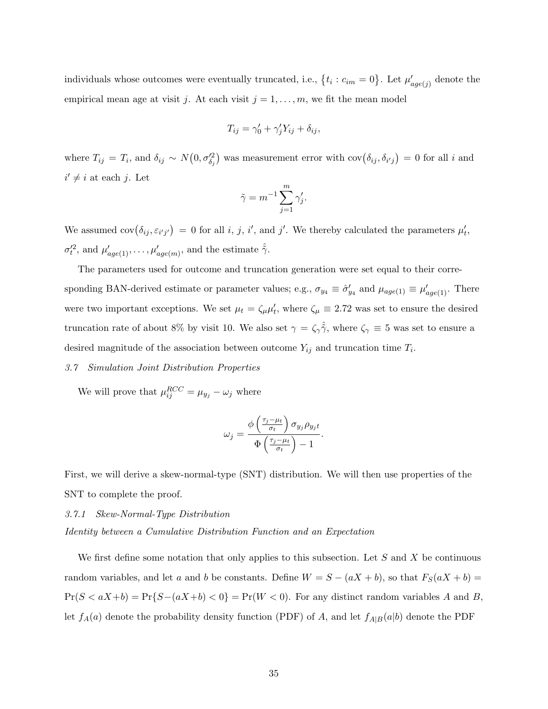individuals whose outcomes were eventually truncated, i.e.,  $\{t_i : c_{im} = 0\}$ . Let  $\mu'_{age(j)}$  denote the empirical mean age at visit j. At each visit  $j = 1, \ldots, m$ , we fit the mean model

$$
T_{ij} = \gamma'_0 + \gamma'_j Y_{ij} + \delta_{ij},
$$

where  $T_{ij} = T_i$ , and  $\delta_{ij} \sim N(0, \sigma_{\delta_j}^2)$  was measurement error with  $cov(\delta_{ij}, \delta_{i'j}) = 0$  for all i and  $i' \neq i$  at each j. Let

$$
\tilde{\gamma} = m^{-1} \sum_{j=1}^{m} \gamma'_j.
$$

We assumed  $cov(\delta_{ij}, \varepsilon_{i'j'}) = 0$  for all i, j, i', and j'. We thereby calculated the parameters  $\mu'_t$ ,  $\sigma_t^{\prime 2}$ , and  $\mu_{age(1)}^{\prime}, \ldots, \mu_{age(m)}^{\prime}$ , and the estimate  $\hat{\tilde{\gamma}}$ .

The parameters used for outcome and truncation generation were set equal to their corresponding BAN-derived estimate or parameter values; e.g.,  $\sigma_{y_4} \equiv \hat{\sigma}'_{y_4}$  and  $\mu_{age(1)} \equiv \mu'_{age(1)}$ . There were two important exceptions. We set  $\mu_t = \zeta_\mu \mu'_t$ , where  $\zeta_\mu \equiv 2.72$  was set to ensure the desired truncation rate of about 8% by visit 10. We also set  $\gamma = \zeta \hat{\gamma}$ , where  $\zeta_{\gamma} \equiv 5$  was set to ensure a desired magnitude of the association between outcome  $Y_{ij}$  and truncation time  $T_i$ .

## 3.7 Simulation Joint Distribution Properties

We will prove that  $\mu_{ij}^{RCC} = \mu_{y_j} - \omega_j$  where

$$
\omega_j = \frac{\phi\left(\frac{\tau_j - \mu_t}{\sigma_t}\right) \sigma_{y_j} \rho_{y_j t}}{\Phi\left(\frac{\tau_j - \mu_t}{\sigma_t}\right) - 1}.
$$

First, we will derive a skew-normal-type (SNT) distribution. We will then use properties of the SNT to complete the proof.

3.7.1 Skew-Normal-Type Distribution

Identity between a Cumulative Distribution Function and an Expectation

We first define some notation that only applies to this subsection. Let  $S$  and  $X$  be continuous random variables, and let a and b be constants. Define  $W = S - (aX + b)$ , so that  $F_S(aX + b) =$  $Pr(S < aX+b) = Pr{S-(aX+b) < 0}$  =  $Pr(W < 0)$ . For any distinct random variables A and B, let  $f_A(a)$  denote the probability density function (PDF) of A, and let  $f_{A|B}(a|b)$  denote the PDF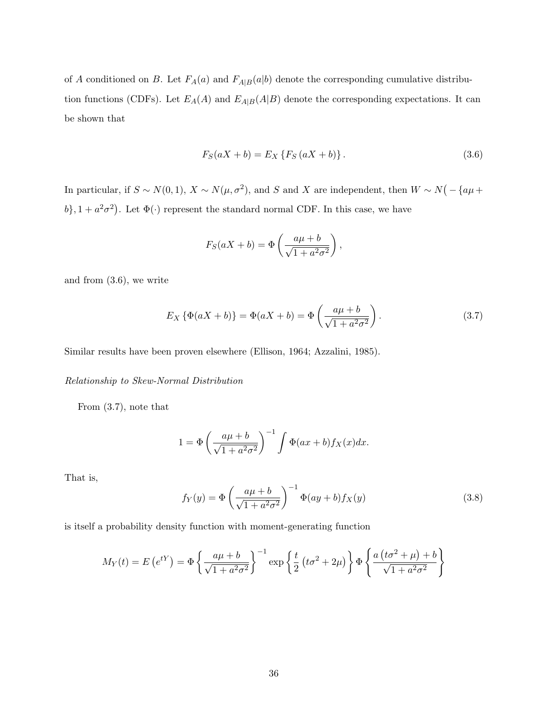of A conditioned on B. Let  $F_A(a)$  and  $F_{A|B}(a|b)$  denote the corresponding cumulative distribution functions (CDFs). Let  $E_A(A)$  and  $E_{A|B}(A|B)$  denote the corresponding expectations. It can be shown that

$$
F_S(aX + b) = E_X \{ F_S (aX + b) \}.
$$
\n(3.6)

In particular, if  $S \sim N(0, 1)$ ,  $X \sim N(\mu, \sigma^2)$ , and S and X are independent, then  $W \sim N(-\{\alpha\mu + \sigma^2\})$  $(b$ ,  $1 + a^2\sigma^2$ ). Let  $\Phi(\cdot)$  represent the standard normal CDF. In this case, we have

$$
F_S(aX + b) = \Phi\left(\frac{a\mu + b}{\sqrt{1 + a^2 \sigma^2}}\right),
$$

and from (3.6), we write

$$
E_X \{\Phi(aX + b)\} = \Phi(aX + b) = \Phi\left(\frac{a\mu + b}{\sqrt{1 + a^2 \sigma^2}}\right).
$$
 (3.7)

Similar results have been proven elsewhere (Ellison, 1964; Azzalini, 1985).

### Relationship to Skew-Normal Distribution

From (3.7), note that

$$
1 = \Phi\left(\frac{a\mu + b}{\sqrt{1 + a^2 \sigma^2}}\right)^{-1} \int \Phi(ax + b) f_X(x) dx.
$$

That is,

$$
f_Y(y) = \Phi\left(\frac{a\mu + b}{\sqrt{1 + a^2 \sigma^2}}\right)^{-1} \Phi(ay + b) f_X(y)
$$
 (3.8)

is itself a probability density function with moment-generating function

$$
M_Y(t) = E\left(e^{tY}\right) = \Phi\left\{\frac{a\mu + b}{\sqrt{1 + a^2\sigma^2}}\right\}^{-1} \exp\left\{\frac{t}{2}\left(t\sigma^2 + 2\mu\right)\right\} \Phi\left\{\frac{a\left(t\sigma^2 + \mu\right) + b}{\sqrt{1 + a^2\sigma^2}}\right\}
$$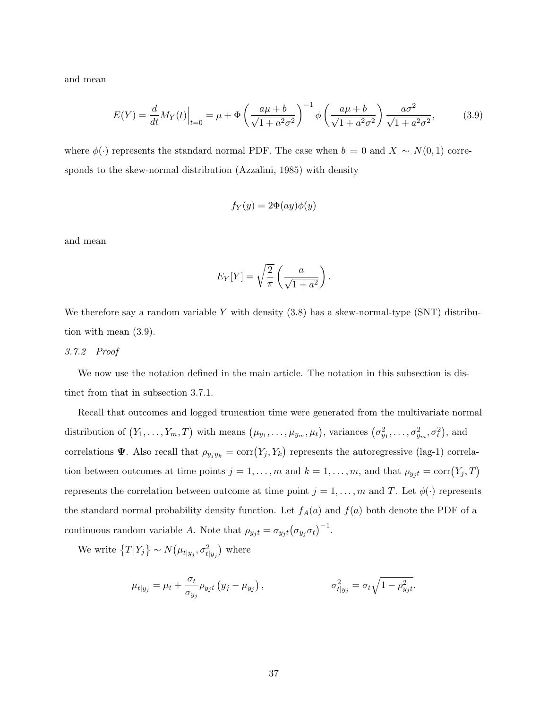and mean

$$
E(Y) = \frac{d}{dt} M_Y(t) \Big|_{t=0} = \mu + \Phi \left( \frac{a\mu + b}{\sqrt{1 + a^2 \sigma^2}} \right)^{-1} \phi \left( \frac{a\mu + b}{\sqrt{1 + a^2 \sigma^2}} \right) \frac{a\sigma^2}{\sqrt{1 + a^2 \sigma^2}},
$$
(3.9)

where  $\phi(\cdot)$  represents the standard normal PDF. The case when  $b = 0$  and  $X \sim N(0, 1)$  corresponds to the skew-normal distribution (Azzalini, 1985) with density

$$
f_Y(y) = 2\Phi(ay)\phi(y)
$$

and mean

$$
E_Y[Y] = \sqrt{\frac{2}{\pi}} \left( \frac{a}{\sqrt{1+a^2}} \right).
$$

We therefore say a random variable Y with density  $(3.8)$  has a skew-normal-type  $(SNT)$  distribution with mean (3.9).

### 3.7.2 Proof

We now use the notation defined in the main article. The notation in this subsection is distinct from that in subsection 3.7.1.

Recall that outcomes and logged truncation time were generated from the multivariate normal distribution of  $(Y_1, \ldots, Y_m, T)$  with means  $(\mu_{y_1}, \ldots, \mu_{y_m}, \mu_t)$ , variances  $(\sigma_{y_1}^2, \ldots, \sigma_{y_m}^2, \sigma_t^2)$ , and correlations **Ψ**. Also recall that  $\rho_{y_jy_k} = \text{corr}(Y_j, Y_k)$  represents the autoregressive (lag-1) correlation between outcomes at time points  $j = 1, \ldots, m$  and  $k = 1, \ldots, m$ , and that  $\rho_{y_j t} = \text{corr}(Y_j, T)$ represents the correlation between outcome at time point  $j = 1, \ldots, m$  and T. Let  $\phi(\cdot)$  represents the standard normal probability density function. Let  $f_A(a)$  and  $f(a)$  both denote the PDF of a continuous random variable A. Note that  $\rho_{y_j t} = \sigma_{y_j t} (\sigma_{y_j} \sigma_t)^{-1}$ .

We write  $\{T|Y_j\} \sim N(\mu_{t|y_j}, \sigma^2_{t|y_j})$  where

$$
\mu_{t|y_j} = \mu_t + \frac{\sigma_t}{\sigma_{y_j}} \rho_{y_j t} (y_j - \mu_{y_j}), \qquad \sigma_{t|y_j}^2 = \sigma_t \sqrt{1 - \rho_{y_j t}^2}.
$$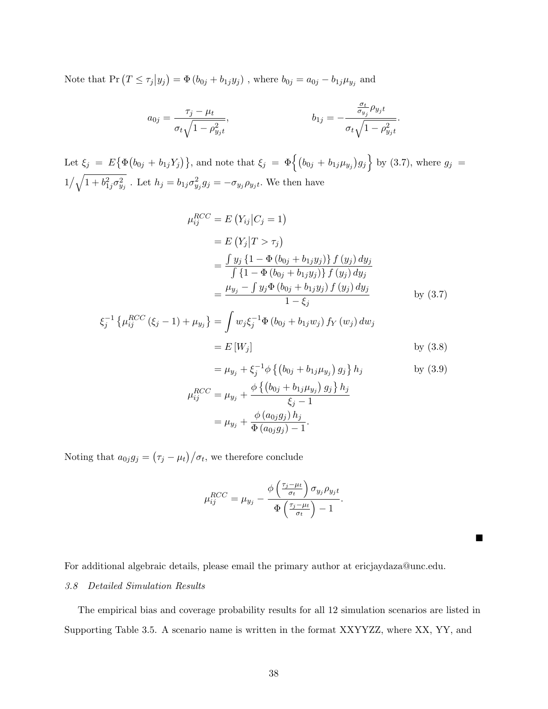Note that  $Pr(T \leq \tau_j | y_j) = \Phi(b_{0j} + b_{1j}y_j)$ , where  $b_{0j} = a_{0j} - b_{1j}\mu_{y_j}$  and

$$
a_{0j} = \frac{\tau_j - \mu_t}{\sigma_t \sqrt{1 - \rho_{y_j t}^2}}, \qquad b_{1j} = -\frac{\frac{\sigma_t}{\sigma_{y_j}} \rho_{y_j t}}{\sigma_t \sqrt{1 - \rho_{y_j t}^2}}.
$$

Let  $\xi_j = E\{\Phi(b_{0j} + b_{1j}Y_j)\}\$ , and note that  $\xi_j = \Phi\{(b_{0j} + b_{1j}\mu_{y_j})g_j\}$  by (3.7), where  $g_j =$  $1/\sqrt{1+b_{1j}^2\sigma_{y_j}^2}$ . Let  $h_j = b_{1j}\sigma_{y_j}^2g_j = -\sigma_{y_j}\rho_{y_jt}$ . We then have

$$
\mu_{ij}^{RCC} = E(Y_{ij}|C_j = 1)
$$
  
=  $E(Y_j|T > \tau_j)$   
=  $\frac{\int y_j \{1 - \Phi(b_{0j} + b_{1j}y_j)\} f(y_j) dy_j}{\int \{1 - \Phi(b_{0j} + b_{1j}y_j)\} f(y_j) dy_j}$   
=  $\frac{\mu_{y_j} - \int y_j \Phi(b_{0j} + b_{1j}y_j) f(y_j) dy_j}{1 - \xi_j}$  by (3.7)

$$
\xi_j^{-1} \left\{ \mu_{ij}^{RCC} \left( \xi_j - 1 \right) + \mu_{y_j} \right\} = \int w_j \xi_j^{-1} \Phi \left( b_{0j} + b_{1j} w_j \right) f_Y \left( w_j \right) dw_j
$$
  
=  $E[W_j]$  by (3.8)

$$
= \mu_{y_j} + \xi_j^{-1} \phi \left\{ \left( b_{0j} + b_{1j} \mu_{y_j} \right) g_j \right\} h_j \qquad \text{by (3.9)}
$$
  

$$
\mu_{ij}^{RCC} = \mu_{y_j} + \frac{\phi \left\{ \left( b_{0j} + b_{1j} \mu_{y_j} \right) g_j \right\} h_j}{\xi_j - 1}
$$
  

$$
= \mu_{y_j} + \frac{\phi \left( a_{0j} g_j \right) h_j}{\Phi \left( a_{0j} g_j \right) - 1}.
$$

Noting that  $a_{0j}g_j = (\tau_j - \mu_t)/\sigma_t$ , we therefore conclude

$$
\mu_{ij}^{RCC} = \mu_{y_j} - \frac{\phi\left(\frac{\tau_j - \mu_t}{\sigma_t}\right) \sigma_{y_j} \rho_{y_j t}}{\Phi\left(\frac{\tau_j - \mu_t}{\sigma_t}\right) - 1}.
$$

For additional algebraic details, please email the primary author at ericjaydaza@unc.edu.

П

## 3.8 Detailed Simulation Results

The empirical bias and coverage probability results for all 12 simulation scenarios are listed in Supporting Table 3.5. A scenario name is written in the format XXYYZZ, where XX, YY, and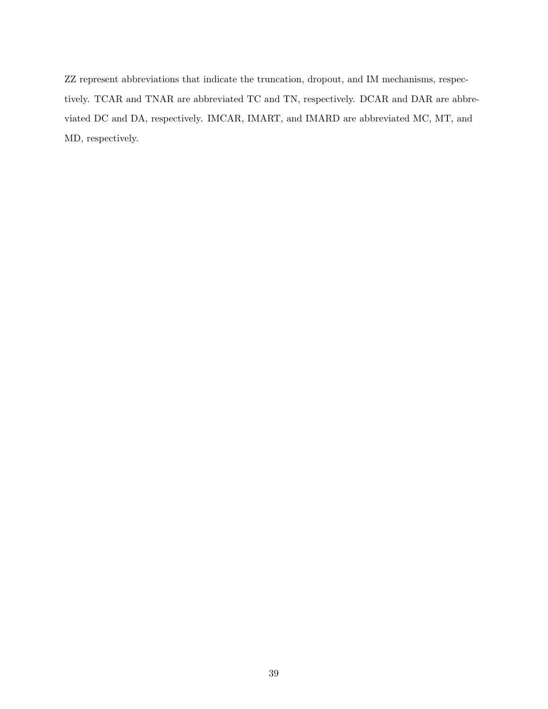ZZ represent abbreviations that indicate the truncation, dropout, and IM mechanisms, respectively. TCAR and TNAR are abbreviated TC and TN, respectively. DCAR and DAR are abbreviated DC and DA, respectively. IMCAR, IMART, and IMARD are abbreviated MC, MT, and MD, respectively.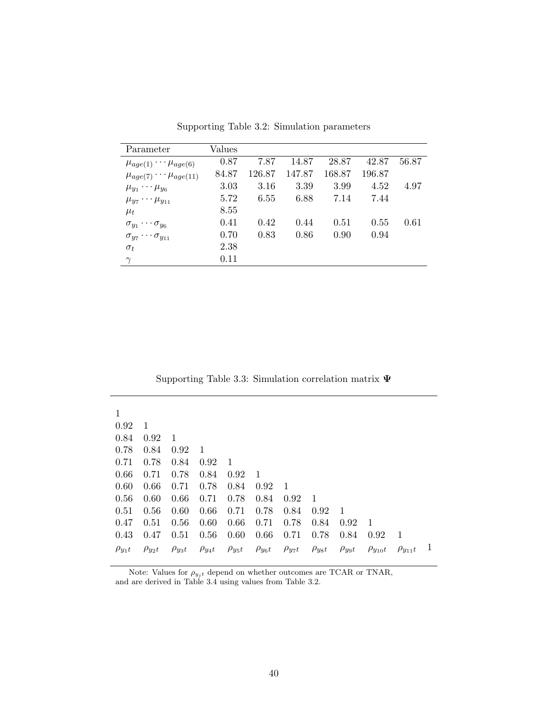| Parameter                             | Values |        |        |        |        |       |
|---------------------------------------|--------|--------|--------|--------|--------|-------|
| $\mu_{age(1)} \cdots \mu_{age(6)}$    | 0.87   | 7.87   | 14.87  | 28.87  | 42.87  | 56.87 |
| $\mu_{age(7)} \cdots \mu_{age(11)}$   | 84.87  | 126.87 | 147.87 | 168.87 | 196.87 |       |
| $\mu_{y_1} \cdots \mu_{y_6}$          | 3.03   | 3.16   | 3.39   | 3.99   | 4.52   | 4.97  |
| $\mu_{y_7}\cdots \mu_{y_{11}}$        | 5.72   | 6.55   | 6.88   | 7.14   | 7.44   |       |
| $\mu_t$                               | 8.55   |        |        |        |        |       |
| $\sigma_{y_1}\cdots\sigma_{y_6}$      | 0.41   | 0.42   | 0.44   | 0.51   | 0.55   | 0.61  |
| $\sigma_{y_7} \cdots \sigma_{y_{11}}$ | 0.70   | 0.83   | 0.86   | 0.90   | 0.94   |       |
| $\sigma_t$                            | 2.38   |        |        |        |        |       |
| $\gamma$                              | 0.11   |        |        |        |        |       |

Supporting Table 3.2: Simulation parameters

Supporting Table 3.3: Simulation correlation matrix Ψ

| 1             |               |               |                |                |      |                                                         |                |                |                  |                  |  |
|---------------|---------------|---------------|----------------|----------------|------|---------------------------------------------------------|----------------|----------------|------------------|------------------|--|
| 0.92          | -1            |               |                |                |      |                                                         |                |                |                  |                  |  |
| 0.84          | 0.92          | -1            |                |                |      |                                                         |                |                |                  |                  |  |
| 0.78          | 0.84          | 0.92          | $\overline{1}$ |                |      |                                                         |                |                |                  |                  |  |
| 0.71          | 0.78          | 0.84          | 0.92           | $\overline{1}$ |      |                                                         |                |                |                  |                  |  |
| 0.66          | 0.71          | 0.78          | 0.84           | 0.92           | - 1  |                                                         |                |                |                  |                  |  |
| 0.60          | 0.66          | 0.71          | 0.78           | 0.84           | 0.92 | - 1                                                     |                |                |                  |                  |  |
| 0.56          | 0.60          | 0.66          | 0.71           | 0.78           | 0.84 | 0.92                                                    | $\blacksquare$ |                |                  |                  |  |
| 0.51          | 0.56          | 0.60          | 0.66           | 0.71           | 0.78 | 0.84                                                    | 0.92           | $\overline{1}$ |                  |                  |  |
| 0.47          | 0.51          | 0.56          | 0.60           | 0.66           | 0.71 | 0.78                                                    | 0.84           | 0.92           | - 1              |                  |  |
| 0.43          | 0.47          | 0.51          | 0.56           | 0.60           | 0.66 | 0.71                                                    | 0.78           | 0.84           | 0.92             | - 1              |  |
| $\rho_{y_1t}$ | $\rho_{y_2t}$ | $\rho_{y_3t}$ |                |                |      | $\rho_{y_4t}$ $\rho_{y_5t}$ $\rho_{y_6t}$ $\rho_{y_7t}$ | $\rho_{yst}$   | $\rho_{ygt}$   | $\rho_{y_{10}t}$ | $\rho_{y_{11}t}$ |  |

Note: Values for  $\rho_{y_j t}$  depend on whether outcomes are TCAR or TNAR, and are derived in Table 3.4 using values from Table 3.2.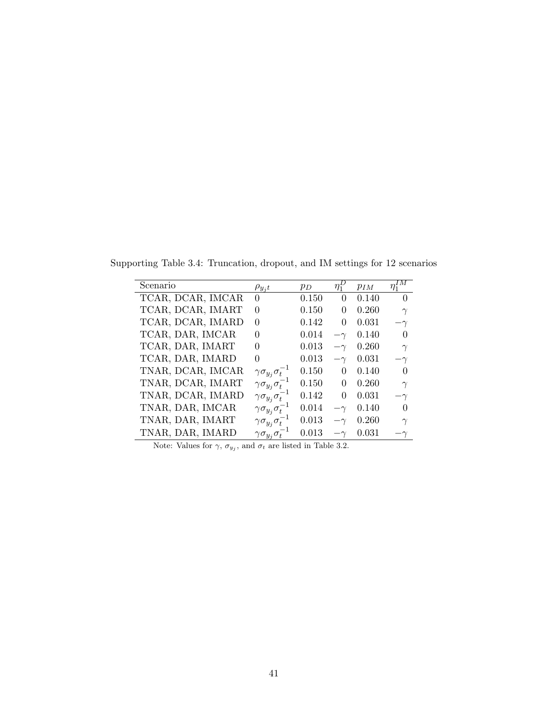Supporting Table 3.4: Truncation, dropout, and IM settings for 12 scenarios

| Scenario          | $\rho_{y_jt}$                       | $p_D$     | $\eta_1^-$ | $p_{IM}$ | ΙΜ<br>$\eta_1^*$ |
|-------------------|-------------------------------------|-----------|------------|----------|------------------|
| TCAR, DCAR, IMCAR | 0                                   | 0.150     | 0          | 0.140    | $\Omega$         |
| TCAR, DCAR, IMART | 0                                   | 0.150     | 0          | 0.260    | $\gamma$         |
| TCAR, DCAR, IMARD | $\theta$                            | 0.142     | $\Omega$   | 0.031    | $-\gamma$        |
| TCAR, DAR, IMCAR  | $\Omega$                            | 0.014     |            | 0.140    | $\theta$         |
| TCAR, DAR, IMART  | $\Omega$                            | 0.013     |            | 0.260    | $\gamma$         |
| TCAR, DAR, IMARD  | $\theta$                            | 0.013     |            | 0.031    | $-\gamma$        |
| TNAR, DCAR, IMCAR | $\gamma\sigma_{y_j}\sigma_t$        | $0.150\,$ | 0          | 0.140    | $\Omega$         |
| TNAR, DCAR, IMART | $\gamma \sigma_{y_j} \sigma_t^{-1}$ | 0.150     | 0          | 0.260    | $\gamma$         |
| TNAR, DCAR, IMARD | $\gamma \sigma_{y_i} \sigma_t^{-1}$ | 0.142     | $\Omega$   | 0.031    | $-\gamma$        |
| TNAR, DAR, IMCAR  | $\gamma \sigma_{y_i} \sigma_t^{-}$  | 0.014     | $-\gamma$  | 0.140    | $\Omega$         |
| TNAR, DAR, IMART  | $\gamma \sigma_{y_i} \sigma_t^{-}$  | 0.013     |            | 0.260    | $\gamma$         |
| TNAR, DAR, IMARD  | $\gamma \sigma_{y_i} \sigma_t$      | 0.013     |            | 0.031    |                  |

Note: Values for  $\gamma$ ,  $\sigma_{y_j}$ , and  $\sigma_t$  are listed in Table 3.2.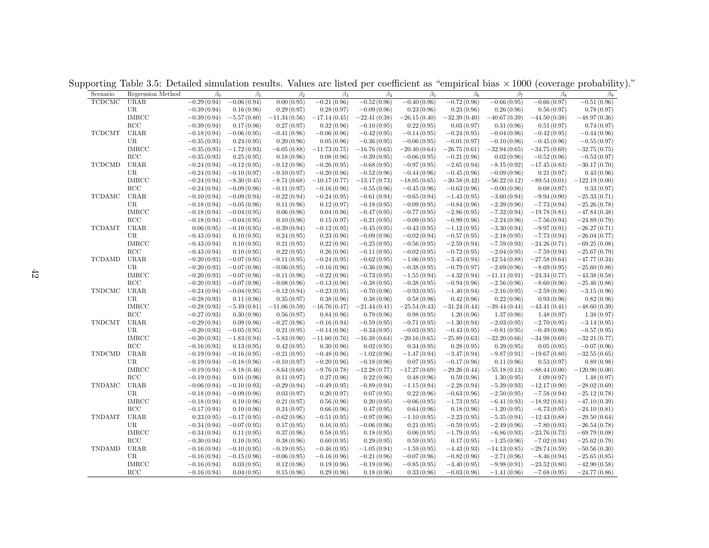Supporting Table 3.5: Detailed simulation results. Values are listed per coefficient as "empirical bias  $\times$  1000 (coverage probability)."

| Scenario      | Regression Method    | $\beta_0$     | $\beta_1$     | $\beta_2$      | $\beta_3$      | $\beta_4$      | $\beta_5$      | $\beta_6$      | $\beta_7$      | $\beta_8$      | $\beta_9$       |
|---------------|----------------------|---------------|---------------|----------------|----------------|----------------|----------------|----------------|----------------|----------------|-----------------|
| <b>TCDCMC</b> | <b>URAR</b>          | $-0.29(0.94)$ | $-0.06(0.94)$ | 0.00(0.95)     | $-0.21(0.96)$  | $-0.52(0.96)$  | $-0.40(0.96)$  | $-0.72(0.96)$  | $-0.66(0.95)$  | $-0.66(0.97)$  | $-0.51(0.96)$   |
|               | UR                   | $-0.39(0.94)$ | 0.16(0.96)    | 0.29(0.97)     | 0.28(0.97)     | $-0.09(0.96)$  | 0.23(0.96)     | 0.23(0.96)     | 0.26(0.96)     | 0.56(0.97)     | 0.78(0.97)      |
|               | <b>IMRCC</b>         | $-0.39(0.94)$ | $-5.57(0.80)$ | $-11.34(0.56)$ | $-17.14(0.45)$ | $-22.41(0.38)$ | $-26.15(0.40)$ | $-32.39(0.40)$ | $-40.67(0.39)$ | $-44.50(0.38)$ | $-48.97(0.36)$  |
|               | RCC                  | $-0.39(0.94)$ | 0.17(0.96)    | 0.27(0.97)     | 0.32(0.96)     | $-0.10(0.95)$  | 0.22(0.95)     | 0.03(0.97)     | 0.31(0.96)     | 0.51(0.97)     | 0.74(0.97)      |
| <b>TCDCMT</b> | URAR                 | $-0.18(0.94)$ | $-0.06(0.95)$ | $-0.41(0.96)$  | $-0.06(0.96)$  | $-0.42(0.95)$  | $-0.14(0.95)$  | $-0.24(0.95)$  | $-0.04(0.96)$  | $-0.42(0.95)$  | $-0.44(0.96)$   |
|               | UR                   | $-0.35(0.93)$ | 0.24(0.95)    | 0.20(0.96)     | 0.05(0.96)     | $-0.36(0.95)$  | $-0.06(0.95)$  | $-0.01(0.97)$  | $-0.10(0.96)$  | $-0.45(0.96)$  | $-0.55(0.97)$   |
|               | $IMRCC$              | $-0.35(0.93)$ | $-1.72(0.93)$ | $-6.05(0.88)$  | $-11.73(0.75)$ | $-16.76(0.63)$ | $-20.40(0.64)$ | $-26.75(0.61)$ | $-32.94(0.65)$ | $-34.75(0.69)$ | $-32.75(0.75)$  |
|               | $\operatorname{RCC}$ | $-0.35(0.93)$ | 0.25(0.95)    | 0.18(0.96)     | 0.08(0.96)     | $-0.39(0.95)$  | $-0.06(0.95)$  | $-0.21(0.96)$  | 0.02(0.96)     | $-0.52(0.96)$  | $-0.53(0.97)$   |
| <b>TCDCMD</b> | <b>URAR</b>          | $-0.24(0.94)$ | $-0.12(0.95)$ | $-0.12(0.96)$  | $-0.26(0.95)$  | $-0.68(0.95)$  | $-0.97(0.95)$  | $-2.65(0.94)$  | $-8.15(0.92)$  | $-17.45(0.83)$ | $-30.17(0.70)$  |
|               | UR                   | $-0.24(0.94)$ | $-0.10(0.97)$ | $-0.10(0.97)$  | $-0.20(0.96)$  | $-0.52(0.96)$  | $-0.44(0.96)$  | $-0.45(0.96)$  | $-0.09(0.96)$  | 0.21(0.97)     | 0.43(0.96)      |
|               | <b>IMRCC</b>         | $-0.24(0.94)$ | $-8.30(0.45)$ | $-8.71(0.68)$  | $-10.17(0.77)$ | $-13.17(0.73)$ | $-18.05(0.65)$ | $-30.58(0.42)$ | $-56.22(0.12)$ | $-89.54(0.01)$ | $-122.19(0.00)$ |
|               | $\operatorname{RCC}$ | $-0.24(0.94)$ | $-0.09(0.96)$ | $-0.11(0.97)$  | $-0.16(0.96)$  | $-0.55(0.96)$  | $-0.45(0.96)$  | $-0.63(0.96)$  | $-0.00(0.96)$  | 0.08(0.97)     | 0.33(0.97)      |
| <b>TCDAMC</b> | URAR                 | $-0.10(0.94)$ | $-0.09(0.94)$ | $-0.22(0.94)$  | $-0.24(0.95)$  | $-0.61(0.94)$  | $-0.65(0.94)$  | $-1.43(0.95)$  | $-3.60(0.94)$  | $-9.94(0.90)$  | $-25.33(0.71)$  |
|               | UR                   | $-0.18(0.94)$ | $-0.05(0.96)$ | 0.11(0.96)     | 0.12(0.97)     | $-0.18(0.95)$  | $-0.09(0.95)$  | $-0.84(0.96)$  | $-2.39(0.96)$  | $-7.73(0.94)$  | $-25.26(0.78)$  |
|               | <b>IMRCC</b>         | $-0.18(0.94)$ | $-0.04(0.95)$ | 0.06(0.96)     | 0.04(0.96)     | $-0.47(0.95)$  | $-0.77(0.95)$  | $-2.86(0.95)$  | $-7.32(0.94)$  | $-19.78(0.81)$ | $-47.84(0.38)$  |
|               | $\operatorname{RCC}$ | $-0.18(0.94)$ | $-0.04(0.95)$ | 0.10(0.96)     | 0.15(0.97)     | $-0.21(0.95)$  | $-0.09(0.95)$  | $-0.99(0.96)$  | $-2.24(0.96)$  | $-7.56(0.94)$  | $-24.89(0.79)$  |
| <b>TCDAMT</b> | <b>URAR</b>          | 0.06(0.95)    | $-0.10(0.95)$ | $-0.39(0.94)$  | $-0.12(0.95)$  | $-0.45(0.95)$  | $-0.43(0.95)$  | $-1.12(0.95)$  | $-3.30(0.94)$  | $-9.97(0.91)$  | $-26.27(0.71)$  |
|               | UR                   | $-0.43(0.94)$ | 0.10(0.95)    | 0.24(0.95)     | 0.23(0.96)     | $-0.09(0.96)$  | $-0.02(0.94)$  | $-0.57(0.95)$  | $-2.18(0.95)$  | $-7.73(0.94)$  | $-26.04(0.77)$  |
|               | <b>IMRCC</b>         | $-0.43(0.94)$ | 0.10(0.95)    | 0.21(0.95)     | 0.22(0.96)     | $-0.25(0.95)$  | $-0.56(0.95)$  | $-2.59(0.94)$  | $-7.59(0.93)$  | $-24.26(0.71)$ | $-69.25(0.08)$  |
|               | $\operatorname{RCC}$ | $-0.43(0.94)$ | 0.10(0.95)    | 0.22(0.95)     | 0.26(0.96)     | $-0.11(0.95)$  | $-0.02(0.95)$  | $-0.72(0.95)$  | $-2.04(0.95)$  | $-7.59(0.94)$  | $-25.67(0.79)$  |
| <b>TCDAMD</b> | URAR                 | $-0.20(0.93)$ | $-0.07(0.95)$ | $-0.11(0.95)$  | $-0.24(0.95)$  | $-0.62(0.95)$  | $-1.06(0.95)$  | $-3.45(0.94)$  | $-12.54(0.88)$ | $-27.58(0.64)$ | $-47.77(0.34)$  |
|               | UR                   | $-0.20(0.93)$ | $-0.07(0.96)$ | $-0.06(0.95)$  | $-0.16(0.96)$  | $-0.36(0.96)$  | $-0.38(0.95)$  | $-0.79(0.97)$  | $-2.69(0.96)$  | $-8.69(0.95)$  | $-25.60(0.86)$  |
|               | <b>IMRCC</b>         | $-0.20(0.93)$ | $-0.07(0.96)$ | $-0.11(0.96)$  | $-0.22(0.96)$  | $-0.73(0.95)$  | $-1.55(0.94)$  | $-4.32(0.94)$  | $-11.11(0.91)$ | $-24.34(0.77)$ | $-43.38(0.58)$  |
|               | $\operatorname{RCC}$ | $-0.20(0.93)$ | $-0.07(0.96)$ | $-0.08(0.96)$  | $-0.13(0.96)$  | $-0.38(0.95)$  | $-0.38(0.95)$  | $-0.94(0.96)$  | $-2.56(0.96)$  | $-8.60(0.96)$  | $-25.46(0.86)$  |
| <b>TNDCMC</b> | <b>URAR</b>          | $-0.24(0.94)$ | $-0.04(0.95)$ | $-0.12(0.94)$  | $-0.23(0.95)$  | $-0.70(0.96)$  | $-0.93(0.95)$  | $-1.40(0.94)$  | $-2.16(0.95)$  | $-2.59(0.96)$  | $-3.15(0.96)$   |
|               | <b>UR</b>            | $-0.28(0.93)$ | 0.11(0.96)    | 0.35(0.97)     | 0.38(0.96)     | 0.38(0.96)     | 0.58(0.96)     | 0.42(0.96)     | 0.22(0.96)     | 0.93(0.96)     | 0.82(0.96)      |
|               | <b>IMRCC</b>         | $-0.28(0.93)$ | $-5.49(0.81)$ | $-11.06(0.59)$ | $-16.76(0.47)$ | $-21.44(0.41)$ | $-25.54(0.43)$ | $-31.24(0.44)$ | $-39.44(0.44)$ | $-43.41(0.41)$ | $-48.60(0.39)$  |
|               | $\operatorname{RCC}$ | $-0.27(0.93)$ | 0.30(0.96)    | 0.56(0.97)     | 0.84(0.96)     | 0.79(0.96)     | 0.98(0.95)     | 1.20(0.96)     | 1.37(0.96)     | 1.48(0.97)     | 1.38(0.97)      |
| <b>TNDCMT</b> | <b>URAR</b>          | $-0.29(0.94)$ | 0.09(0.96)    | $-0.27(0.96)$  | $-0.16(0.94)$  | $-0.59(0.95)$  | $-0.71(0.95)$  | $-1.30(0.94)$  | $-2.03(0.95)$  | $-2.70(0.95)$  | $-3.14(0.95)$   |
|               | UR                   | $-0.20(0.93)$ | $-0.05(0.95)$ | 0.21(0.95)     | $-0.14(0.96)$  | $-0.34(0.95)$  | $-0.03(0.95)$  | $-0.43(0.95)$  | $-0.81(0.95)$  | $-0.49(0.96)$  | $-0.57(0.95)$   |
|               | <b>IMRCC</b>         | $-0.20(0.93)$ | $-1.83(0.94)$ | $-5.83(0.90)$  | $-11.60(0.76)$ | $-16.38(0.64)$ | $-20.16(0.65)$ | $-25.89(0.63)$ | $-32.20(0.66)$ | $-34.98(0.69)$ | $-32.21(0.77)$  |
|               | $\operatorname{RCC}$ | $-0.16(0.93)$ | 0.13(0.95)    | 0.42(0.95)     | 0.30(0.96)     | 0.02(0.95)     | 0.34(0.95)     | 0.28(0.95)     | 0.39(0.95)     | 0.05(0.95)     | $-0.07(0.96)$   |
| TNDCMD        | <b>URAR</b>          | $-0.19(0.94)$ | $-0.16(0.95)$ | $-0.21(0.95)$  | $-0.48(0.96)$  | $-1.02(0.96)$  | $-1.47(0.94)$  | $-3.47(0.94)$  | $-9.87(0.91)$  | $-19.67(0.80)$ | $-32.55(0.65)$  |
|               | <b>UR</b>            | $-0.19(0.94)$ | $-0.18(0.96)$ | $-0.10(0.97)$  | $-0.20(0.96)$  | $-0.18(0.96)$  | 0.07(0.95)     | $-0.17(0.96)$  | 0.11(0.96)     | 0.53(0.97)     | 0.89(0.98)      |
|               | <b>IMRCC</b>         | $-0.19(0.94)$ | $-8.18(0.46)$ | $-8.64(0.68)$  | $-9.76(0.78)$  | $-12.28(0.77)$ | $-17.27(0.69)$ | $-29.26(0.44)$ | $-55.18(0.13)$ | $-88.44(0.00)$ | $-120.90(0.00)$ |
|               | $\operatorname{RCC}$ | $-0.19(0.94)$ | 0.01(0.96)    | 0.11(0.97)     | 0.27(0.96)     | 0.22(0.96)     | 0.48(0.96)     | 0.59(0.96)     | 1.30(0.95)     | 1.09(0.97)     | 1.48(0.97)      |
| <b>TNDAMC</b> | URAR                 | $-0.06(0.94)$ | $-0.10(0.93)$ | $-0.29(0.94)$  | $-0.49(0.95)$  | $-0.89(0.94)$  | $-1.15(0.94)$  | $-2.28(0.94)$  | $-5.39(0.93)$  | $-12.17(0.90)$ | $-28.02(0.69)$  |
|               | UR                   | $-0.18(0.94)$ | $-0.09(0.96)$ | 0.03(0.97)     | 0.20(0.97)     | 0.07(0.95)     | 0.22(0.96)     | $-0.63(0.96)$  | $-2.50(0.95)$  | $-7.58(0.94)$  | $-25.12(0.78)$  |
|               | <b>IMRCC</b>         | $-0.18(0.94)$ | 0.10(0.96)    | 0.21(0.97)     | 0.56(0.96)     | 0.20(0.95)     | $-0.06(0.95)$  | $-1.73(0.95)$  | $-6.41(0.93)$  | $-18.92(0.81)$ | $-47.10(0.39)$  |
|               | RCC                  | $-0.17(0.94)$ | 0.10(0.96)    | 0.24(0.97)     | 0.66(0.96)     | 0.47(0.95)     | 0.64(0.96)     | 0.18(0.96)     | $-1.20(0.95)$  | $-6.73(0.95)$  | $-24.10(0.81)$  |
| <b>TNDAMT</b> | URAR                 | 0.23(0.95)    | $-0.17(0.95)$ | $-0.62(0.96)$  | $-0.51(0.95)$  | $-0.97(0.96)$  | $-1.10(0.95)$  | $-2.23(0.95)$  | $-5.35(0.94)$  | $-12.43(0.88)$ | $-29.50(0.64)$  |
|               | UR                   | $-0.34(0.94)$ | $-0.07(0.95)$ | 0.17(0.95)     | 0.16(0.95)     | $-0.06(0.96)$  | 0.21(0.95)     | $-0.59(0.95)$  | $-2.49(0.96)$  | $-7.80(0.93)$  | $-26.54(0.78)$  |
|               | <b>IMRCC</b>         | $-0.34(0.94)$ | 0.11(0.95)    | 0.37(0.96)     | 0.58(0.95)     | 0.18(0.95)     | 0.06(0.95)     | $-1.79(0.95)$  | $-6.86(0.93)$  | $-23.76(0.73)$ | $-69.79(0.08)$  |
|               | $\operatorname{RCC}$ | $-0.30(0.94)$ | 0.10(0.95)    | 0.38(0.96)     | 0.60(0.95)     | 0.29(0.95)     | 0.59(0.95)     | 0.17(0.95)     | $-1.25(0.96)$  | $-7.02(0.94)$  | $-25.62(0.79)$  |
| TNDAMD        | URAR                 | $-0.16(0.94)$ | $-0.10(0.95)$ | $-0.19(0.95)$  | $-0.46(0.95)$  | $-1.05(0.94)$  | $-1.59(0.95)$  | $-4.43(0.93)$  | $-14.13(0.85)$ | $-29.74(0.59)$ | $-50.56(0.30)$  |
|               | UR                   | $-0.16(0.94)$ | $-0.15(0.96)$ | $-0.06(0.95)$  | $-0.16(0.96)$  | $-0.21(0.96)$  | $-0.07(0.96)$  | $-0.82(0.96)$  | $-2.71(0.96)$  | $-8.46(0.94)$  | $-25.65(0.85)$  |
|               | <b>IMRCC</b>         | $-0.16(0.94)$ | 0.03(0.95)    | 0.12(0.96)     | 0.19(0.96)     | $-0.19(0.96)$  | $-0.85(0.95)$  | $-3.40(0.95)$  | $-9.98(0.91)$  | $-23.52(0.80)$ | $-42.90(0.58)$  |
|               | RCC                  | $-0.16(0.94)$ | 0.04(0.95)    | 0.15(0.96)     | 0.29(0.96)     | 0.18(0.96)     | 0.33(0.96)     | $-0.03(0.96)$  | $-1.41(0.96)$  | $-7.68(0.95)$  | $-24.77(0.86)$  |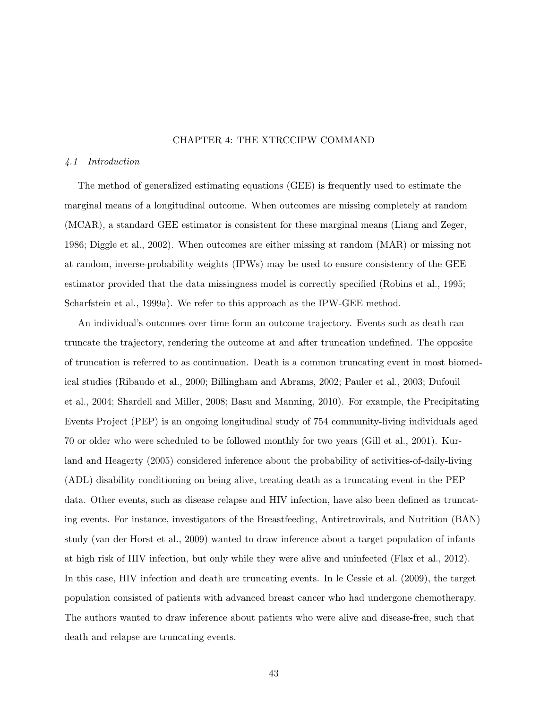## CHAPTER 4: THE XTRCCIPW COMMAND

### 4.1 Introduction

The method of generalized estimating equations (GEE) is frequently used to estimate the marginal means of a longitudinal outcome. When outcomes are missing completely at random (MCAR), a standard GEE estimator is consistent for these marginal means (Liang and Zeger, 1986; Diggle et al., 2002). When outcomes are either missing at random (MAR) or missing not at random, inverse-probability weights (IPWs) may be used to ensure consistency of the GEE estimator provided that the data missingness model is correctly specified (Robins et al., 1995; Scharfstein et al., 1999a). We refer to this approach as the IPW-GEE method.

An individual's outcomes over time form an outcome trajectory. Events such as death can truncate the trajectory, rendering the outcome at and after truncation undefined. The opposite of truncation is referred to as continuation. Death is a common truncating event in most biomedical studies (Ribaudo et al., 2000; Billingham and Abrams, 2002; Pauler et al., 2003; Dufouil et al., 2004; Shardell and Miller, 2008; Basu and Manning, 2010). For example, the Precipitating Events Project (PEP) is an ongoing longitudinal study of 754 community-living individuals aged 70 or older who were scheduled to be followed monthly for two years (Gill et al., 2001). Kurland and Heagerty (2005) considered inference about the probability of activities-of-daily-living (ADL) disability conditioning on being alive, treating death as a truncating event in the PEP data. Other events, such as disease relapse and HIV infection, have also been defined as truncating events. For instance, investigators of the Breastfeeding, Antiretrovirals, and Nutrition (BAN) study (van der Horst et al., 2009) wanted to draw inference about a target population of infants at high risk of HIV infection, but only while they were alive and uninfected (Flax et al., 2012). In this case, HIV infection and death are truncating events. In le Cessie et al. (2009), the target population consisted of patients with advanced breast cancer who had undergone chemotherapy. The authors wanted to draw inference about patients who were alive and disease-free, such that death and relapse are truncating events.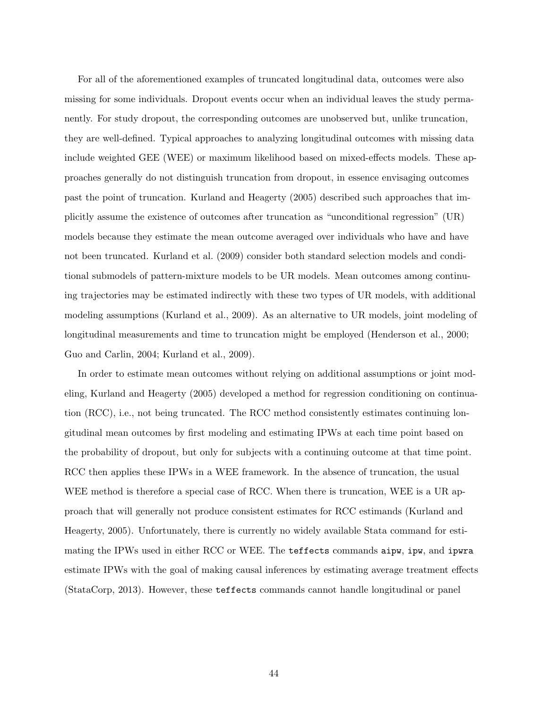For all of the aforementioned examples of truncated longitudinal data, outcomes were also missing for some individuals. Dropout events occur when an individual leaves the study permanently. For study dropout, the corresponding outcomes are unobserved but, unlike truncation, they are well-defined. Typical approaches to analyzing longitudinal outcomes with missing data include weighted GEE (WEE) or maximum likelihood based on mixed-effects models. These approaches generally do not distinguish truncation from dropout, in essence envisaging outcomes past the point of truncation. Kurland and Heagerty (2005) described such approaches that implicitly assume the existence of outcomes after truncation as "unconditional regression" (UR) models because they estimate the mean outcome averaged over individuals who have and have not been truncated. Kurland et al. (2009) consider both standard selection models and conditional submodels of pattern-mixture models to be UR models. Mean outcomes among continuing trajectories may be estimated indirectly with these two types of UR models, with additional modeling assumptions (Kurland et al., 2009). As an alternative to UR models, joint modeling of longitudinal measurements and time to truncation might be employed (Henderson et al., 2000; Guo and Carlin, 2004; Kurland et al., 2009).

In order to estimate mean outcomes without relying on additional assumptions or joint modeling, Kurland and Heagerty (2005) developed a method for regression conditioning on continuation (RCC), i.e., not being truncated. The RCC method consistently estimates continuing longitudinal mean outcomes by first modeling and estimating IPWs at each time point based on the probability of dropout, but only for subjects with a continuing outcome at that time point. RCC then applies these IPWs in a WEE framework. In the absence of truncation, the usual WEE method is therefore a special case of RCC. When there is truncation, WEE is a UR approach that will generally not produce consistent estimates for RCC estimands (Kurland and Heagerty, 2005). Unfortunately, there is currently no widely available Stata command for estimating the IPWs used in either RCC or WEE. The teffects commands aipw, ipw, and ipwra estimate IPWs with the goal of making causal inferences by estimating average treatment effects (StataCorp, 2013). However, these teffects commands cannot handle longitudinal or panel

44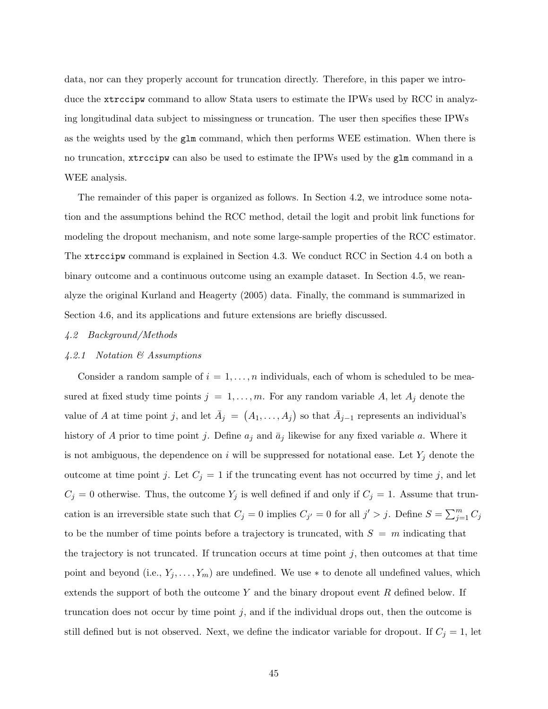data, nor can they properly account for truncation directly. Therefore, in this paper we introduce the xtrccipw command to allow Stata users to estimate the IPWs used by RCC in analyzing longitudinal data subject to missingness or truncation. The user then specifies these IPWs as the weights used by the glm command, which then performs WEE estimation. When there is no truncation, xtrccipw can also be used to estimate the IPWs used by the glm command in a WEE analysis.

The remainder of this paper is organized as follows. In Section 4.2, we introduce some notation and the assumptions behind the RCC method, detail the logit and probit link functions for modeling the dropout mechanism, and note some large-sample properties of the RCC estimator. The xtrccipw command is explained in Section 4.3. We conduct RCC in Section 4.4 on both a binary outcome and a continuous outcome using an example dataset. In Section 4.5, we reanalyze the original Kurland and Heagerty (2005) data. Finally, the command is summarized in Section 4.6, and its applications and future extensions are briefly discussed.

## 4.2 Background/Methods

## 4.2.1 Notation & Assumptions

Consider a random sample of  $i = 1, \ldots, n$  individuals, each of whom is scheduled to be measured at fixed study time points  $j = 1, \ldots, m$ . For any random variable A, let  $A_j$  denote the value of A at time point j, and let  $\bar{A}_j = (A_1, \ldots, A_j)$  so that  $\bar{A}_{j-1}$  represents an individual's history of A prior to time point j. Define  $a_j$  and  $\bar{a}_j$  likewise for any fixed variable a. Where it is not ambiguous, the dependence on i will be suppressed for notational ease. Let  $Y_j$  denote the outcome at time point j. Let  $C_j = 1$  if the truncating event has not occurred by time j, and let  $C_j = 0$  otherwise. Thus, the outcome  $Y_j$  is well defined if and only if  $C_j = 1$ . Assume that truncation is an irreversible state such that  $C_j = 0$  implies  $C_{j'} = 0$  for all  $j' > j$ . Define  $S = \sum_{j=1}^{m} C_j$ to be the number of time points before a trajectory is truncated, with  $S = m$  indicating that the trajectory is not truncated. If truncation occurs at time point  $j$ , then outcomes at that time point and beyond (i.e.,  $Y_j, \ldots, Y_m$ ) are undefined. We use  $*$  to denote all undefined values, which extends the support of both the outcome  $Y$  and the binary dropout event  $R$  defined below. If truncation does not occur by time point  $j$ , and if the individual drops out, then the outcome is still defined but is not observed. Next, we define the indicator variable for dropout. If  $C_j = 1$ , let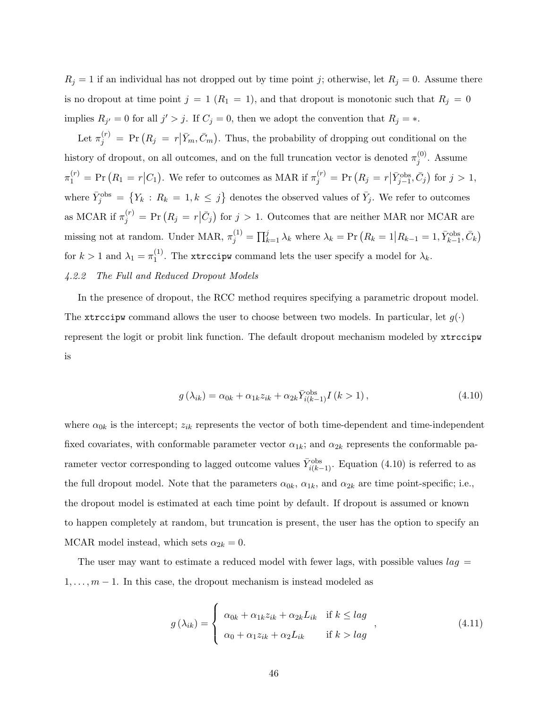$R_j = 1$  if an individual has not dropped out by time point j; otherwise, let  $R_j = 0$ . Assume there is no dropout at time point  $j = 1$  ( $R_1 = 1$ ), and that dropout is monotonic such that  $R_j = 0$ implies  $R_{j'} = 0$  for all  $j' > j$ . If  $C_j = 0$ , then we adopt the convention that  $R_j = *$ .

Let  $\pi_j^{(r)} = \Pr(R_j = r | \bar{Y}_m, \bar{C}_m)$ . Thus, the probability of dropping out conditional on the history of dropout, on all outcomes, and on the full truncation vector is denoted  $\pi_i^{(0)}$  $j^{(0)}$ . Assume  $\pi_1^{(r)} = \Pr(R_1 = r|C_1)$ . We refer to outcomes as MAR if  $\pi_j^{(r)} = \Pr(R_j = r|\bar{Y}_{j-1}^{\text{obs}}, \bar{C}_j)$  for  $j > 1$ , where  $\bar{Y}_j^{\text{obs}} = \{Y_k : R_k = 1, k \leq j\}$  denotes the observed values of  $\bar{Y}_j$ . We refer to outcomes as MCAR if  $\pi_j^{(r)} = \Pr(R_j = r | \bar{C}_j)$  for  $j > 1$ . Outcomes that are neither MAR nor MCAR are missing not at random. Under MAR,  $\pi_j^{(1)} = \prod_{k=1}^j \lambda_k$  where  $\lambda_k = \Pr(R_k = 1 | R_{k-1} = 1, \bar{Y}_{k-1}^{\text{obs}}, \bar{C}_k)$ for  $k > 1$  and  $\lambda_1 = \pi_1^{(1)}$  $1^{(1)}$ . The xtrccipw command lets the user specify a model for  $\lambda_k$ . 4.2.2 The Full and Reduced Dropout Models

In the presence of dropout, the RCC method requires specifying a parametric dropout model. The xtrccipw command allows the user to choose between two models. In particular, let  $g(\cdot)$ represent the logit or probit link function. The default dropout mechanism modeled by xtrccipw is

$$
g\left(\lambda_{ik}\right) = \alpha_{0k} + \alpha_{1k}z_{ik} + \alpha_{2k}\bar{Y}_{i(k-1)}^{\text{obs}}I\left(k > 1\right),\tag{4.10}
$$

where  $\alpha_{0k}$  is the intercept;  $z_{ik}$  represents the vector of both time-dependent and time-independent fixed covariates, with conformable parameter vector  $\alpha_{1k}$ ; and  $\alpha_{2k}$  represents the conformable parameter vector corresponding to lagged outcome values  $\bar{Y}_{i(k-1)}^{\text{obs}}$ . Equation (4.10) is referred to as the full dropout model. Note that the parameters  $\alpha_{0k}$ ,  $\alpha_{1k}$ , and  $\alpha_{2k}$  are time point-specific; i.e., the dropout model is estimated at each time point by default. If dropout is assumed or known to happen completely at random, but truncation is present, the user has the option to specify an MCAR model instead, which sets  $\alpha_{2k} = 0$ .

The user may want to estimate a reduced model with fewer lags, with possible values  $lag =$  $1, \ldots, m-1$ . In this case, the dropout mechanism is instead modeled as

$$
g(\lambda_{ik}) = \begin{cases} \alpha_{0k} + \alpha_{1k} z_{ik} + \alpha_{2k} L_{ik} & \text{if } k \leq lag \\ \alpha_0 + \alpha_1 z_{ik} + \alpha_2 L_{ik} & \text{if } k > lag \end{cases}
$$
\n
$$
(4.11)
$$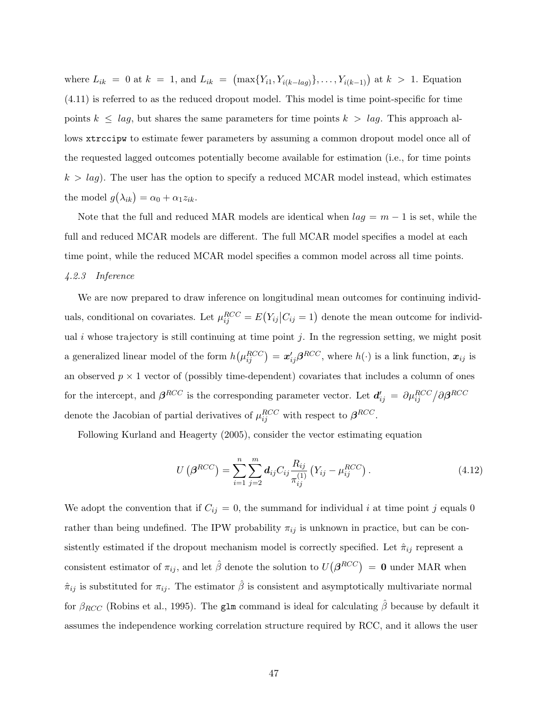where  $L_{ik} = 0$  at  $k = 1$ , and  $L_{ik} = (\max\{Y_{i1}, Y_{i(k-lag)}\}, \ldots, Y_{i(k-1)})$  at  $k > 1$ . Equation (4.11) is referred to as the reduced dropout model. This model is time point-specific for time points  $k \leq lag$ , but shares the same parameters for time points  $k > lag$ . This approach allows xtrccipw to estimate fewer parameters by assuming a common dropout model once all of the requested lagged outcomes potentially become available for estimation (i.e., for time points  $k > lag$ ). The user has the option to specify a reduced MCAR model instead, which estimates the model  $g(\lambda_{ik}) = \alpha_0 + \alpha_1 z_{ik}$ .

Note that the full and reduced MAR models are identical when  $lag = m - 1$  is set, while the full and reduced MCAR models are different. The full MCAR model specifies a model at each time point, while the reduced MCAR model specifies a common model across all time points. 4.2.3 Inference

We are now prepared to draw inference on longitudinal mean outcomes for continuing individuals, conditional on covariates. Let  $\mu_{ij}^{RCC} = E(Y_{ij} | C_{ij} = 1)$  denote the mean outcome for individual i whose trajectory is still continuing at time point j. In the regression setting, we might posit a generalized linear model of the form  $h(\mu_{ij}^{RCC}) = \mathbf{x}_{ij}' \boldsymbol{\beta}^{RCC}$ , where  $h(\cdot)$  is a link function,  $\mathbf{x}_{ij}$  is an observed  $p \times 1$  vector of (possibly time-dependent) covariates that includes a column of ones for the intercept, and  $\beta^{RCC}$  is the corresponding parameter vector. Let  $d'_{ij} = \partial \mu_{ij}^{RCC}/\partial \beta^{RCC}$ denote the Jacobian of partial derivatives of  $\mu_{ij}^{RCC}$  with respect to  $\beta^{RCC}$ .

Following Kurland and Heagerty (2005), consider the vector estimating equation

$$
U(\beta^{RCC}) = \sum_{i=1}^{n} \sum_{j=2}^{m} d_{ij} C_{ij} \frac{R_{ij}}{\pi_{ij}^{(1)}} (Y_{ij} - \mu_{ij}^{RCC}).
$$
 (4.12)

We adopt the convention that if  $C_{ij} = 0$ , the summand for individual i at time point j equals 0 rather than being undefined. The IPW probability  $\pi_{ij}$  is unknown in practice, but can be consistently estimated if the dropout mechanism model is correctly specified. Let  $\hat{\pi}_{ij}$  represent a consistent estimator of  $\pi_{ij}$ , and let  $\hat{\beta}$  denote the solution to  $U(\beta^{RCC}) = 0$  under MAR when  $\hat{\pi}_{ij}$  is substituted for  $\pi_{ij}$ . The estimator  $\hat{\beta}$  is consistent and asymptotically multivariate normal for  $\beta_{RCC}$  (Robins et al., 1995). The glm command is ideal for calculating  $\hat{\beta}$  because by default it assumes the independence working correlation structure required by RCC, and it allows the user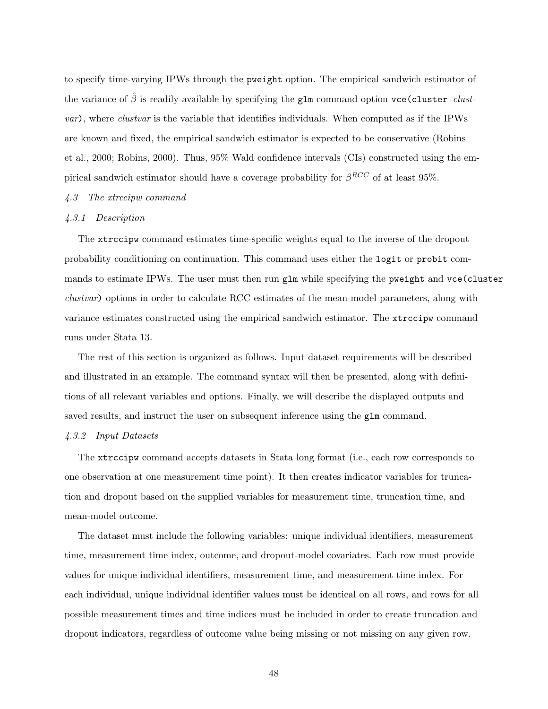to specify time-varying IPWs through the pweight option. The empirical sandwich estimator of the variance of  $\hat{\beta}$  is readily available by specifying the glm command option vce(cluster clustvar), where clustvar is the variable that identifies individuals. When computed as if the IPWs are known and fixed, the empirical sandwich estimator is expected to be conservative (Robins et al., 2000; Robins, 2000). Thus, 95% Wald confidence intervals (CIs) constructed using the empirical sandwich estimator should have a coverage probability for  $\beta^{RCC}$  of at least 95%.

### 4.3 The xtrccipw command

## 4.3.1 Description

The xtrccipw command estimates time-specific weights equal to the inverse of the dropout probability conditioning on continuation. This command uses either the logit or probit commands to estimate IPWs. The user must then run glm while specifying the pweight and vce (cluster clustvar) options in order to calculate RCC estimates of the mean-model parameters, along with variance estimates constructed using the empirical sandwich estimator. The xtrccipw command runs under Stata 13.

The rest of this section is organized as follows. Input dataset requirements will be described and illustrated in an example. The command syntax will then be presented, along with definitions of all relevant variables and options. Finally, we will describe the displayed outputs and saved results, and instruct the user on subsequent inference using the glm command.

### 4.3.2 Input Datasets

The xtrccipw command accepts datasets in Stata long format (i.e., each row corresponds to one observation at one measurement time point). It then creates indicator variables for truncation and dropout based on the supplied variables for measurement time, truncation time, and mean-model outcome.

The dataset must include the following variables: unique individual identifiers, measurement time, measurement time index, outcome, and dropout-model covariates. Each row must provide values for unique individual identifiers, measurement time, and measurement time index. For each individual, unique individual identifier values must be identical on all rows, and rows for all possible measurement times and time indices must be included in order to create truncation and dropout indicators, regardless of outcome value being missing or not missing on any given row.

48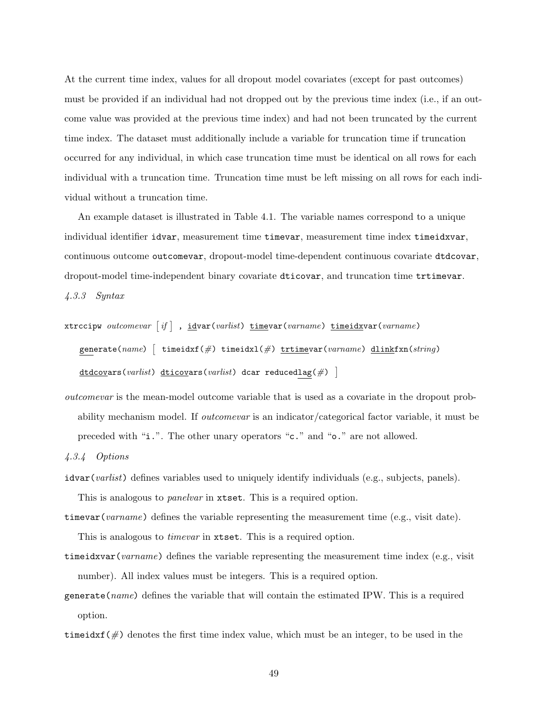At the current time index, values for all dropout model covariates (except for past outcomes) must be provided if an individual had not dropped out by the previous time index (i.e., if an outcome value was provided at the previous time index) and had not been truncated by the current time index. The dataset must additionally include a variable for truncation time if truncation occurred for any individual, in which case truncation time must be identical on all rows for each individual with a truncation time. Truncation time must be left missing on all rows for each individual without a truncation time.

An example dataset is illustrated in Table 4.1. The variable names correspond to a unique individual identifier idvar, measurement time timevar, measurement time index timeidxvar, continuous outcome outcomevar, dropout-model time-dependent continuous covariate dtdcovar, dropout-model time-independent binary covariate dticovar, and truncation time trtimevar. 4.3.3 Syntax

```
xtrccipw outcomevar \lceil if \rceil , idvar(varlist) timevar(varname) timeidxvar(varname)
    generate(name) [ timeidxf(\#) timeidxl(\#) trtimevar(varname) dlinkfxn(string)
    \texttt{dtdcovars}(\textit{varlist}) \texttt{dticovars}(\textit{varlist}) \texttt{dcar reducedlag}(\#) \; \; \; \; \;
```
outcomevar is the mean-model outcome variable that is used as a covariate in the dropout probability mechanism model. If *outcomevar* is an indicator/categorical factor variable, it must be preceded with "i.". The other unary operators "c." and "o." are not allowed.

4.3.4 Options

 $i$ dvar $(varlist)$  defines variables used to uniquely identify individuals (e.g., subjects, panels). This is analogous to *panelvar* in xtset. This is a required option.

timevar(varname) defines the variable representing the measurement time (e.g., visit date).

This is analogous to *timevar* in xtset. This is a required option.

timeidxvar(varname) defines the variable representing the measurement time index (e.g., visit number). All index values must be integers. This is a required option.

generate(name) defines the variable that will contain the estimated IPW. This is a required option.

time idxf( $\#$ ) denotes the first time index value, which must be an integer, to be used in the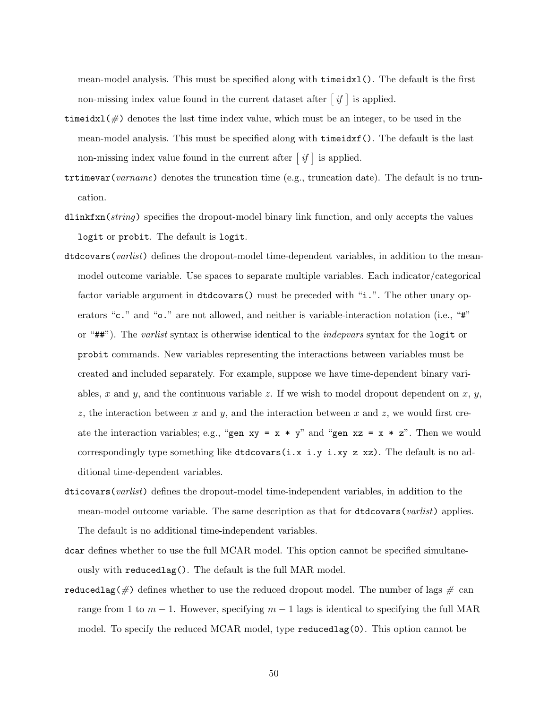mean-model analysis. This must be specified along with timeidxl(). The default is the first non-missing index value found in the current dataset after  $\lceil i f \rceil$  is applied.

- time idxl( $\#$ ) denotes the last time index value, which must be an integer, to be used in the mean-model analysis. This must be specified along with timeidxf(). The default is the last non-missing index value found in the current after  $\lceil i f \rceil$  is applied.
- trtimevar(varname) denotes the truncation time (e.g., truncation date). The default is no truncation.
- dlinkfxn(string) specifies the dropout-model binary link function, and only accepts the values logit or probit. The default is logit.
- dtdcovars(varlist) defines the dropout-model time-dependent variables, in addition to the meanmodel outcome variable. Use spaces to separate multiple variables. Each indicator/categorical factor variable argument in dtdcovars() must be preceded with "i.". The other unary operators "c." and "o." are not allowed, and neither is variable-interaction notation (i.e., "#" or "##"). The varlist syntax is otherwise identical to the indepvars syntax for the logit or probit commands. New variables representing the interactions between variables must be created and included separately. For example, suppose we have time-dependent binary variables, x and y, and the continuous variable z. If we wish to model dropout dependent on x, y, z, the interaction between x and y, and the interaction between x and z, we would first create the interaction variables; e.g., "gen  $xy = x * y$ " and "gen  $xz = x * z$ ". Then we would correspondingly type something like  $dtdcovars(i.x i.y i.xy z xz)$ . The default is no additional time-dependent variables.
- dticovars(varlist) defines the dropout-model time-independent variables, in addition to the mean-model outcome variable. The same description as that for dtdcovars(*varlist*) applies. The default is no additional time-independent variables.
- dcar defines whether to use the full MCAR model. This option cannot be specified simultaneously with reducedlag(). The default is the full MAR model.
- reducedlag( $\#$ ) defines whether to use the reduced dropout model. The number of lags  $\#$  can range from 1 to  $m - 1$ . However, specifying  $m - 1$  lags is identical to specifying the full MAR model. To specify the reduced MCAR model, type reducedlag(0). This option cannot be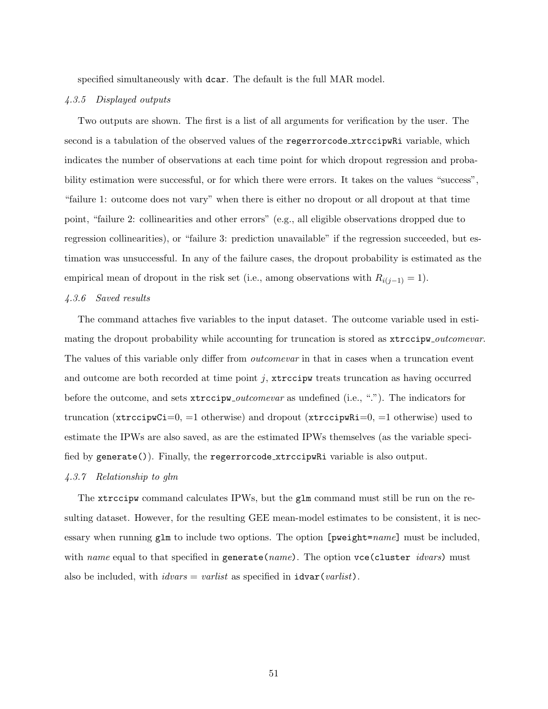specified simultaneously with dcar. The default is the full MAR model.

#### 4.3.5 Displayed outputs

Two outputs are shown. The first is a list of all arguments for verification by the user. The second is a tabulation of the observed values of the regerrorcode xtrccipularity variable, which indicates the number of observations at each time point for which dropout regression and probability estimation were successful, or for which there were errors. It takes on the values "success", "failure 1: outcome does not vary" when there is either no dropout or all dropout at that time point, "failure 2: collinearities and other errors" (e.g., all eligible observations dropped due to regression collinearities), or "failure 3: prediction unavailable" if the regression succeeded, but estimation was unsuccessful. In any of the failure cases, the dropout probability is estimated as the empirical mean of dropout in the risk set (i.e., among observations with  $R_{i(j-1)} = 1$ ).

## 4.3.6 Saved results

The command attaches five variables to the input dataset. The outcome variable used in estimating the dropout probability while accounting for truncation is stored as  $x\text{trccipw}\_outcomevar$ . The values of this variable only differ from *outcomevar* in that in cases when a truncation event and outcome are both recorded at time point  $j$ ,  $\star$ **rccipw** treats truncation as having occurred before the outcome, and sets xtrccipw *outcomevar* as undefined (i.e., "."). The indicators for truncation ( $\texttt{xtrccipwCi}=0, =1$  otherwise) and dropout ( $\texttt{xtrccipwRi}=0, =1$  otherwise) used to estimate the IPWs are also saved, as are the estimated IPWs themselves (as the variable specified by generate()). Finally, the regerrorcode xtrccipwRi variable is also output.

## 4.3.7 Relationship to glm

The xtrocipw command calculates IPWs, but the glm command must still be run on the resulting dataset. However, for the resulting GEE mean-model estimates to be consistent, it is necessary when running  $g \text{Im}$  to include two options. The option [pweight=name] must be included, with name equal to that specified in generate (name). The option vce (cluster idvars) must also be included, with  $idvars = varlist$  as specified in  $idxar(varlist)$ .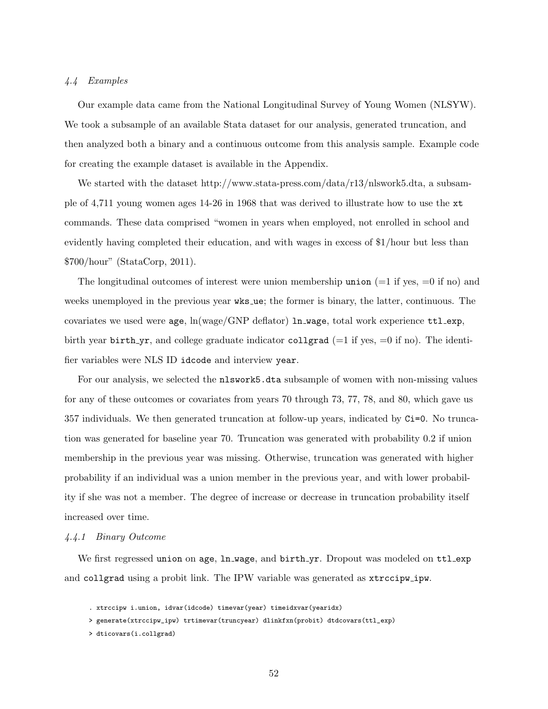### 4.4 Examples

Our example data came from the National Longitudinal Survey of Young Women (NLSYW). We took a subsample of an available Stata dataset for our analysis, generated truncation, and then analyzed both a binary and a continuous outcome from this analysis sample. Example code for creating the example dataset is available in the Appendix.

We started with the dataset http://www.stata-press.com/data/r13/nlswork5.dta, a subsample of 4,711 young women ages 14-26 in 1968 that was derived to illustrate how to use the xt commands. These data comprised "women in years when employed, not enrolled in school and evidently having completed their education, and with wages in excess of \$1/hour but less than \$700/hour" (StataCorp, 2011).

The longitudinal outcomes of interest were union membership union  $(=1 \text{ if yes}, =0 \text{ if no})$  and weeks unemployed in the previous year wks ue; the former is binary, the latter, continuous. The covariates we used were  $age$ ,  $ln(wage/GNP$  deflator)  $ln_wage$ , total work experience  $ttl\_exp$ , birth year birth yr, and college graduate indicator collgrad ( $=1$  if yes,  $=0$  if no). The identifier variables were NLS ID idcode and interview year.

For our analysis, we selected the nlswork5.dta subsample of women with non-missing values for any of these outcomes or covariates from years 70 through 73, 77, 78, and 80, which gave us 357 individuals. We then generated truncation at follow-up years, indicated by Ci=0. No truncation was generated for baseline year 70. Truncation was generated with probability 0.2 if union membership in the previous year was missing. Otherwise, truncation was generated with higher probability if an individual was a union member in the previous year, and with lower probability if she was not a member. The degree of increase or decrease in truncation probability itself increased over time.

### 4.4.1 Binary Outcome

We first regressed union on age,  $\ln\text{wage}$ , and  $\text{birth}\text{-}\text{yr}$ . Dropout was modeled on ttlexp and collgrad using a probit link. The IPW variable was generated as xtrccipw ipw.

- . xtrccipw i.union, idvar(idcode) timevar(year) timeidxvar(yearidx)
- > generate(xtrccipw\_ipw) trtimevar(truncyear) dlinkfxn(probit) dtdcovars(ttl\_exp)
- > dticovars(i.collgrad)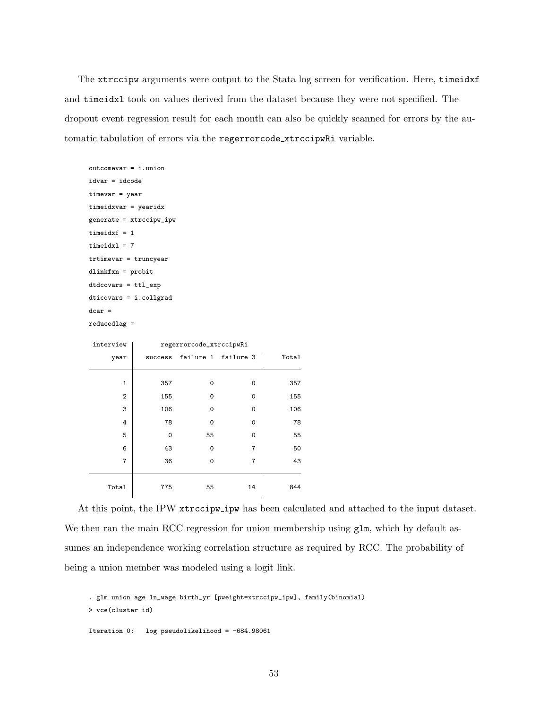The xtrccipw arguments were output to the Stata log screen for verification. Here, timeidxf and timeidxl took on values derived from the dataset because they were not specified. The dropout event regression result for each month can also be quickly scanned for errors by the automatic tabulation of errors via the regerrorcode xtrccipwRi variable.

```
outcomevar = i.union
idvar = idcode
timevar = year
timeidxvar = yearidx
generate = xtrccipw_ipw
timeidxf = 1timeidxl = 7
trtimevar = truncyear
dlinkfxn = probit
dtdcovars = ttl_exp
dticovars = i.collgrad
dcar =
reducedlag =
```

| interview      | regerrorcode_xtrccipwRi |          |                     |       |  |  |  |  |
|----------------|-------------------------|----------|---------------------|-------|--|--|--|--|
| year           | success                 |          | failure 1 failure 3 | Total |  |  |  |  |
|                |                         |          |                     |       |  |  |  |  |
| $\mathbf{1}$   | 357                     | $\Omega$ | 0                   | 357   |  |  |  |  |
| $\overline{2}$ | 155                     | $\Omega$ | 0                   | 155   |  |  |  |  |
| 3              | 106                     | $\Omega$ | 0                   | 106   |  |  |  |  |
| 4              | 78                      | $\Omega$ | 0                   | 78    |  |  |  |  |
| 5              | 0                       | 55       | 0                   | 55    |  |  |  |  |
| 6              | 43                      | $\Omega$ | 7                   | 50    |  |  |  |  |
| 7              | 36                      | $\Omega$ | 7                   | 43    |  |  |  |  |
|                |                         |          |                     |       |  |  |  |  |
| Total          | 775                     | 55       | 14                  | 844   |  |  |  |  |

At this point, the IPW xtrccipw ipw has been calculated and attached to the input dataset. We then ran the main RCC regression for union membership using  $g1m$ , which by default assumes an independence working correlation structure as required by RCC. The probability of being a union member was modeled using a logit link.

```
. glm union age ln_wage birth_yr [pweight=xtrccipw_ipw], family(binomial)
> vce(cluster id)
Iteration 0: log pseudolikelihood = -684.98061
```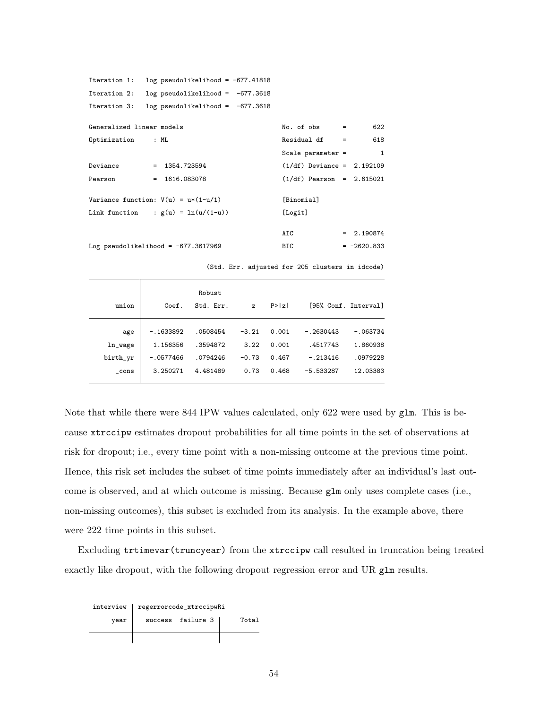| Iteration 1:              | $log$ pseudolikelihood = -677.41818     |                              |     |               |
|---------------------------|-----------------------------------------|------------------------------|-----|---------------|
| Iteration 2:              | $log$ pseudolikelihood = $-677.3618$    |                              |     |               |
| Iteration 3:              | $log$ pseudolikelihood = $-677.3618$    |                              |     |               |
|                           |                                         |                              |     |               |
| Generalized linear models |                                         | $No. of obs =$               |     | 622           |
| Optimization : ML         |                                         | Residual df                  | $=$ | 618           |
|                           |                                         | Scale parameter $=$          |     | $\mathbf{1}$  |
| Deviance                  | $= 1354.723594$                         | $(1/df)$ Deviance = 2.192109 |     |               |
| Pearson                   | $= 1616.083078$                         | $(1/df)$ Pearson = 2.615021  |     |               |
|                           | Variance function: $V(u) = u * (1-u/1)$ | [Binomial]                   |     |               |
|                           |                                         |                              |     |               |
|                           | Link function : $g(u) = \ln(u/(1-u))$   | [Logit]                      |     |               |
|                           |                                         |                              |     |               |
|                           |                                         | AIC                          |     | $= 2.190874$  |
|                           | Log pseudolikelihood = $-677.3617969$   | BIC                          |     | $= -2620.833$ |
|                           |                                         |                              |     |               |

(Std. Err. adjusted for 205 clusters in idcode)

|          |             | Robust    |              |        |             |                      |
|----------|-------------|-----------|--------------|--------|-------------|----------------------|
| union    | Coef.       | Std. Err. | $\mathbf{z}$ | P >  z |             | [95% Conf. Interval] |
|          |             |           |              |        |             |                      |
| age      | $-.1633892$ | .0508454  | $-3.21$      | 0.001  | $-.2630443$ | $-.063734$           |
| ln_wage  | 1.156356    | .3594872  | 3.22         | 0.001  | .4517743    | 1.860938             |
| birth_yr | $-.0577466$ | .0794246  | $-0.73$      | 0.467  | $-.213416$  | .0979228             |
| $\_cons$ | 3.250271    | 4.481489  | 0.73         | 0.468  | $-5.533287$ | 12.03383             |
|          |             |           |              |        |             |                      |

Note that while there were 844 IPW values calculated, only 622 were used by glm. This is because xtrccipw estimates dropout probabilities for all time points in the set of observations at risk for dropout; i.e., every time point with a non-missing outcome at the previous time point. Hence, this risk set includes the subset of time points immediately after an individual's last outcome is observed, and at which outcome is missing. Because glm only uses complete cases (i.e., non-missing outcomes), this subset is excluded from its analysis. In the example above, there were 222 time points in this subset.

Excluding trtimevar(truncyear) from the xtrccipw call resulted in truncation being treated exactly like dropout, with the following dropout regression error and UR glm results.

| interview | regerrorcode_xtrccipwRi |                   |  |  |  |  |  |
|-----------|-------------------------|-------------------|--|--|--|--|--|
| year      |                         | success failure 3 |  |  |  |  |  |
|           |                         |                   |  |  |  |  |  |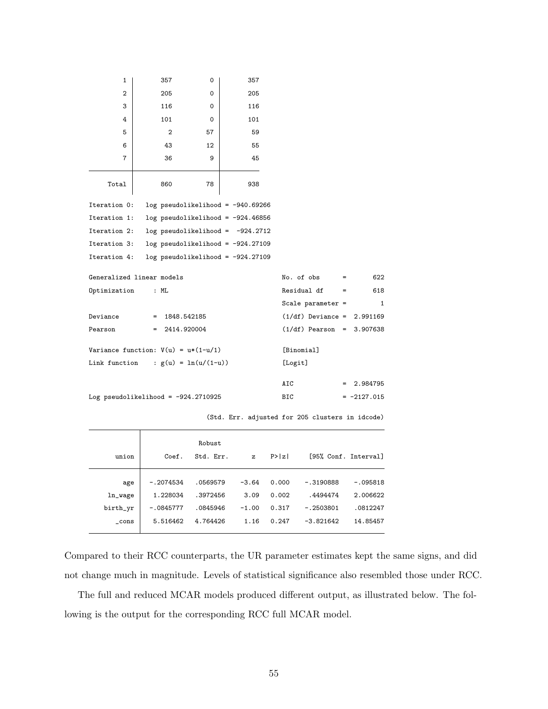| 1                                     | 357                                   | 0        | 357                                  |                              |     |               |
|---------------------------------------|---------------------------------------|----------|--------------------------------------|------------------------------|-----|---------------|
| $\overline{2}$                        | 205                                   | $\Omega$ | 205                                  |                              |     |               |
| 3                                     | 116                                   | 0        | 116                                  |                              |     |               |
| 4                                     | 101                                   | 0        | 101                                  |                              |     |               |
| 5                                     | $\overline{2}$                        | 57       | 59                                   |                              |     |               |
| 6                                     | 43                                    | 12       | 55                                   |                              |     |               |
| 7                                     | 36                                    | 9        | 45                                   |                              |     |               |
| Total                                 | 860                                   | 78       | 938                                  |                              |     |               |
| Iteration 0:                          |                                       |          | $log$ pseudolikelihood = -940.69266  |                              |     |               |
| Iteration 1:                          |                                       |          | $log$ pseudolikelihood = -924.46856  |                              |     |               |
| Iteration 2:                          |                                       |          | $log$ pseudolikelihood = $-924.2712$ |                              |     |               |
| Iteration 3:                          |                                       |          | $log$ pseudolikelihood = -924.27109  |                              |     |               |
| Iteration 4:                          |                                       |          | $log$ pseudolikelihood = -924.27109  |                              |     |               |
|                                       | Generalized linear models             |          |                                      | No. of obs                   | $=$ | 622           |
| Optimization                          | : ML                                  |          |                                      | Residual df                  | $=$ | 618           |
|                                       |                                       |          |                                      | Scale parameter $=$          |     | $\mathbf{1}$  |
| Deviance                              | $= 1848.542185$                       |          |                                      | $(1/df)$ Deviance = 2.991169 |     |               |
| Pearson                               | $= 2414.920004$                       |          |                                      | $(1/df)$ Pearson = 3.907638  |     |               |
| Variance function: $V(u) = u*(1-u/1)$ | [Binomial]                            |          |                                      |                              |     |               |
| Link function                         | : $g(u) = ln(u/(1-u))$                |          |                                      | [Logit]                      |     |               |
|                                       |                                       |          |                                      | <b>AIC</b>                   |     | 2.984795      |
|                                       | Log pseudolikelihood = $-924.2710925$ |          |                                      | BIC                          |     | $= -2127.015$ |

(Std. Err. adjusted for 205 clusters in idcode)

|          |             | Robust    |              |        |             |                      |
|----------|-------------|-----------|--------------|--------|-------------|----------------------|
| union    | Coef.       | Std. Err. | $\mathbf{z}$ | P >  z |             | [95% Conf. Interval] |
|          |             |           |              |        |             |                      |
| age      | $-.2074534$ | .0569579  | $-3.64$      | 0.000  | $-.3190888$ | $-.095818$           |
| ln_wage  | 1.228034    | .3972456  | 3.09         | 0.002  | .4494474    | 2.006622             |
| birth_yr | $-.0845777$ | .0845946  | $-1.00$      | 0.317  | $-.2503801$ | .0812247             |
| cons     | 5.516462    | 4.764426  | 1.16         | 0.247  | $-3.821642$ | 14.85457             |
|          |             |           |              |        |             |                      |

Compared to their RCC counterparts, the UR parameter estimates kept the same signs, and did not change much in magnitude. Levels of statistical significance also resembled those under RCC.

The full and reduced MCAR models produced different output, as illustrated below. The following is the output for the corresponding RCC full MCAR model.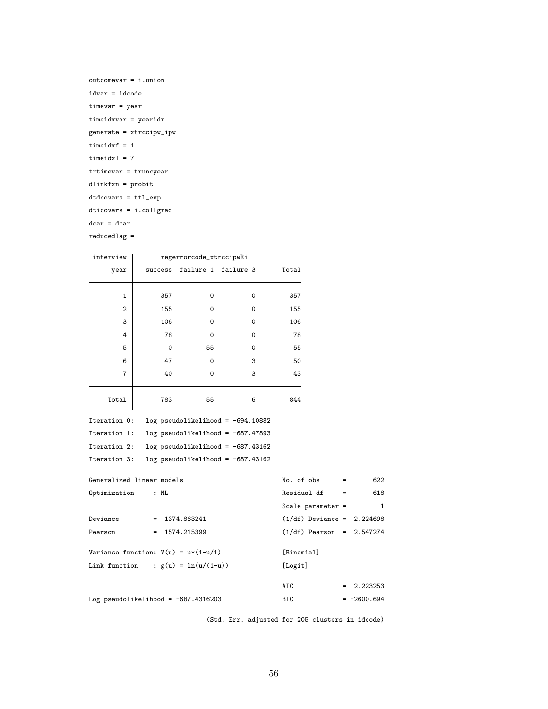```
outcomevar = i.union
idvar = idcode
timevar = year
timeidxvar = yearidx
generate = xtrccipw_ipw
timeidxf = 1timeidx1 = 7trtimevar = truncyear
dlinkfxn = probit
dtdcovars = ttl_exp
dticovars = i.collgrad
dcar = dcar
reducedlag =
```

| interview                             |          | regerrorcode_xtrccipwRi             |          |                                                 |                     |               |
|---------------------------------------|----------|-------------------------------------|----------|-------------------------------------------------|---------------------|---------------|
| year                                  | success  | failure 1 failure 3                 |          | Total                                           |                     |               |
|                                       |          |                                     |          |                                                 |                     |               |
| $\mathbf{1}$                          | 357      | $\Omega$                            | $\Omega$ | 357                                             |                     |               |
| $\overline{2}$                        | 155      | $\Omega$                            | $\Omega$ | 155                                             |                     |               |
| 3                                     | 106      | $\Omega$                            | $\Omega$ | 106                                             |                     |               |
| 4                                     | 78       | $\Omega$                            | $\Omega$ | 78                                              |                     |               |
| 5                                     | $\Omega$ | 55                                  | 0        | 55                                              |                     |               |
| 6                                     | 47       | $\Omega$                            | 3        | 50                                              |                     |               |
| 7                                     | 40       | 0                                   | 3        | 43                                              |                     |               |
|                                       |          |                                     |          |                                                 |                     |               |
| Total                                 | 783      | 55                                  | 6        | 844                                             |                     |               |
| Iteration 0:                          |          | $log$ pseudolikelihood = -694.10882 |          |                                                 |                     |               |
| Iteration 1:                          |          | log pseudolikelihood = $-687.47893$ |          |                                                 |                     |               |
| Iteration 2:                          |          | $log$ pseudolikelihood = -687.43162 |          |                                                 |                     |               |
| Iteration 3:                          |          | $log$ pseudolikelihood = -687.43162 |          |                                                 |                     |               |
| Generalized linear models             |          |                                     |          | No. of obs                                      | $=$                 | 622           |
| Optimization                          | : ML     |                                     |          |                                                 | Residual df<br>$=$  | 618           |
|                                       |          |                                     |          |                                                 | Scale parameter $=$ | $\mathbf{1}$  |
| Deviance                              |          | $= 1374.863241$                     |          |                                                 | $(1/df)$ Deviance = | 2.224698      |
| Pearson                               | $=$      | 1574.215399                         |          |                                                 | $(1/df)$ Pearson =  | 2.547274      |
|                                       |          |                                     |          |                                                 |                     |               |
| Variance function: $V(u) = u*(1-u/1)$ |          |                                     |          | [Binomial]                                      |                     |               |
| Link function                         |          | : $g(u) = ln(u/(1-u))$              |          | [Logit]                                         |                     |               |
|                                       |          |                                     |          | AIC                                             |                     | 2.223253      |
| Log pseudolikelihood = $-687.4316203$ |          |                                     |          | BIC                                             |                     | $= -2600.694$ |
|                                       |          |                                     |          |                                                 |                     |               |
|                                       |          |                                     |          | (Std. Err. adjusted for 205 clusters in idcode) |                     |               |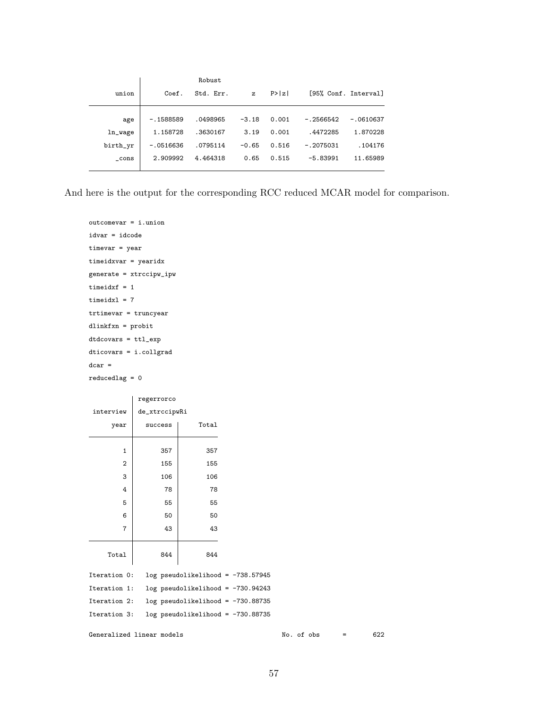|          |             | Robust    |              |        |             |                      |
|----------|-------------|-----------|--------------|--------|-------------|----------------------|
| union    | Coef.       | Std. Err. | $\mathbf{z}$ | P >  z |             | [95% Conf. Interval] |
|          |             |           |              |        |             |                      |
| age      | $-.1588589$ | .0498965  | $-3.18$      | 0.001  | $-.2566542$ | $-.0610637$          |
| ln_wage  | 1.158728    | .3630167  | 3.19         | 0.001  | .4472285    | 1.870228             |
| birth_yr | $-.0516636$ | .0795114  | $-0.65$      | 0.516  | $-.2075031$ | .104176              |
| cons     | 2.909992    | 4.464318  | 0.65         | 0.515  | $-5.83991$  | 11.65989             |

And here is the output for the corresponding RCC reduced MCAR model for comparison.

```
outcomevar = i.union
idvar = idcode
timevar = year
timeidxvar = yearidx
generate = xtrccipw_ipw
timeidxf = 1timeidx1 = 7trtimevar = truncyear
dlinkfxn = probit
dtdcovars = ttl_exp
dticovars = i.collgrad
dcar =
reducedlag = 0
```

|              | regerrorco    |                                       |  |
|--------------|---------------|---------------------------------------|--|
| interview    | de_xtrccipwRi |                                       |  |
| year         | success       | Total                                 |  |
| $\mathbf{1}$ | 357           | 357                                   |  |
| 2            | 155           | 155                                   |  |
| 3            | 106           | 106                                   |  |
| 4            | 78            | 78                                    |  |
| 5            | 55            | 55                                    |  |
| 6            | 50            | 50                                    |  |
| 7            | 43            | 43                                    |  |
| Total        | 844           | 844                                   |  |
| Iteration 0: |               | $log$ pseudolikelihood = $-738.57945$ |  |
| Iteration 1: |               | $log$ pseudolikelihood = $-730.94243$ |  |
| Iteration 2: |               | $log$ pseudolikelihood = $-730.88735$ |  |
| Iteration 3: |               | $log$ pseudolikelihood = $-730.88735$ |  |

Generalized linear models  $\blacksquare$  No. of obs = 622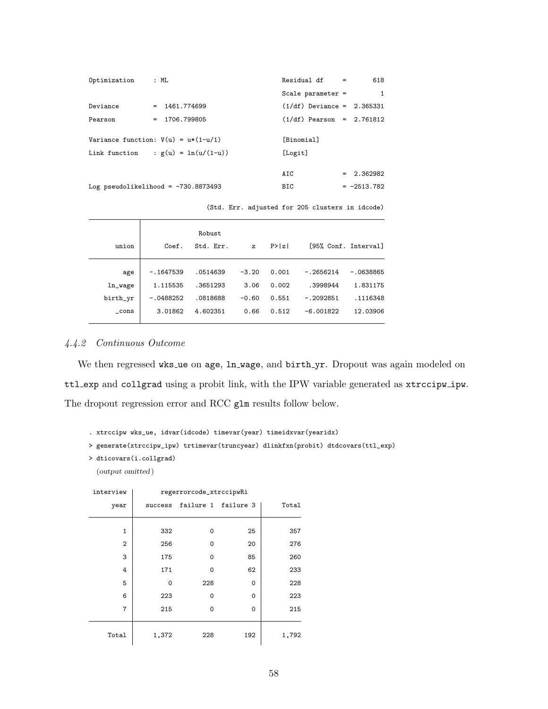| Optimization : ML |                                         | $Residual df =$              | 618           |
|-------------------|-----------------------------------------|------------------------------|---------------|
|                   |                                         | Scale parameter $=$          | $\mathbf{1}$  |
| Deviance          | $= 1461.774699$                         | $(1/df)$ Deviance = 2.365331 |               |
| Pearson           | $= 1706.799805$                         | $(1/df)$ Pearson = 2.761812  |               |
|                   |                                         |                              |               |
|                   | Variance function: $V(u) = u * (1-u/1)$ | [Binomial]                   |               |
|                   | Link function : $g(u) = ln(u/(1-u))$    | [Logit]                      |               |
|                   |                                         |                              |               |
|                   |                                         | AIC                          | $= 2.362982$  |
|                   | Log pseudolikelihood = $-730.8873493$   | BIC                          | $= -2513.782$ |

(Std. Err. adjusted for 205 clusters in idcode)

|          |             | Robust    |              |        |             |                      |
|----------|-------------|-----------|--------------|--------|-------------|----------------------|
| union    | Coef.       | Std. Err. | $\mathbf{z}$ | P >  z |             | [95% Conf. Interval] |
|          |             |           |              |        |             |                      |
| age      | $-.1647539$ | .0514639  | $-3.20$      | 0.001  | $-.2656214$ | $-.0638865$          |
| ln_wage  | 1.115535    | .3651293  | 3.06         | 0.002  | .3998944    | 1.831175             |
| birth_yr | $-.0488252$ | .0818688  | $-0.60$      | 0.551  | $-.2092851$ | .1116348             |
| cons     | 3.01862     | 4.602351  | 0.66         | 0.512  | $-6.001822$ | 12.03906             |
|          |             |           |              |        |             |                      |

## 4.4.2 Continuous Outcome

We then regressed wks ue on age, ln wage, and birth yr. Dropout was again modeled on ttl exp and collgrad using a probit link, with the IPW variable generated as xtrccipw ipw. The dropout regression error and RCC glm results follow below.

```
. xtrccipw wks_ue, idvar(idcode) timevar(year) timeidxvar(yearidx)
```

```
> generate(xtrccipw_ipw) trtimevar(truncyear) dlinkfxn(probit) dtdcovars(ttl_exp)
```

```
> dticovars(i.collgrad)
```
(output omitted )

| interview      | regerrorcode_xtrccipwRi |          |                     |       |  |  |  |
|----------------|-------------------------|----------|---------------------|-------|--|--|--|
| year           | success                 |          | failure 1 failure 3 | Total |  |  |  |
|                |                         |          |                     |       |  |  |  |
| 1              | 332                     | $\Omega$ | 25                  | 357   |  |  |  |
| $\overline{2}$ | 256                     | $\Omega$ | 20                  | 276   |  |  |  |
| 3              | 175                     | $\Omega$ | 85                  | 260   |  |  |  |
| 4              | 171                     | $\Omega$ | 62                  | 233   |  |  |  |
| 5              | 0                       | 228      | 0                   | 228   |  |  |  |
| 6              | 223                     | $\Omega$ | $\Omega$            | 223   |  |  |  |
| 7              | 215                     | $\Omega$ | $\Omega$            | 215   |  |  |  |
|                |                         |          |                     |       |  |  |  |
| Total          | 1,372                   | 228      | 192                 | 1,792 |  |  |  |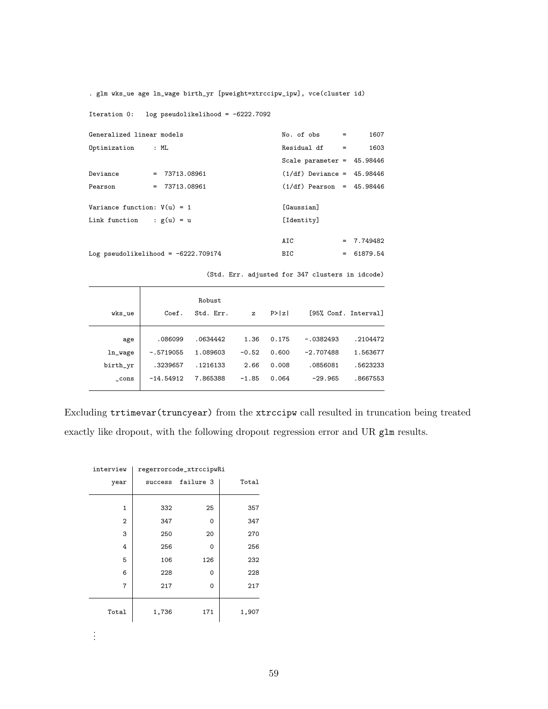. glm wks\_ue age ln\_wage birth\_yr [pweight=xtrccipw\_ipw], vce(cluster id)

Iteration 0: log pseudolikelihood = -6222.7092

| Generalized linear models                                   |                 | $No. of obs =$               | 1607         |
|-------------------------------------------------------------|-----------------|------------------------------|--------------|
| Optimization : ML                                           |                 | $Residual df =$              | 1603         |
|                                                             |                 | Scale parameter = $45.98446$ |              |
| Deviance                                                    | $= 73713.08961$ | $(1/df)$ Deviance = 45.98446 |              |
| Pearson                                                     | $= 73713.08961$ | $(1/df)$ Pearson = 45.98446  |              |
| Variance function: $V(u) = 1$<br>Link function : $g(u) = u$ |                 | [Gaussian]<br>[Identity]     |              |
|                                                             |                 | AIC                          | $= 7.749482$ |
| Log pseudolikelihood = $-6222.709174$                       |                 | BIC                          | $= 61879.54$ |

(Std. Err. adjusted for 347 clusters in idcode)

| wks_ue   | Coef.       | Robust<br>Std. Err. | $\mathbf{z}$ | P >  z |             | [95% Conf. Interval] |
|----------|-------------|---------------------|--------------|--------|-------------|----------------------|
| age      | .086099     | .0634442            | 1.36         | 0.175  | $-.0382493$ | .2104472             |
| ln_wage  | $-.5719055$ | 1.089603            | $-0.52$      | 0.600  | $-2.707488$ | 1.563677             |
| birth_yr | .3239657    | .1216133            | 2.66         | 0.008  | .0856081    | .5623233             |
| cons     | $-14.54912$ | 7.865388            | $-1.85$      | 0.064  | $-29.965$   | .8667553             |

Excluding trtimevar(truncyear) from the xtrccipw call resulted in truncation being treated exactly like dropout, with the following dropout regression error and UR glm results.

| interview      | regerrorcode_xtrccipwRi |           |       |  |  |
|----------------|-------------------------|-----------|-------|--|--|
| year           | success                 | failure 3 | Total |  |  |
|                |                         |           |       |  |  |
| 1              | 332                     | 25        | 357   |  |  |
| $\overline{2}$ | 347                     | 0         | 347   |  |  |
| 3              | 250                     | 20        | 270   |  |  |
| 4              | 256                     | 0         | 256   |  |  |
| 5              | 106                     | 126       | 232   |  |  |
| 6              | 228                     | 0         | 228   |  |  |
| 7              | 217                     | $\Omega$  | 217   |  |  |
| Total          | 1,736                   | 171       | 1,907 |  |  |

. . .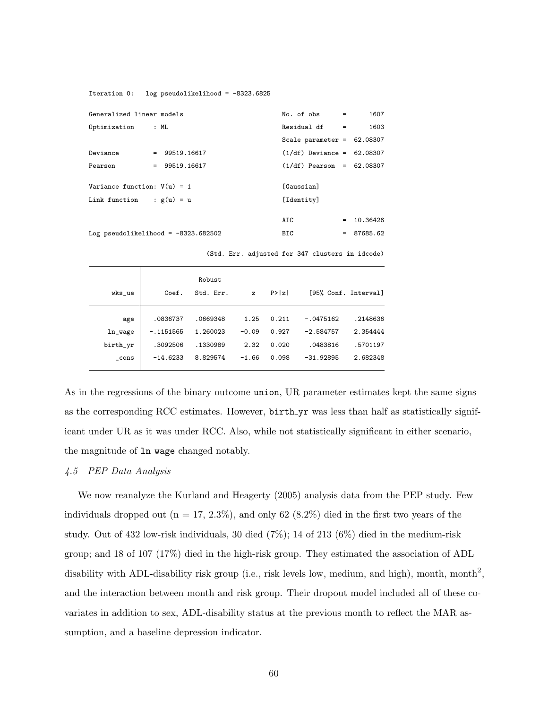Iteration 0: log pseudolikelihood = -8323.6825

| Generalized linear models                      |                 | $No. of obs =$                  | 1607         |
|------------------------------------------------|-----------------|---------------------------------|--------------|
| Optimization                                   | : ML            | $Residual df =$                 | 1603         |
|                                                |                 | Scale parameter = $62.08307$    |              |
| Deviance                                       | $= 99519.16617$ | $(1/df)$ Deviance = 62.08307    |              |
| Pearson                                        | $= 99519.16617$ | $(1/df)$ Pearson = 62.08307     |              |
| Variance function: $V(u) = 1$<br>Link function | : $g(u) = u$    | <b>[Gaussian]</b><br>[Identity] |              |
|                                                |                 | AIC                             | $= 10.36426$ |
| Log pseudolikelihood = $-8323.682502$          |                 | BIC                             | $= 87685.62$ |

(Std. Err. adjusted for 347 clusters in idcode)

|          |             | Robust    |              |        |             |                      |
|----------|-------------|-----------|--------------|--------|-------------|----------------------|
| wks_ue   | Coef.       | Std. Err. | $\mathbf{z}$ | P >  z |             | [95% Conf. Interval] |
|          |             |           |              |        |             |                      |
| age      | .0836737    | .0669348  | 1.25         | 0.211  | $-.0475162$ | .2148636             |
| ln_wage  | $-.1151565$ | 1.260023  | $-0.09$      | 0.927  | $-2.584757$ | 2.354444             |
| birth_yr | .3092506    | .1330989  | 2.32         | 0.020  | .0483816    | .5701197             |
| $\_cons$ | $-14.6233$  | 8.829574  | $-1.66$      | 0.098  | $-31.92895$ | 2.682348             |
|          |             |           |              |        |             |                      |

As in the regressions of the binary outcome union, UR parameter estimates kept the same signs as the corresponding RCC estimates. However, birth yr was less than half as statistically significant under UR as it was under RCC. Also, while not statistically significant in either scenario, the magnitude of ln wage changed notably.

## 4.5 PEP Data Analysis

We now reanalyze the Kurland and Heagerty (2005) analysis data from the PEP study. Few individuals dropped out  $(n = 17, 2.3\%)$ , and only 62 (8.2%) died in the first two years of the study. Out of 432 low-risk individuals, 30 died (7%); 14 of 213 (6%) died in the medium-risk group; and 18 of 107 (17%) died in the high-risk group. They estimated the association of ADL disability with ADL-disability risk group (i.e., risk levels low, medium, and high), month, month<sup>2</sup>, and the interaction between month and risk group. Their dropout model included all of these covariates in addition to sex, ADL-disability status at the previous month to reflect the MAR assumption, and a baseline depression indicator.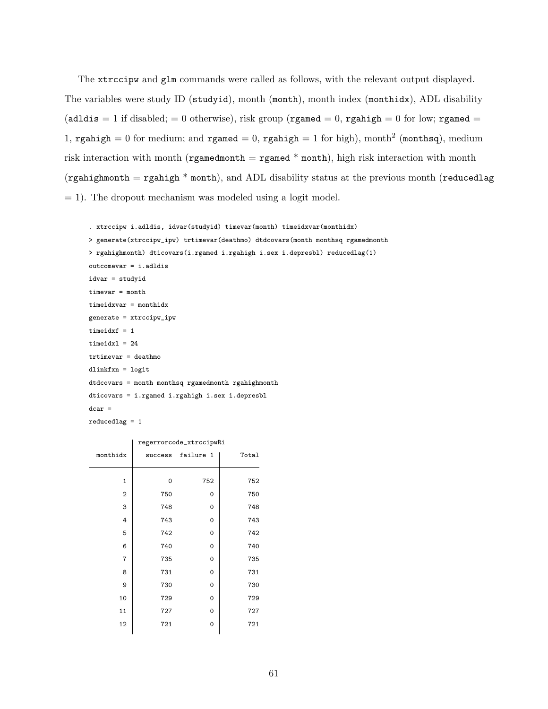The xtrccipw and glm commands were called as follows, with the relevant output displayed. The variables were study ID (studyid), month (month), month index (monthidx), ADL disability  $(adldis = 1$  if disabled; = 0 otherwise), risk group (rgamed = 0, rgahigh = 0 for low; rgamed = 1, rgahigh = 0 for medium; and rgamed = 0, rgahigh = 1 for high), month<sup>2</sup> (monthsq), medium risk interaction with month (rgamedmonth  $=$  rgamed  $*$  month), high risk interaction with month (rgahighmonth = rgahigh  $*$  month), and ADL disability status at the previous month (reducedlag  $= 1$ ). The dropout mechanism was modeled using a logit model.

```
. xtrccipw i.adldis, idvar(studyid) timevar(month) timeidxvar(monthidx)
> generate(xtrccipw_ipw) trtimevar(deathmo) dtdcovars(month monthsq rgamedmonth
> rgahighmonth) dticovars(i.rgamed i.rgahigh i.sex i.depresbl) reducedlag(1)
outcomevar = i.adldis
idvar = studyid
timevar = month
timeidxvar = monthidx
generate = xtrccipw_ipw
timeidxf = 1
timeidxl = 24trtimevar = deathmo
dlinkfxn = logit
dtdcovars = month monthsq rgamedmonth rgahighmonth
dticovars = i.rgamed i.rgahigh i.sex i.depresbl
dcar =
reducedlag = 1
```

|                | regerrorcode_xtrccipwRi |           |       |  |
|----------------|-------------------------|-----------|-------|--|
| monthidx       | success                 | failure 1 | Total |  |
|                |                         |           |       |  |
| $\mathbf{1}$   | 0                       | 752       | 752   |  |
| $\overline{2}$ | 750                     | 0         | 750   |  |
| 3              | 748                     | 0         | 748   |  |
| 4              | 743                     | 0         | 743   |  |
| 5              | 742                     | 0         | 742   |  |
| 6              | 740                     | 0         | 740   |  |
| 7              | 735                     | 0         | 735   |  |
| 8              | 731                     | 0         | 731   |  |
| 9              | 730                     | 0         | 730   |  |
| 10             | 729                     | 0         | 729   |  |
| 11             | 727                     | 0         | 727   |  |
| 12             | 721                     | 0         | 721   |  |
|                |                         |           |       |  |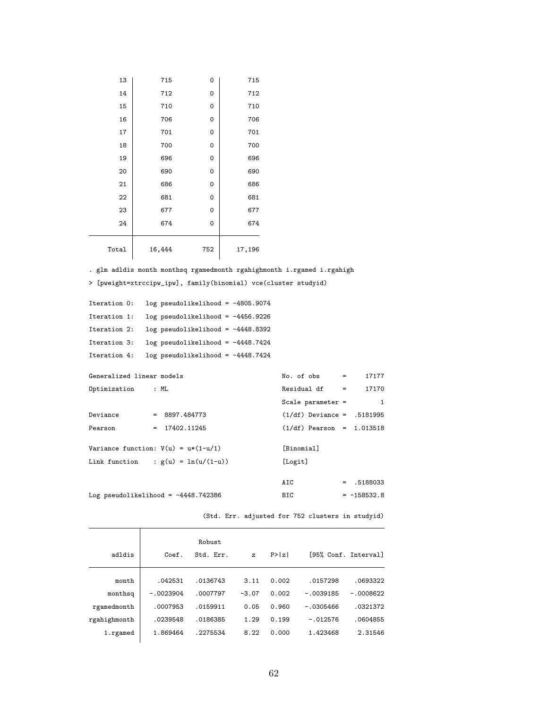| 13    | 715    | 0   | 715    |
|-------|--------|-----|--------|
| 14    | 712    | 0   | 712    |
| 15    | 710    | 0   | 710    |
| 16    | 706    | 0   | 706    |
| 17    | 701    | 0   | 701    |
| 18    | 700    | 0   | 700    |
| 19    | 696    | 0   | 696    |
| 20    | 690    | 0   | 690    |
| 21    | 686    | 0   | 686    |
| 22    | 681    | 0   | 681    |
| 23    | 677    | 0   | 677    |
| 24    | 674    | 0   | 674    |
| Total | 16,444 | 752 | 17,196 |

 $\frac{1}{2}$ 

. glm adldis month monthsq rgamedmonth rgahighmonth i.rgamed i.rgahigh

> [pweight=xtrccipw\_ipw], family(binomial) vce(cluster studyid)

```
Iteration 0: log pseudolikelihood = -4805.9074
Iteration 1: log pseudolikelihood = -4456.9226
Iteration 2: log pseudolikelihood = -4448.8392
Iteration 3: log pseudolikelihood = -4448.7424
Iteration 4: log pseudolikelihood = -4448.7424
Generalized linear models No. of obs = 17177
Optimization : ML Residual df = 17170
```

|                                       |                 | Scale parameter $=$          | 1             |
|---------------------------------------|-----------------|------------------------------|---------------|
| Deviance                              | $= 8897.484773$ | $(1/df)$ Deviance = .5181995 |               |
| Pearson                               | $= 17402.11245$ | $(1/df)$ Pearson = 1.013518  |               |
|                                       |                 |                              |               |
| Variance function: $V(u) = u*(1-u/1)$ |                 | [Binomial]                   |               |
| Link function : $g(u) = \ln(u/(1-u))$ |                 | [Logit]                      |               |
|                                       |                 |                              |               |
|                                       |                 | AIC                          | $= 0.5188033$ |
| Log pseudolikelihood = $-4448.742386$ |                 | BIC                          | $= -158532.8$ |

(Std. Err. adjusted for 752 clusters in studyid)

|              |             | Robust    |              |        |             |                      |
|--------------|-------------|-----------|--------------|--------|-------------|----------------------|
| adldis       | Coef.       | Std. Err. | $\mathbf{z}$ | P >  z |             | [95% Conf. Interval] |
|              |             |           |              |        |             |                      |
| month        | .042531     | .0136743  | 3.11         | 0.002  | .0157298    | .0693322             |
| monthsq      | $-.0023904$ | .0007797  | $-3.07$      | 0.002  | $-.0039185$ | $-.0008622$          |
| rgamedmonth  | .0007953    | .0159911  | 0.05         | 0.960  | $-.0305466$ | .0321372             |
| rgahighmonth | .0239548    | .0186385  | 1.29         | 0.199  | $-.012576$  | .0604855             |
| 1.rgamed     | 1.869464    | .2275534  | 8.22         | 0.000  | 1.423468    | 2.31546              |
|              |             |           |              |        |             |                      |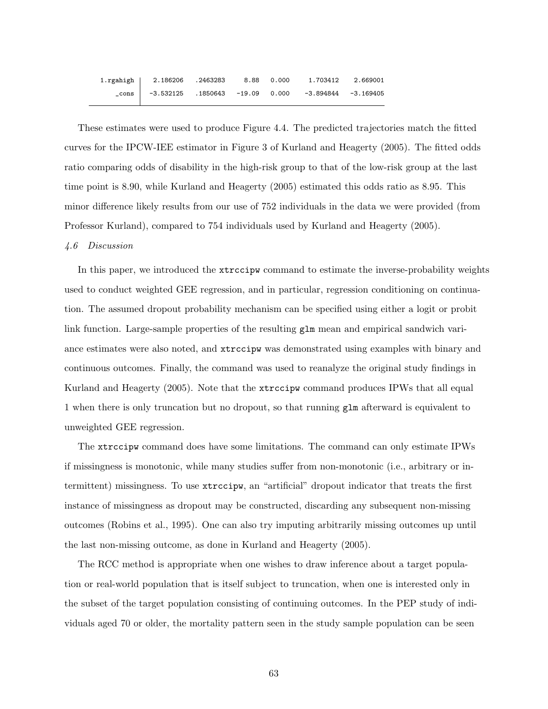| 1.rgahigh   2.186206 .2463283 8.88 0.000 |  | 1.703412                                                                       | 2.669001 |
|------------------------------------------|--|--------------------------------------------------------------------------------|----------|
|                                          |  | $_{\rm \sim}$ cons $\vert$ -3.532125 .1850643 -19.09 0.000 -3.894844 -3.169405 |          |

These estimates were used to produce Figure 4.4. The predicted trajectories match the fitted curves for the IPCW-IEE estimator in Figure 3 of Kurland and Heagerty (2005). The fitted odds ratio comparing odds of disability in the high-risk group to that of the low-risk group at the last time point is 8.90, while Kurland and Heagerty (2005) estimated this odds ratio as 8.95. This minor difference likely results from our use of 752 individuals in the data we were provided (from Professor Kurland), compared to 754 individuals used by Kurland and Heagerty (2005).

## 4.6 Discussion

In this paper, we introduced the **xtrccipw** command to estimate the inverse-probability weights used to conduct weighted GEE regression, and in particular, regression conditioning on continuation. The assumed dropout probability mechanism can be specified using either a logit or probit link function. Large-sample properties of the resulting  $g1m$  mean and empirical sandwich variance estimates were also noted, and xtrccipw was demonstrated using examples with binary and continuous outcomes. Finally, the command was used to reanalyze the original study findings in Kurland and Heagerty (2005). Note that the xtrccipw command produces IPWs that all equal 1 when there is only truncation but no dropout, so that running glm afterward is equivalent to unweighted GEE regression.

The xtrccipw command does have some limitations. The command can only estimate IPWs if missingness is monotonic, while many studies suffer from non-monotonic (i.e., arbitrary or intermittent) missingness. To use xtrccipw, an "artificial" dropout indicator that treats the first instance of missingness as dropout may be constructed, discarding any subsequent non-missing outcomes (Robins et al., 1995). One can also try imputing arbitrarily missing outcomes up until the last non-missing outcome, as done in Kurland and Heagerty (2005).

The RCC method is appropriate when one wishes to draw inference about a target population or real-world population that is itself subject to truncation, when one is interested only in the subset of the target population consisting of continuing outcomes. In the PEP study of individuals aged 70 or older, the mortality pattern seen in the study sample population can be seen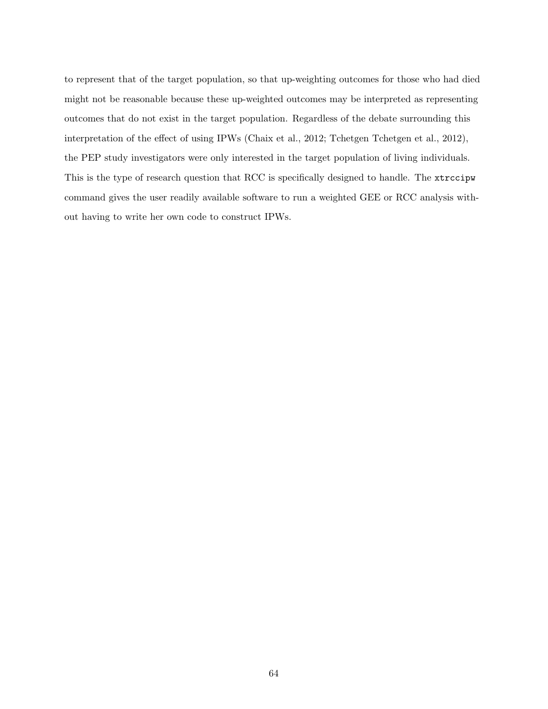to represent that of the target population, so that up-weighting outcomes for those who had died might not be reasonable because these up-weighted outcomes may be interpreted as representing outcomes that do not exist in the target population. Regardless of the debate surrounding this interpretation of the effect of using IPWs (Chaix et al., 2012; Tchetgen Tchetgen et al., 2012), the PEP study investigators were only interested in the target population of living individuals. This is the type of research question that RCC is specifically designed to handle. The xtrccipw command gives the user readily available software to run a weighted GEE or RCC analysis without having to write her own code to construct IPWs.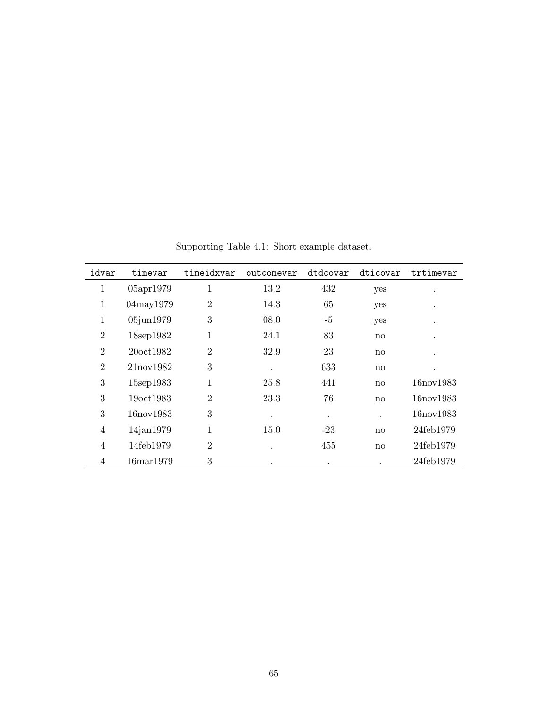| idvar          | timevar                | timeidxvar     | outcomevar | dtdcovar  | dticovar               | trtimevar  |
|----------------|------------------------|----------------|------------|-----------|------------------------|------------|
| 1              | 05apr1979              | 1              | 13.2       | 432       | yes                    |            |
| 1              | 04may1979              | $\overline{2}$ | 14.3       | 65        | yes                    |            |
| 1              | 05jun1979              | 3              | 08.0       | -5        | yes                    |            |
| $\overline{2}$ | 18sep1982              | 1              | 24.1       | 83        | no                     |            |
| $\overline{2}$ | 20oct1982              | $\overline{2}$ | 32.9       | 23        | no                     |            |
| $\overline{2}$ | 21nov1982              | 3              |            | 633       | $\mathbf{n}\mathbf{o}$ | $\bullet$  |
| 3              | 15sep1983              | 1              | 25.8       | 441       | $\mathbf{n}\mathbf{o}$ | 16 nov1983 |
| 3              | 19oct1983              | $\overline{2}$ | 23.3       | 76        | $\mathbf{no}$          | 16nov1983  |
| 3              | 16nov1983              | 3              |            | $\bullet$ | $\cdot$                | 16nov1983  |
| $\overline{4}$ | $14$ jan $1979$        | 1              | 15.0       | $-23$     | $\mathbf{no}$          | 24feb1979  |
| $\overline{4}$ | 14feb1979              | $\overline{2}$ |            | 455       | no                     | 24feb1979  |
| $\overline{4}$ | 16 <sub>mar</sub> 1979 | 3              |            |           |                        | 24feb1979  |

Supporting Table 4.1: Short example dataset.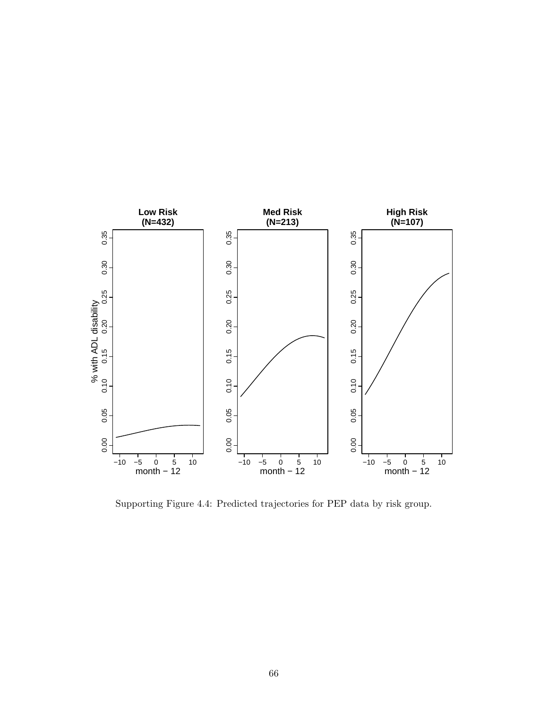

Supporting Figure 4.4: Predicted trajectories for PEP data by risk group.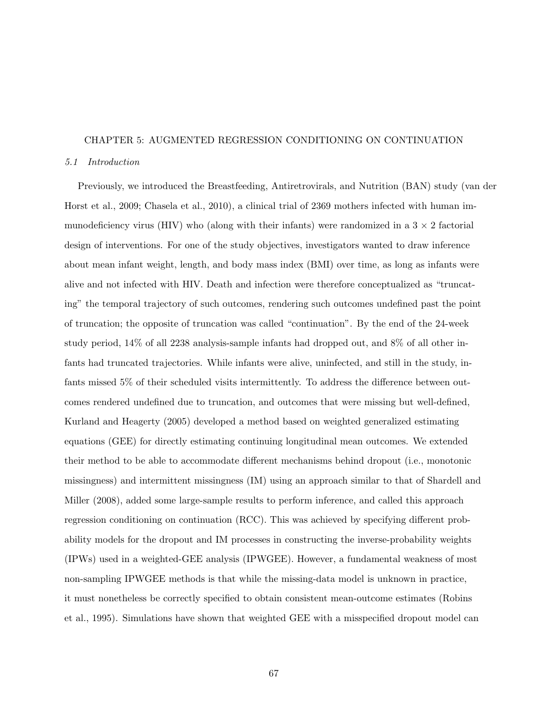# CHAPTER 5: AUGMENTED REGRESSION CONDITIONING ON CONTINUATION

## 5.1 Introduction

Previously, we introduced the Breastfeeding, Antiretrovirals, and Nutrition (BAN) study (van der Horst et al., 2009; Chasela et al., 2010), a clinical trial of 2369 mothers infected with human immunodeficiency virus (HIV) who (along with their infants) were randomized in a  $3 \times 2$  factorial design of interventions. For one of the study objectives, investigators wanted to draw inference about mean infant weight, length, and body mass index (BMI) over time, as long as infants were alive and not infected with HIV. Death and infection were therefore conceptualized as "truncating" the temporal trajectory of such outcomes, rendering such outcomes undefined past the point of truncation; the opposite of truncation was called "continuation". By the end of the 24-week study period, 14% of all 2238 analysis-sample infants had dropped out, and 8% of all other infants had truncated trajectories. While infants were alive, uninfected, and still in the study, infants missed 5% of their scheduled visits intermittently. To address the difference between outcomes rendered undefined due to truncation, and outcomes that were missing but well-defined, Kurland and Heagerty (2005) developed a method based on weighted generalized estimating equations (GEE) for directly estimating continuing longitudinal mean outcomes. We extended their method to be able to accommodate different mechanisms behind dropout (i.e., monotonic missingness) and intermittent missingness (IM) using an approach similar to that of Shardell and Miller (2008), added some large-sample results to perform inference, and called this approach regression conditioning on continuation (RCC). This was achieved by specifying different probability models for the dropout and IM processes in constructing the inverse-probability weights (IPWs) used in a weighted-GEE analysis (IPWGEE). However, a fundamental weakness of most non-sampling IPWGEE methods is that while the missing-data model is unknown in practice, it must nonetheless be correctly specified to obtain consistent mean-outcome estimates (Robins et al., 1995). Simulations have shown that weighted GEE with a misspecified dropout model can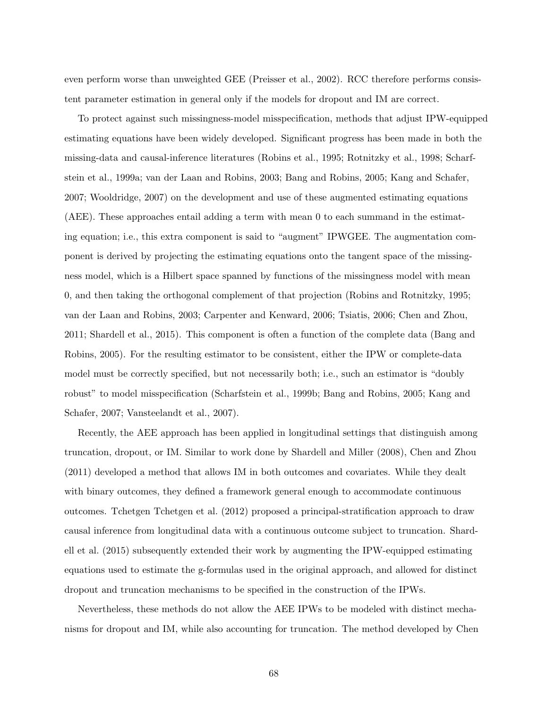even perform worse than unweighted GEE (Preisser et al., 2002). RCC therefore performs consistent parameter estimation in general only if the models for dropout and IM are correct.

To protect against such missingness-model misspecification, methods that adjust IPW-equipped estimating equations have been widely developed. Significant progress has been made in both the missing-data and causal-inference literatures (Robins et al., 1995; Rotnitzky et al., 1998; Scharfstein et al., 1999a; van der Laan and Robins, 2003; Bang and Robins, 2005; Kang and Schafer, 2007; Wooldridge, 2007) on the development and use of these augmented estimating equations (AEE). These approaches entail adding a term with mean 0 to each summand in the estimating equation; i.e., this extra component is said to "augment" IPWGEE. The augmentation component is derived by projecting the estimating equations onto the tangent space of the missingness model, which is a Hilbert space spanned by functions of the missingness model with mean 0, and then taking the orthogonal complement of that projection (Robins and Rotnitzky, 1995; van der Laan and Robins, 2003; Carpenter and Kenward, 2006; Tsiatis, 2006; Chen and Zhou, 2011; Shardell et al., 2015). This component is often a function of the complete data (Bang and Robins, 2005). For the resulting estimator to be consistent, either the IPW or complete-data model must be correctly specified, but not necessarily both; i.e., such an estimator is "doubly robust" to model misspecification (Scharfstein et al., 1999b; Bang and Robins, 2005; Kang and Schafer, 2007; Vansteelandt et al., 2007).

Recently, the AEE approach has been applied in longitudinal settings that distinguish among truncation, dropout, or IM. Similar to work done by Shardell and Miller (2008), Chen and Zhou (2011) developed a method that allows IM in both outcomes and covariates. While they dealt with binary outcomes, they defined a framework general enough to accommodate continuous outcomes. Tchetgen Tchetgen et al. (2012) proposed a principal-stratification approach to draw causal inference from longitudinal data with a continuous outcome subject to truncation. Shardell et al. (2015) subsequently extended their work by augmenting the IPW-equipped estimating equations used to estimate the g-formulas used in the original approach, and allowed for distinct dropout and truncation mechanisms to be specified in the construction of the IPWs.

Nevertheless, these methods do not allow the AEE IPWs to be modeled with distinct mechanisms for dropout and IM, while also accounting for truncation. The method developed by Chen

68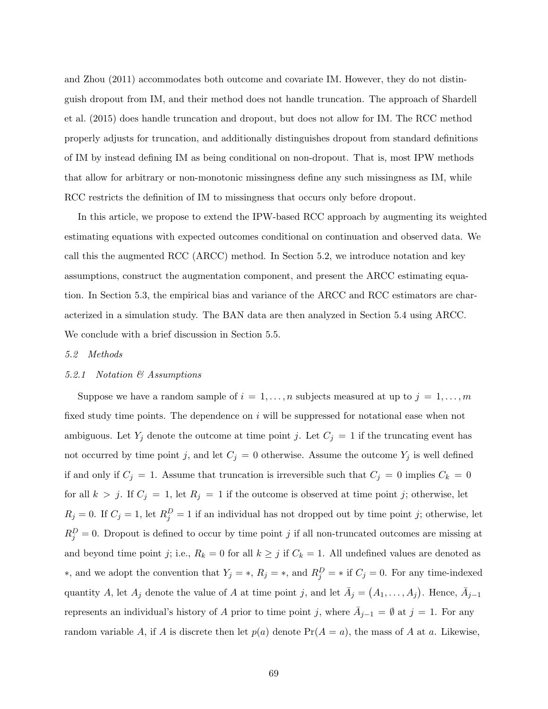and Zhou (2011) accommodates both outcome and covariate IM. However, they do not distinguish dropout from IM, and their method does not handle truncation. The approach of Shardell et al. (2015) does handle truncation and dropout, but does not allow for IM. The RCC method properly adjusts for truncation, and additionally distinguishes dropout from standard definitions of IM by instead defining IM as being conditional on non-dropout. That is, most IPW methods that allow for arbitrary or non-monotonic missingness define any such missingness as IM, while RCC restricts the definition of IM to missingness that occurs only before dropout.

In this article, we propose to extend the IPW-based RCC approach by augmenting its weighted estimating equations with expected outcomes conditional on continuation and observed data. We call this the augmented RCC (ARCC) method. In Section 5.2, we introduce notation and key assumptions, construct the augmentation component, and present the ARCC estimating equation. In Section 5.3, the empirical bias and variance of the ARCC and RCC estimators are characterized in a simulation study. The BAN data are then analyzed in Section 5.4 using ARCC. We conclude with a brief discussion in Section 5.5.

## 5.2 Methods

## 5.2.1 Notation & Assumptions

Suppose we have a random sample of  $i = 1, ..., n$  subjects measured at up to  $j = 1, ..., m$ fixed study time points. The dependence on i will be suppressed for notational ease when not ambiguous. Let  $Y_j$  denote the outcome at time point j. Let  $C_j = 1$  if the truncating event has not occurred by time point j, and let  $C_j = 0$  otherwise. Assume the outcome  $Y_j$  is well defined if and only if  $C_j = 1$ . Assume that truncation is irreversible such that  $C_j = 0$  implies  $C_k = 0$ for all  $k > j$ . If  $C_j = 1$ , let  $R_j = 1$  if the outcome is observed at time point j; otherwise, let  $R_j = 0$ . If  $C_j = 1$ , let  $R_j^D = 1$  if an individual has not dropped out by time point j; otherwise, let  $R_j^D = 0$ . Dropout is defined to occur by time point j if all non-truncated outcomes are missing at and beyond time point j; i.e.,  $R_k = 0$  for all  $k \geq j$  if  $C_k = 1$ . All undefined values are denoted as \*, and we adopt the convention that  $Y_j = *$ ,  $R_j = *$ , and  $R_j^D = *$  if  $C_j = 0$ . For any time-indexed quantity A, let  $A_j$  denote the value of A at time point j, and let  $\bar{A}_j = (A_1, \ldots, A_j)$ . Hence,  $\bar{A}_{j-1}$ represents an individual's history of A prior to time point j, where  $\overline{A}_{j-1} = \emptyset$  at  $j = 1$ . For any random variable A, if A is discrete then let  $p(a)$  denote  $Pr(A = a)$ , the mass of A at a. Likewise,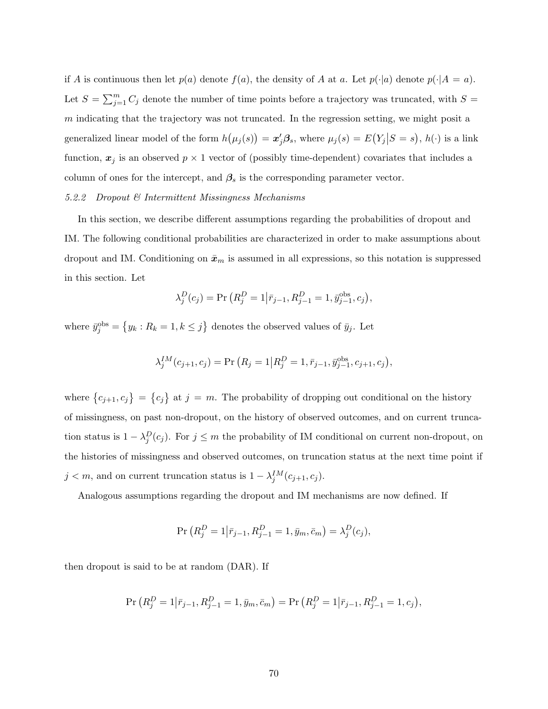if A is continuous then let  $p(a)$  denote  $f(a)$ , the density of A at a. Let  $p(\cdot|a)$  denote  $p(\cdot|A = a)$ . Let  $S = \sum_{j=1}^{m} C_j$  denote the number of time points before a trajectory was truncated, with  $S =$ m indicating that the trajectory was not truncated. In the regression setting, we might posit a generalized linear model of the form  $h(\mu_j(s)) = x'_j \beta_s$ , where  $\mu_j(s) = E(Y_j|S = s)$ ,  $h(\cdot)$  is a link function,  $x_j$  is an observed  $p \times 1$  vector of (possibly time-dependent) covariates that includes a column of ones for the intercept, and  $\beta_s$  is the corresponding parameter vector.

# 5.2.2 Dropout & Intermittent Missingness Mechanisms

In this section, we describe different assumptions regarding the probabilities of dropout and IM. The following conditional probabilities are characterized in order to make assumptions about dropout and IM. Conditioning on  $\bar{x}_m$  is assumed in all expressions, so this notation is suppressed in this section. Let

$$
\lambda_j^D(c_j) = \Pr\left(R_j^D = 1 | \bar{r}_{j-1}, R_{j-1}^D = 1, \bar{y}_{j-1}^{\text{obs}}, c_j\right),
$$

where  $\bar{y}_j^{\text{obs}} = \{y_k : R_k = 1, k \leq j\}$  denotes the observed values of  $\bar{y}_j$ . Let

$$
\lambda_j^{IM}(c_{j+1}, c_j) = \Pr(R_j = 1 | R_j^D = 1, \bar{r}_{j-1}, \bar{y}_{j-1}^{\text{obs}}, c_{j+1}, c_j),
$$

where  $\{c_{j+1}, c_j\} = \{c_j\}$  at  $j = m$ . The probability of dropping out conditional on the history of missingness, on past non-dropout, on the history of observed outcomes, and on current truncation status is  $1 - \lambda_j^D(c_j)$ . For  $j \leq m$  the probability of IM conditional on current non-dropout, on the histories of missingness and observed outcomes, on truncation status at the next time point if  $j < m$ , and on current truncation status is  $1 - \lambda_j^{IM}(c_{j+1}, c_j)$ .

Analogous assumptions regarding the dropout and IM mechanisms are now defined. If

$$
\Pr\left(R_j^D = 1 | \bar{r}_{j-1}, R_{j-1}^D = 1, \bar{y}_m, \bar{c}_m\right) = \lambda_j^D(c_j),
$$

then dropout is said to be at random (DAR). If

$$
\Pr\left(R_j^D = 1\middle|\bar{r}_{j-1}, R_{j-1}^D = 1, \bar{y}_m, \bar{c}_m\right) = \Pr\left(R_j^D = 1\middle|\bar{r}_{j-1}, R_{j-1}^D = 1, c_j\right),\
$$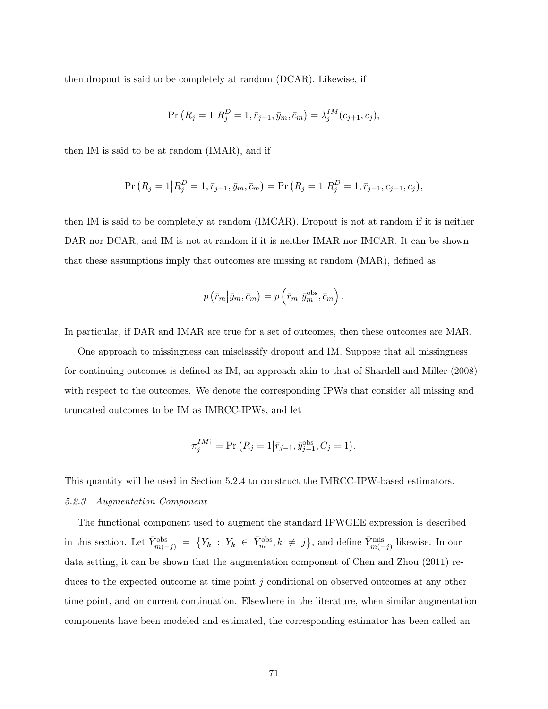then dropout is said to be completely at random (DCAR). Likewise, if

$$
\Pr(R_j = 1 | R_j^D = 1, \bar{r}_{j-1}, \bar{y}_m, \bar{c}_m) = \lambda_j^{IM}(c_{j+1}, c_j),
$$

then IM is said to be at random (IMAR), and if

$$
\Pr(R_j = 1 | R_j^D = 1, \bar{r}_{j-1}, \bar{y}_m, \bar{c}_m) = \Pr(R_j = 1 | R_j^D = 1, \bar{r}_{j-1}, c_{j+1}, c_j),
$$

then IM is said to be completely at random (IMCAR). Dropout is not at random if it is neither DAR nor DCAR, and IM is not at random if it is neither IMAR nor IMCAR. It can be shown that these assumptions imply that outcomes are missing at random (MAR), defined as

$$
p\left(\bar{r}_m\middle|\bar{y}_m,\bar{c}_m\right)=p\left(\bar{r}_m\middle|\bar{y}_m^{\text{obs}},\bar{c}_m\right).
$$

In particular, if DAR and IMAR are true for a set of outcomes, then these outcomes are MAR.

One approach to missingness can misclassify dropout and IM. Suppose that all missingness for continuing outcomes is defined as IM, an approach akin to that of Shardell and Miller (2008) with respect to the outcomes. We denote the corresponding IPWs that consider all missing and truncated outcomes to be IM as IMRCC-IPWs, and let

$$
\pi_j^{IM\dagger} = \Pr(R_j = 1 | \bar{r}_{j-1}, \bar{y}_{j-1}^{obs}, C_j = 1).
$$

This quantity will be used in Section 5.2.4 to construct the IMRCC-IPW-based estimators. 5.2.3 Augmentation Component

The functional component used to augment the standard IPWGEE expression is described in this section. Let  $\bar{Y}_{m(-j)}^{\text{obs}} = \{Y_k : Y_k \in \bar{Y}_m^{\text{obs}}, k \neq j\}$ , and define  $\bar{Y}_{m(-j)}^{\text{mis}}$  likewise. In our data setting, it can be shown that the augmentation component of Chen and Zhou (2011) reduces to the expected outcome at time point j conditional on observed outcomes at any other time point, and on current continuation. Elsewhere in the literature, when similar augmentation components have been modeled and estimated, the corresponding estimator has been called an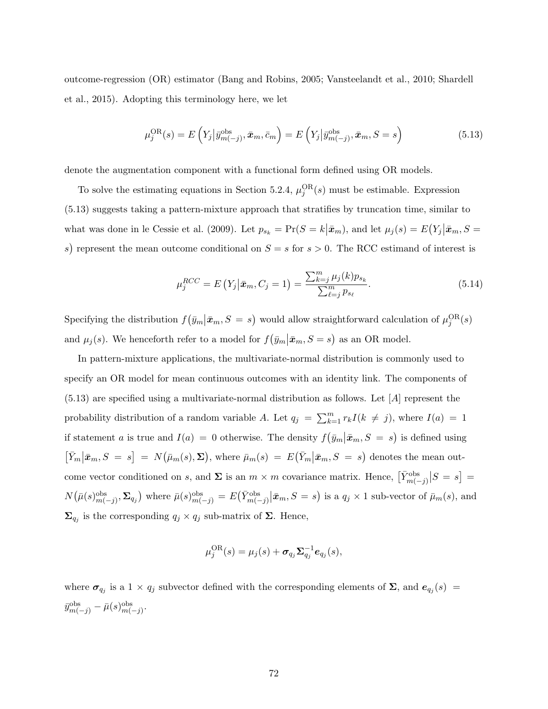outcome-regression (OR) estimator (Bang and Robins, 2005; Vansteelandt et al., 2010; Shardell et al., 2015). Adopting this terminology here, we let

$$
\mu_j^{\text{OR}}(s) = E\left(Y_j|\bar{y}_{m(-j)}^{\text{obs}}, \bar{x}_m, \bar{c}_m\right) = E\left(Y_j|\bar{y}_{m(-j)}^{\text{obs}}, \bar{x}_m, S = s\right)
$$
(5.13)

denote the augmentation component with a functional form defined using OR models.

To solve the estimating equations in Section 5.2.4,  $\mu_j^{\text{OR}}(s)$  must be estimable. Expression (5.13) suggests taking a pattern-mixture approach that stratifies by truncation time, similar to what was done in le Cessie et al. (2009). Let  $p_{s_k} = \Pr(S = k | \bar{x}_m)$ , and let  $\mu_j(s) = E(Y_j | \bar{x}_m, S =$ s) represent the mean outcome conditional on  $S = s$  for  $s > 0$ . The RCC estimand of interest is

$$
\mu_j^{RCC} = E\left(Y_j | \bar{x}_m, C_j = 1\right) = \frac{\sum_{k=j}^m \mu_j(k) p_{s_k}}{\sum_{\ell=j}^m p_{s_\ell}}.
$$
\n(5.14)

Specifying the distribution  $f(\bar{y}_m | \bar{x}_m, S = s)$  would allow straightforward calculation of  $\mu_j^{\text{OR}}(s)$ and  $\mu_j(s)$ . We henceforth refer to a model for  $f(\bar{y}_m | \bar{x}_m, S = s)$  as an OR model.

In pattern-mixture applications, the multivariate-normal distribution is commonly used to specify an OR model for mean continuous outcomes with an identity link. The components of  $(5.13)$  are specified using a multivariate-normal distribution as follows. Let  $[A]$  represent the probability distribution of a random variable A. Let  $q_j = \sum_{k=1}^m r_k I(k \neq j)$ , where  $I(a) = 1$ if statement a is true and  $I(a) = 0$  otherwise. The density  $f(\bar{y}_m | \bar{x}_m, S = s)$  is defined using  $[\bar{Y}_m | \bar{x}_m, S = s] = N(\bar{\mu}_m(s), \Sigma)$ , where  $\bar{\mu}_m(s) = E(\bar{Y}_m | \bar{x}_m, S = s)$  denotes the mean outcome vector conditioned on s, and  $\Sigma$  is an  $m \times m$  covariance matrix. Hence,  $\left[\bar{Y}_{m(-j)}^{\text{obs}}\right]S = s$  =  $N(\bar{\mu}(s)_{m(-j)}^{\text{obs}}, \Sigma_{q_j})$  where  $\bar{\mu}(s)_{m(-j)}^{\text{obs}} = E(\bar{Y}_{m(-j)}^{\text{obs}} | \bar{x}_m, S = s)$  is a  $q_j \times 1$  sub-vector of  $\bar{\mu}_m(s)$ , and  $\Sigma_{q_j}$  is the corresponding  $q_j \times q_j$  sub-matrix of  $\Sigma$ . Hence,

$$
\mu_j^{\text{OR}}(s) = \mu_j(s) + \boldsymbol{\sigma}_{q_j} \boldsymbol{\Sigma}_{q_j}^{-1} \boldsymbol{e}_{q_j}(s),
$$

where  $\sigma_{q_j}$  is a 1 ×  $q_j$  subvector defined with the corresponding elements of  $\Sigma$ , and  $e_{q_j}(s)$  =  $\bar{y}^{\text{obs}}_{m(-j)} - \bar{\mu}(s)^{\text{obs}}_{m(-j)}.$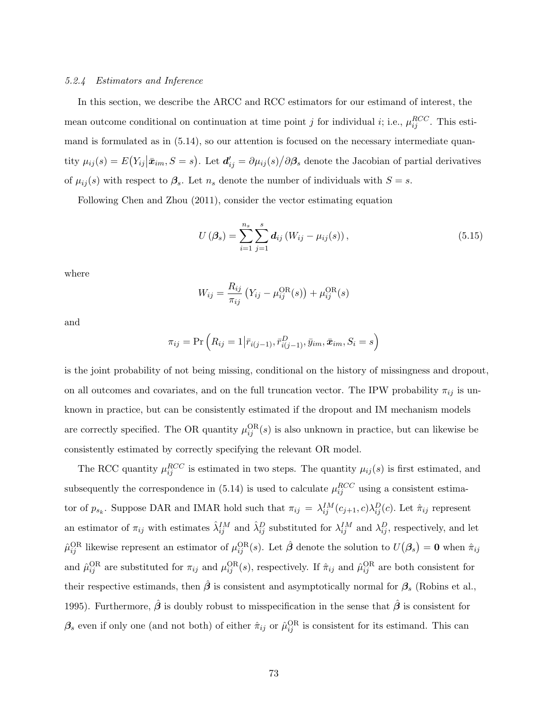## 5.2.4 Estimators and Inference

In this section, we describe the ARCC and RCC estimators for our estimand of interest, the mean outcome conditional on continuation at time point j for individual i; i.e.,  $\mu_{ij}^{RCC}$ . This estimand is formulated as in (5.14), so our attention is focused on the necessary intermediate quantity  $\mu_{ij}(s) = E(Y_{ij}|\bar{x}_{im}, S = s)$ . Let  $d'_{ij} = \partial \mu_{ij}(s)/\partial \beta_s$  denote the Jacobian of partial derivatives of  $\mu_{ij}(s)$  with respect to  $\beta_s$ . Let  $n_s$  denote the number of individuals with  $S = s$ .

Following Chen and Zhou (2011), consider the vector estimating equation

$$
U(\beta_s) = \sum_{i=1}^{n_s} \sum_{j=1}^{s} d_{ij} (W_{ij} - \mu_{ij}(s)),
$$
\n(5.15)

where

$$
W_{ij} = \frac{R_{ij}}{\pi_{ij}} (Y_{ij} - \mu_{ij}^{\text{OR}}(s)) + \mu_{ij}^{\text{OR}}(s)
$$

and

$$
\pi_{ij} = \Pr\left(R_{ij} = 1 | \bar{r}_{i(j-1)}, \bar{r}_{i(j-1)}^D, \bar{y}_{im}, \bar{x}_{im}, S_i = s\right)
$$

is the joint probability of not being missing, conditional on the history of missingness and dropout, on all outcomes and covariates, and on the full truncation vector. The IPW probability  $\pi_{ij}$  is unknown in practice, but can be consistently estimated if the dropout and IM mechanism models are correctly specified. The OR quantity  $\mu_{ij}^{\text{OR}}(s)$  is also unknown in practice, but can likewise be consistently estimated by correctly specifying the relevant OR model.

The RCC quantity  $\mu_{ij}^{RCC}$  is estimated in two steps. The quantity  $\mu_{ij}(s)$  is first estimated, and subsequently the correspondence in (5.14) is used to calculate  $\mu_{ij}^{RCC}$  using a consistent estimator of  $p_{s_k}$ . Suppose DAR and IMAR hold such that  $\pi_{ij} = \lambda_{ij}^{IM}(c_{j+1}, c) \lambda_{ij}^D(c)$ . Let  $\hat{\pi}_{ij}$  represent an estimator of  $\pi_{ij}$  with estimates  $\hat{\lambda}_{ij}^{IM}$  and  $\hat{\lambda}_{ij}^D$  substituted for  $\lambda_{ij}^{IM}$  and  $\lambda_{ij}^D$ , respectively, and let  $\hat{\mu}_{ij}^{\text{OR}}$  likewise represent an estimator of  $\mu_{ij}^{\text{OR}}(s)$ . Let  $\hat{\boldsymbol{\beta}}$  denote the solution to  $U(\boldsymbol{\beta}_s) = \mathbf{0}$  when  $\hat{\pi}_{ij}$ and  $\hat{\mu}_{ij}^{\text{OR}}$  are substituted for  $\pi_{ij}$  and  $\mu_{ij}^{\text{OR}}(s)$ , respectively. If  $\hat{\pi}_{ij}$  and  $\hat{\mu}_{ij}^{\text{OR}}$  are both consistent for their respective estimands, then  $\hat{\beta}$  is consistent and asymptotically normal for  $\beta_s$  (Robins et al., 1995). Furthermore,  $\hat{\beta}$  is doubly robust to misspecification in the sense that  $\hat{\beta}$  is consistent for  $\beta_s$  even if only one (and not both) of either  $\hat{\pi}_{ij}$  or  $\hat{\mu}_{ij}^{OR}$  is consistent for its estimand. This can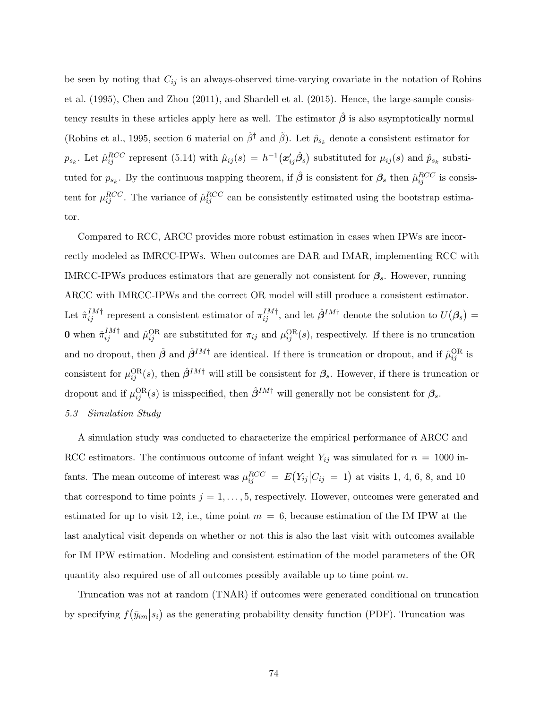be seen by noting that  $C_{ij}$  is an always-observed time-varying covariate in the notation of Robins et al. (1995), Chen and Zhou (2011), and Shardell et al. (2015). Hence, the large-sample consistency results in these articles apply here as well. The estimator  $\hat{\beta}$  is also asymptotically normal (Robins et al., 1995, section 6 material on  $\tilde{\beta}^{\dagger}$  and  $\tilde{\beta}$ ). Let  $\hat{p}_{s_k}$  denote a consistent estimator for  $p_{s_k}$ . Let  $\hat{\mu}_{ij}^{RCC}$  represent (5.14) with  $\hat{\mu}_{ij}(s) = h^{-1}(\boldsymbol{x}_{ij}'\hat{\boldsymbol{\beta}}_s)$  substituted for  $\mu_{ij}(s)$  and  $\hat{p}_{s_k}$  substituted for  $p_{s_k}$ . By the continuous mapping theorem, if  $\hat{\beta}$  is consistent for  $\beta_s$  then  $\hat{\mu}_{ij}^{RCC}$  is consistent for  $\mu_{ij}^{RCC}$ . The variance of  $\hat{\mu}_{ij}^{RCC}$  can be consistently estimated using the bootstrap estimator.

Compared to RCC, ARCC provides more robust estimation in cases when IPWs are incorrectly modeled as IMRCC-IPWs. When outcomes are DAR and IMAR, implementing RCC with IMRCC-IPWs produces estimators that are generally not consistent for  $\beta_s$ . However, running ARCC with IMRCC-IPWs and the correct OR model will still produce a consistent estimator. Let  $\hat{\pi}_{ij}^{IM\dagger}$  represent a consistent estimator of  $\pi_{ij}^{IM\dagger}$ , and let  $\hat{\beta}^{IM\dagger}$  denote the solution to  $U(\beta_s)$  = **0** when  $\hat{\pi}_{ij}^{IM\dagger}$  and  $\hat{\mu}_{ij}^{OR}$  are substituted for  $\pi_{ij}$  and  $\mu_{ij}^{OR}(s)$ , respectively. If there is no truncation and no dropout, then  $\hat{\beta}$  and  $\hat{\beta}^{IM\dagger}$  are identical. If there is truncation or dropout, and if  $\hat{\mu}_{ij}^{OR}$  is consistent for  $\mu_{ij}^{\text{OR}}(s)$ , then  $\hat{\beta}^{IM\dagger}$  will still be consistent for  $\beta_s$ . However, if there is truncation or dropout and if  $\mu_{ij}^{\text{OR}}(s)$  is misspecified, then  $\hat{\beta}^{IM\dagger}$  will generally not be consistent for  $\beta_s$ . 5.3 Simulation Study

A simulation study was conducted to characterize the empirical performance of ARCC and RCC estimators. The continuous outcome of infant weight  $Y_{ij}$  was simulated for  $n = 1000$  infants. The mean outcome of interest was  $\mu_{ij}^{RCC} = E(Y_{ij}|C_{ij} = 1)$  at visits 1, 4, 6, 8, and 10 that correspond to time points  $j = 1, \ldots, 5$ , respectively. However, outcomes were generated and estimated for up to visit 12, i.e., time point  $m = 6$ , because estimation of the IM IPW at the last analytical visit depends on whether or not this is also the last visit with outcomes available for IM IPW estimation. Modeling and consistent estimation of the model parameters of the OR quantity also required use of all outcomes possibly available up to time point  $m$ .

Truncation was not at random (TNAR) if outcomes were generated conditional on truncation by specifying  $f(\bar{y}_{im}|s_i)$  as the generating probability density function (PDF). Truncation was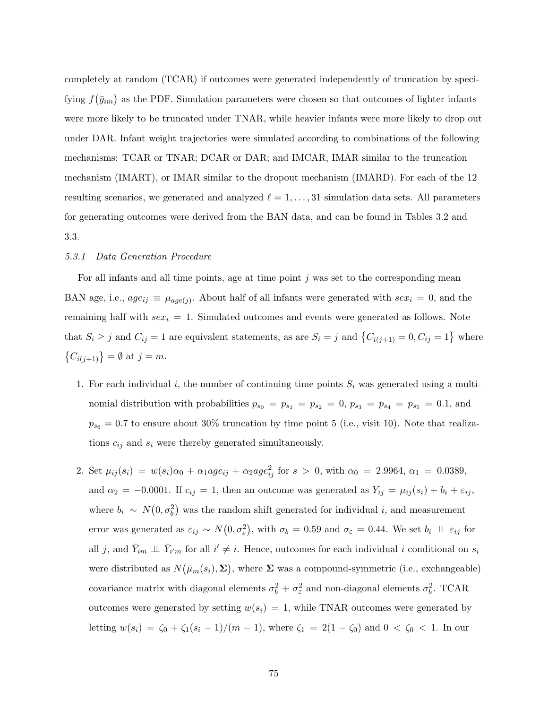completely at random (TCAR) if outcomes were generated independently of truncation by specifying  $f(\bar{y}_{im})$  as the PDF. Simulation parameters were chosen so that outcomes of lighter infants were more likely to be truncated under TNAR, while heavier infants were more likely to drop out under DAR. Infant weight trajectories were simulated according to combinations of the following mechanisms: TCAR or TNAR; DCAR or DAR; and IMCAR, IMAR similar to the truncation mechanism (IMART), or IMAR similar to the dropout mechanism (IMARD). For each of the 12 resulting scenarios, we generated and analyzed  $\ell = 1, \ldots, 31$  simulation data sets. All parameters for generating outcomes were derived from the BAN data, and can be found in Tables 3.2 and 3.3.

## 5.3.1 Data Generation Procedure

For all infants and all time points, age at time point  $j$  was set to the corresponding mean BAN age, i.e.,  $age_{ij} \equiv \mu_{age(j)}$ . About half of all infants were generated with  $sex_i = 0$ , and the remaining half with  $sex_i = 1$ . Simulated outcomes and events were generated as follows. Note that  $S_i \geq j$  and  $C_{ij} = 1$  are equivalent statements, as are  $S_i = j$  and  $\{C_{i(j+1)} = 0, C_{ij} = 1\}$  where  $\{C_{i(j+1)}\} = \emptyset$  at  $j = m$ .

- 1. For each individual i, the number of continuing time points  $S_i$  was generated using a multinomial distribution with probabilities  $p_{s_0} = p_{s_1} = p_{s_2} = 0, p_{s_3} = p_{s_4} = p_{s_5} = 0.1$ , and  $p_{s_6} = 0.7$  to ensure about 30% truncation by time point 5 (i.e., visit 10). Note that realizations  $c_{ij}$  and  $s_i$  were thereby generated simultaneously.
- 2. Set  $\mu_{ij}(s_i) = w(s_i)\alpha_0 + \alpha_1 age_{ij} + \alpha_2 age_{ij}^2$  for  $s > 0$ , with  $\alpha_0 = 2.9964$ ,  $\alpha_1 = 0.0389$ , and  $\alpha_2 = -0.0001$ . If  $c_{ij} = 1$ , then an outcome was generated as  $Y_{ij} = \mu_{ij}(s_i) + b_i + \varepsilon_{ij}$ , where  $b_i \sim N(0, \sigma_b^2)$  was the random shift generated for individual i, and measurement error was generated as  $\varepsilon_{ij} \sim N(0, \sigma_{\varepsilon}^2)$ , with  $\sigma_b = 0.59$  and  $\sigma_{\varepsilon} = 0.44$ . We set  $b_i \perp \!\!\! \perp \varepsilon_{ij}$  for all j, and  $\bar{Y}_{im} \perp \bar{Y}_{i'm}$  for all  $i' \neq i$ . Hence, outcomes for each individual i conditional on  $s_i$ were distributed as  $N(\bar{\mu}_m(s_i), \Sigma)$ , where  $\Sigma$  was a compound-symmetric (i.e., exchangeable) covariance matrix with diagonal elements  $\sigma_b^2 + \sigma_{\varepsilon}^2$  and non-diagonal elements  $\sigma_b^2$ . TCAR outcomes were generated by setting  $w(s_i) = 1$ , while TNAR outcomes were generated by letting  $w(s_i) = \zeta_0 + \zeta_1(s_i - 1)/(m - 1)$ , where  $\zeta_1 = 2(1 - \zeta_0)$  and  $0 < \zeta_0 < 1$ . In our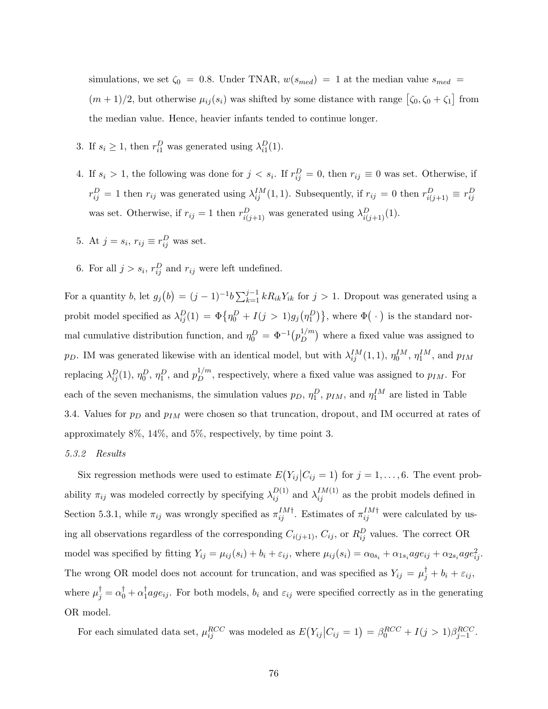simulations, we set  $\zeta_0 = 0.8$ . Under TNAR,  $w(s_{med}) = 1$  at the median value  $s_{med} =$  $(m+1)/2$ , but otherwise  $\mu_{ij}(s_i)$  was shifted by some distance with range  $\left[\zeta_0, \zeta_0 + \zeta_1\right]$  from the median value. Hence, heavier infants tended to continue longer.

- 3. If  $s_i \geq 1$ , then  $r_{i1}^D$  was generated using  $\lambda_{i1}^D(1)$ .
- 4. If  $s_i > 1$ , the following was done for  $j < s_i$ . If  $r_{ij}^D = 0$ , then  $r_{ij} \equiv 0$  was set. Otherwise, if  $r_{ij}^D = 1$  then  $r_{ij}$  was generated using  $\lambda_{ij}^{IM}(1,1)$ . Subsequently, if  $r_{ij} = 0$  then  $r_{i(j+1)}^D \equiv r_{ij}^D$ was set. Otherwise, if  $r_{ij} = 1$  then  $r_{i(j+1)}^D$  was generated using  $\lambda_{i(j+1)}^D(1)$ .
- 5. At  $j = s_i$ ,  $r_{ij} \equiv r_{ij}^D$  was set.
- 6. For all  $j > s_i$ ,  $r_{ij}^D$  and  $r_{ij}$  were left undefined.

For a quantity b, let  $g_j(b) = (j-1)^{-1}b \sum_{k=1}^{j-1} k R_{ik} Y_{ik}$  for  $j > 1$ . Dropout was generated using a probit model specified as  $\lambda_{ij}^D(1) = \Phi\{\eta_0^D + I(j>1)g_j(\eta_1^D)\}\$ , where  $\Phi(\cdot)$  is the standard normal cumulative distribution function, and  $\eta_0^D = \Phi^{-1}(p_D^{1/m})$  $\binom{1/m}{D}$  where a fixed value was assigned to p<sub>D</sub>. IM was generated likewise with an identical model, but with  $\lambda_{ij}^{IM}(1,1)$ ,  $\eta_0^{IM}$ ,  $\eta_1^{IM}$ , and  $p_{IM}$ replacing  $\lambda_{ij}^D(1)$ ,  $\eta_0^D$ ,  $\eta_1^D$ , and  $p_D^{1/m}$ , respectively, where a fixed value was assigned to  $p_{IM}$ . For each of the seven mechanisms, the simulation values  $p_D$ ,  $\eta_1^D$ ,  $p_{IM}$ , and  $\eta_1^{IM}$  are listed in Table 3.4. Values for  $p_D$  and  $p_{IM}$  were chosen so that truncation, dropout, and IM occurred at rates of approximately 8%, 14%, and 5%, respectively, by time point 3.

## 5.3.2 Results

Six regression methods were used to estimate  $E(Y_{ij}|C_{ij} = 1)$  for  $j = 1, ..., 6$ . The event probability  $\pi_{ij}$  was modeled correctly by specifying  $\lambda_{ij}^{D(1)}$  and  $\lambda_{ij}^{IM(1)}$  as the probit models defined in Section 5.3.1, while  $\pi_{ij}$  was wrongly specified as  $\pi_{ij}^{IM\dagger}$ . Estimates of  $\pi_{ij}^{IM\dagger}$  were calculated by using all observations regardless of the corresponding  $C_{i(j+1)}$ ,  $C_{ij}$ , or  $R_{ij}^D$  values. The correct OR model was specified by fitting  $Y_{ij} = \mu_{ij}(s_i) + b_i + \varepsilon_{ij}$ , where  $\mu_{ij}(s_i) = \alpha_{0s_i} + \alpha_{1s_i} age_{ij} + \alpha_{2s_i} age_{ij}^2$ . The wrong OR model does not account for truncation, and was specified as  $Y_{ij} = \mu_j^{\dagger} + b_i + \varepsilon_{ij}$ , where  $\mu_j^{\dagger} = \alpha_0^{\dagger} + \alpha_1^{\dagger}$  $\iota_1^{\text{I}}age_{ij}$ . For both models,  $b_i$  and  $\varepsilon_{ij}$  were specified correctly as in the generating OR model.

For each simulated data set,  $\mu_{ij}^{RCC}$  was modeled as  $E(Y_{ij}|C_{ij} = 1) = \beta_0^{RCC} + I(j > 1)\beta_{j-1}^{RCC}$ .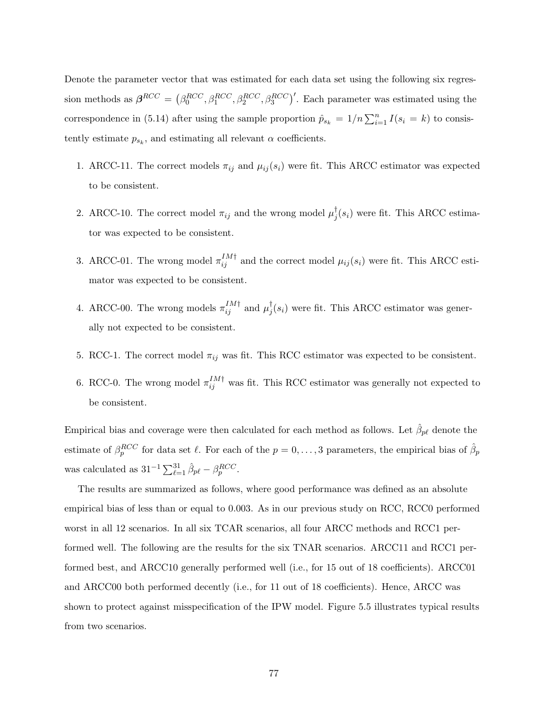Denote the parameter vector that was estimated for each data set using the following six regression methods as  $\beta^{RCC} = (\beta_0^{RCC}, \beta_1^{RCC}, \beta_2^{RCC}, \beta_3^{RCC})'$ . Each parameter was estimated using the correspondence in (5.14) after using the sample proportion  $\hat{p}_{s_k} = 1/n \sum_{i=1}^n I(s_i = k)$  to consistently estimate  $p_{s_k}$ , and estimating all relevant  $\alpha$  coefficients.

- 1. ARCC-11. The correct models  $\pi_{ij}$  and  $\mu_{ij}(s_i)$  were fit. This ARCC estimator was expected to be consistent.
- 2. ARCC-10. The correct model  $\pi_{ij}$  and the wrong model  $\mu_j^{\dagger}$  $j(s_i)$  were fit. This ARCC estimator was expected to be consistent.
- 3. ARCC-01. The wrong model  $\pi_{ij}^{IM\dagger}$  and the correct model  $\mu_{ij}(s_i)$  were fit. This ARCC estimator was expected to be consistent.
- 4. ARCC-00. The wrong models  $\pi_{ij}^{IM\dagger}$  and  $\mu_j^{\dagger}$  $j(s_i)$  were fit. This ARCC estimator was generally not expected to be consistent.
- 5. RCC-1. The correct model  $\pi_{ij}$  was fit. This RCC estimator was expected to be consistent.
- 6. RCC-0. The wrong model  $\pi_{ij}^{IM\dagger}$  was fit. This RCC estimator was generally not expected to be consistent.

Empirical bias and coverage were then calculated for each method as follows. Let  $\hat{\beta}_{p\ell}$  denote the estimate of  $\beta_p^{RCC}$  for data set  $\ell$ . For each of the  $p = 0, \ldots, 3$  parameters, the empirical bias of  $\hat{\beta}_p$ was calculated as  $31^{-1} \sum_{\ell=1}^{31} \hat{\beta}_{p\ell} - \beta_p^{RCC}$ .

The results are summarized as follows, where good performance was defined as an absolute empirical bias of less than or equal to 0.003. As in our previous study on RCC, RCC0 performed worst in all 12 scenarios. In all six TCAR scenarios, all four ARCC methods and RCC1 performed well. The following are the results for the six TNAR scenarios. ARCC11 and RCC1 performed best, and ARCC10 generally performed well (i.e., for 15 out of 18 coefficients). ARCC01 and ARCC00 both performed decently (i.e., for 11 out of 18 coefficients). Hence, ARCC was shown to protect against misspecification of the IPW model. Figure 5.5 illustrates typical results from two scenarios.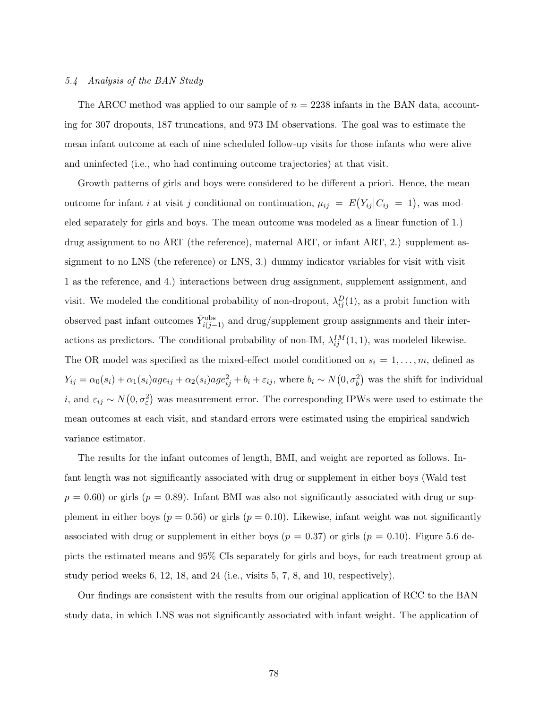## 5.4 Analysis of the BAN Study

The ARCC method was applied to our sample of  $n = 2238$  infants in the BAN data, accounting for 307 dropouts, 187 truncations, and 973 IM observations. The goal was to estimate the mean infant outcome at each of nine scheduled follow-up visits for those infants who were alive and uninfected (i.e., who had continuing outcome trajectories) at that visit.

Growth patterns of girls and boys were considered to be different a priori. Hence, the mean outcome for infant *i* at visit *j* conditional on continuation,  $\mu_{ij} = E(Y_{ij}|C_{ij} = 1)$ , was modeled separately for girls and boys. The mean outcome was modeled as a linear function of 1.) drug assignment to no ART (the reference), maternal ART, or infant ART, 2.) supplement assignment to no LNS (the reference) or LNS, 3.) dummy indicator variables for visit with visit 1 as the reference, and 4.) interactions between drug assignment, supplement assignment, and visit. We modeled the conditional probability of non-dropout,  $\lambda_{ij}^D(1)$ , as a probit function with observed past infant outcomes  $\bar{Y}_{i(j-1)}^{\text{obs}}$  and drug/supplement group assignments and their interactions as predictors. The conditional probability of non-IM,  $\lambda_{ij}^{IM}(1,1)$ , was modeled likewise. The OR model was specified as the mixed-effect model conditioned on  $s_i = 1, \ldots, m$ , defined as  $Y_{ij} = \alpha_0(s_i) + \alpha_1(s_i)age_{ij} + \alpha_2(s_i)age_{ij}^2 + b_i + \varepsilon_{ij}$ , where  $b_i \sim N(0, \sigma_b^2)$  was the shift for individual *i*, and  $\varepsilon_{ij} \sim N(0, \sigma_{\varepsilon}^2)$  was measurement error. The corresponding IPWs were used to estimate the mean outcomes at each visit, and standard errors were estimated using the empirical sandwich variance estimator.

The results for the infant outcomes of length, BMI, and weight are reported as follows. Infant length was not significantly associated with drug or supplement in either boys (Wald test  $p = 0.60$ ) or girls ( $p = 0.89$ ). Infant BMI was also not significantly associated with drug or supplement in either boys ( $p = 0.56$ ) or girls ( $p = 0.10$ ). Likewise, infant weight was not significantly associated with drug or supplement in either boys ( $p = 0.37$ ) or girls ( $p = 0.10$ ). Figure 5.6 depicts the estimated means and 95% CIs separately for girls and boys, for each treatment group at study period weeks 6, 12, 18, and 24 (i.e., visits 5, 7, 8, and 10, respectively).

Our findings are consistent with the results from our original application of RCC to the BAN study data, in which LNS was not significantly associated with infant weight. The application of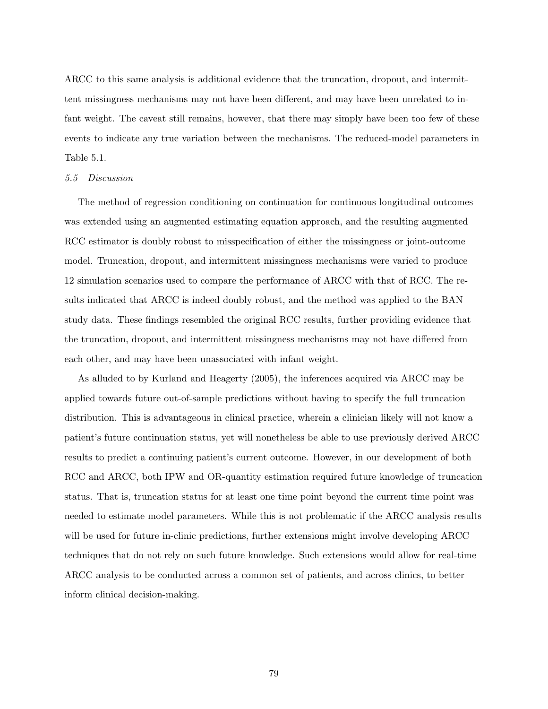ARCC to this same analysis is additional evidence that the truncation, dropout, and intermittent missingness mechanisms may not have been different, and may have been unrelated to infant weight. The caveat still remains, however, that there may simply have been too few of these events to indicate any true variation between the mechanisms. The reduced-model parameters in Table 5.1.

#### 5.5 Discussion

The method of regression conditioning on continuation for continuous longitudinal outcomes was extended using an augmented estimating equation approach, and the resulting augmented RCC estimator is doubly robust to misspecification of either the missingness or joint-outcome model. Truncation, dropout, and intermittent missingness mechanisms were varied to produce 12 simulation scenarios used to compare the performance of ARCC with that of RCC. The results indicated that ARCC is indeed doubly robust, and the method was applied to the BAN study data. These findings resembled the original RCC results, further providing evidence that the truncation, dropout, and intermittent missingness mechanisms may not have differed from each other, and may have been unassociated with infant weight.

As alluded to by Kurland and Heagerty (2005), the inferences acquired via ARCC may be applied towards future out-of-sample predictions without having to specify the full truncation distribution. This is advantageous in clinical practice, wherein a clinician likely will not know a patient's future continuation status, yet will nonetheless be able to use previously derived ARCC results to predict a continuing patient's current outcome. However, in our development of both RCC and ARCC, both IPW and OR-quantity estimation required future knowledge of truncation status. That is, truncation status for at least one time point beyond the current time point was needed to estimate model parameters. While this is not problematic if the ARCC analysis results will be used for future in-clinic predictions, further extensions might involve developing ARCC techniques that do not rely on such future knowledge. Such extensions would allow for real-time ARCC analysis to be conducted across a common set of patients, and across clinics, to better inform clinical decision-making.

79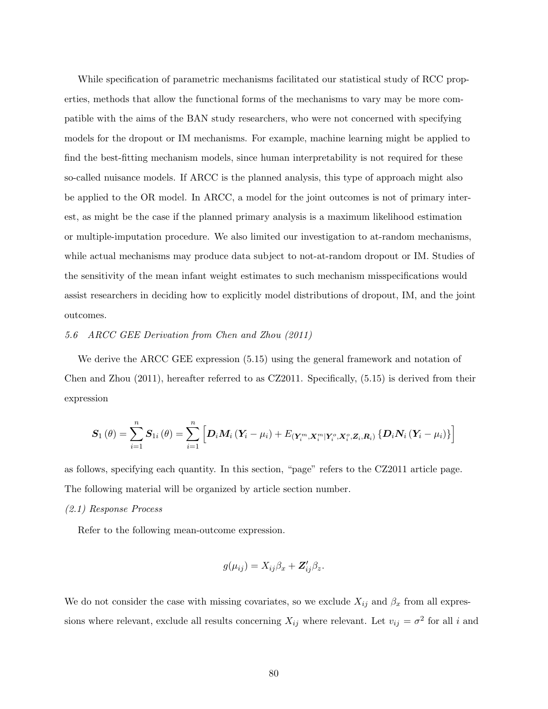While specification of parametric mechanisms facilitated our statistical study of RCC properties, methods that allow the functional forms of the mechanisms to vary may be more compatible with the aims of the BAN study researchers, who were not concerned with specifying models for the dropout or IM mechanisms. For example, machine learning might be applied to find the best-fitting mechanism models, since human interpretability is not required for these so-called nuisance models. If ARCC is the planned analysis, this type of approach might also be applied to the OR model. In ARCC, a model for the joint outcomes is not of primary interest, as might be the case if the planned primary analysis is a maximum likelihood estimation or multiple-imputation procedure. We also limited our investigation to at-random mechanisms, while actual mechanisms may produce data subject to not-at-random dropout or IM. Studies of the sensitivity of the mean infant weight estimates to such mechanism misspecifications would assist researchers in deciding how to explicitly model distributions of dropout, IM, and the joint outcomes.

## 5.6 ARCC GEE Derivation from Chen and Zhou (2011)

We derive the ARCC GEE expression (5.15) using the general framework and notation of Chen and Zhou (2011), hereafter referred to as CZ2011. Specifically, (5.15) is derived from their expression

$$
\boldsymbol{S}_{1}\left(\theta\right)=\sum_{i=1}^{n}\boldsymbol{S}_{1i}\left(\theta\right)=\sum_{i=1}^{n}\left[\boldsymbol{D}_{i}\boldsymbol{M}_{i}\left(\boldsymbol{Y}_{i}-\mu_{i}\right)+E_{\left(\boldsymbol{Y}_{i}^{m},\boldsymbol{X}_{i}^{m}\vert\boldsymbol{Y}_{i}^{o},\boldsymbol{X}_{i}^{o},\boldsymbol{Z}_{i},\boldsymbol{R}_{i}\right)}\left\{\boldsymbol{D}_{i}\boldsymbol{N}_{i}\left(\boldsymbol{Y}_{i}-\mu_{i}\right)\right\}\right]
$$

as follows, specifying each quantity. In this section, "page" refers to the CZ2011 article page. The following material will be organized by article section number.

## (2.1) Response Process

Refer to the following mean-outcome expression.

$$
g(\mu_{ij})=X_{ij}\beta_x+\mathbf{Z}_{ij}'\beta_z.
$$

We do not consider the case with missing covariates, so we exclude  $X_{ij}$  and  $\beta_x$  from all expressions where relevant, exclude all results concerning  $X_{ij}$  where relevant. Let  $v_{ij} = \sigma^2$  for all i and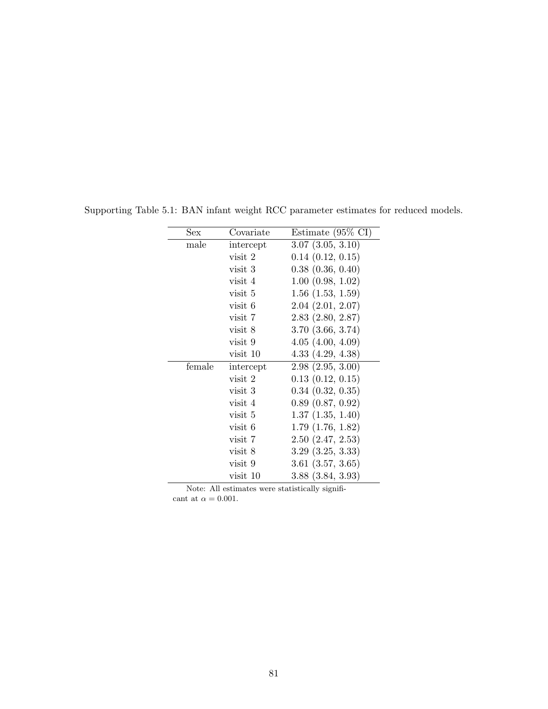| Sex    | Covariate | Estimate $(95\% \text{ CI})$ |
|--------|-----------|------------------------------|
| male   | intercept | $3.07$ $(3.05, 3.10)$        |
|        | visit 2   | 0.14(0.12, 0.15)             |
|        | visit 3   | $0.38$ $(0.36, 0.40)$        |
|        | visit 4   | $1.00$ $(0.98, 1.02)$        |
|        | visit 5   | $1.56$ $(1.53, 1.59)$        |
|        | visit 6   | $2.04$ $(2.01, 2.07)$        |
|        | visit 7   | $2.83$ $(2.80, 2.87)$        |
|        | visit 8   | $3.70$ $(3.66, 3.74)$        |
|        | visit 9   | 4.05(4.00, 4.09)             |
|        | visit 10  | 4.33(4.29, 4.38)             |
| female | intercept | 2.98(2.95, 3.00)             |
|        | visit 2   | 0.13(0.12, 0.15)             |
|        | visit 3   | $0.34$ $(0.32, 0.35)$        |
|        | visit 4   | 0.89(0.87, 0.92)             |
|        | visit 5   | 1.37(1.35, 1.40)             |
|        | visit 6   | $1.79$ $(1.76, 1.82)$        |
|        | visit 7   | 2.50(2.47, 2.53)             |
|        | visit 8   | $3.29$ $(3.25, 3.33)$        |
|        | visit 9   | $3.61$ $(3.57, 3.65)$        |
|        | visit 10  | $3.88$ $(3.84, 3.93)$        |

Supporting Table 5.1: BAN infant weight RCC parameter estimates for reduced models.

Note: All estimates were statistically significant at  $\alpha=0.001.$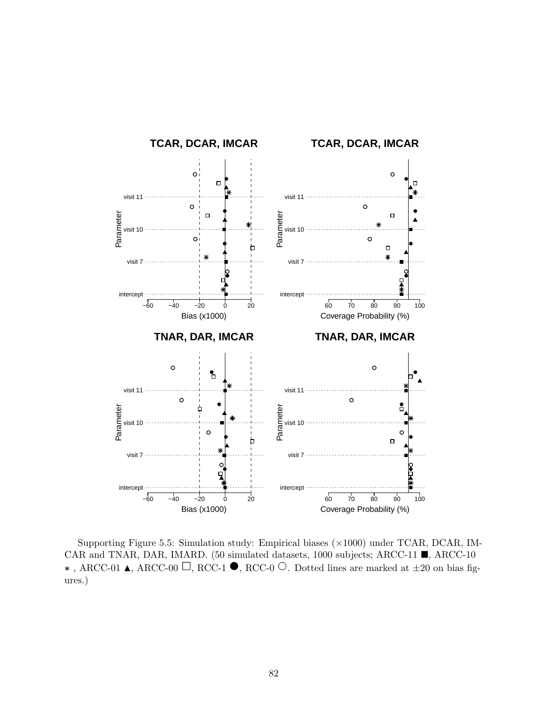

Supporting Figure 5.5: Simulation study: Empirical biases  $(\times 1000)$  under TCAR, DCAR, IM-CAR and TNAR, DAR, IMARD. (50 simulated datasets, 1000 subjects; ARCC-11  $\blacksquare$ , ARCC-10  $\star$ , ARCC-01 **△**, ARCC-00 □, RCC-1 ●, RCC-0 ○. Dotted lines are marked at  $\pm 20$  on bias figures.)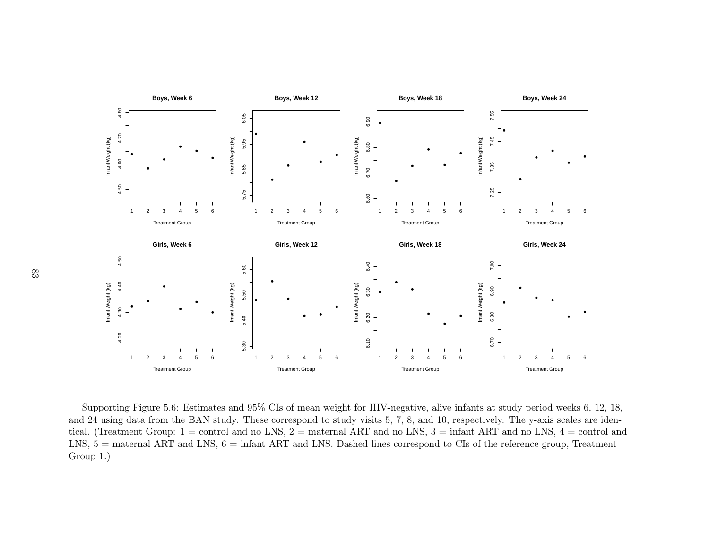

Supporting Figure 5.6: Estimates and 95% CIs of mean weight for HIV-negative, alive infants at study period weeks 6, 12, 18, and 24 using data from the BAN study. These correspond to study visits 5, 7, 8, and 10, respectively. The y-axis scales are identical. (Treatment Group: <sup>1</sup> <sup>=</sup> control and no LNS, <sup>2</sup> <sup>=</sup> maternal ART and no LNS, <sup>3</sup> <sup>=</sup> infant ART and no LNS, <sup>4</sup> <sup>=</sup> control andLNS,  $5 =$  maternal ART and LNS,  $6 =$  infant ART and LNS. Dashed lines correspond to CIs of the reference group, Treatment Group 1.)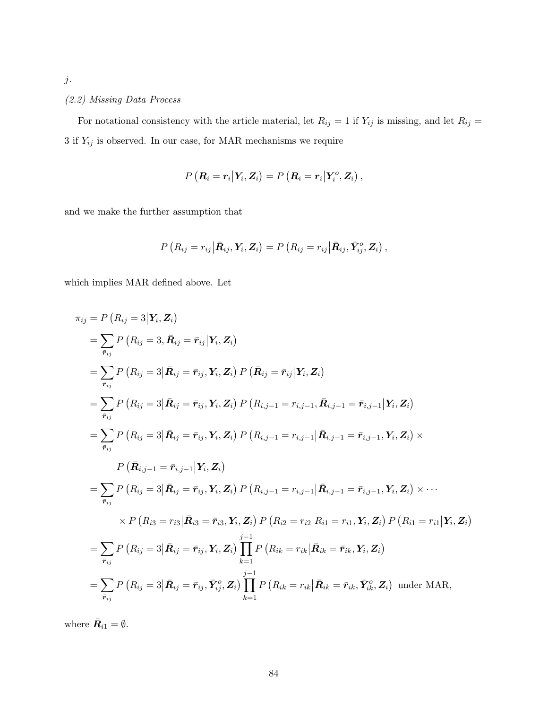# (2.2) Missing Data Process

For notational consistency with the article material, let  $R_{ij} = 1$  if  $Y_{ij}$  is missing, and let  $R_{ij} =$  $3$  if  $Y_{ij}$  is observed. In our case, for MAR mechanisms we require

$$
P\left(\boldsymbol{R}_{i}=\boldsymbol{r}_{i}\big|\boldsymbol{Y}_{i},\boldsymbol{Z}_{i}\right)=P\left(\boldsymbol{R}_{i}=\boldsymbol{r}_{i}\big|\boldsymbol{Y}_{i}^{o},\boldsymbol{Z}_{i}\right),
$$

and we make the further assumption that

$$
P\left(R_{ij}=r_{ij}\big|\bar{\boldsymbol{R}}_{ij},\boldsymbol{Y}_i,\boldsymbol{Z}_i\right)=P\left(R_{ij}=r_{ij}\big|\bar{\boldsymbol{R}}_{ij},\bar{\boldsymbol{Y}}_{ij}^o,\boldsymbol{Z}_i\right),
$$

which implies MAR defined above. Let

$$
\pi_{ij} = P(R_{ij} = 3 | Y_i, Z_i)
$$
\n
$$
= \sum_{\tilde{r}_{ij}} P(R_{ij} = 3, \tilde{R}_{ij} = \tilde{r}_{ij} | Y_i, Z_i)
$$
\n
$$
= \sum_{\tilde{r}_{ij}} P(R_{ij} = 3 | \tilde{R}_{ij} = \tilde{r}_{ij}, Y_i, Z_i) P(\tilde{R}_{ij} = \tilde{r}_{ij} | Y_i, Z_i)
$$
\n
$$
= \sum_{\tilde{r}_{ij}} P(R_{ij} = 3 | \tilde{R}_{ij} = \tilde{r}_{ij}, Y_i, Z_i) P(R_{i,j-1} = r_{i,j-1}, \tilde{R}_{i,j-1} = \tilde{r}_{i,j-1} | Y_i, Z_i)
$$
\n
$$
= \sum_{\tilde{r}_{ij}} P(R_{ij} = 3 | \tilde{R}_{ij} = \tilde{r}_{ij}, Y_i, Z_i) P(R_{i,j-1} = r_{i,j-1} | \tilde{R}_{i,j-1} = \tilde{r}_{i,j-1}, Y_i, Z_i) \times
$$
\n
$$
P(\tilde{R}_{i,j-1} = \tilde{r}_{i,j-1} | Y_i, Z_i)
$$
\n
$$
= \sum_{\tilde{r}_{ij}} P(R_{ij} = 3 | \tilde{R}_{ij} = \tilde{r}_{ij}, Y_i, Z_i) P(R_{i,j-1} = r_{i,j-1} | \tilde{R}_{i,j-1} = \tilde{r}_{i,j-1}, Y_i, Z_i) \times \cdots
$$
\n
$$
\times P(R_{i3} = r_{i3} | \tilde{R}_{i3} = \tilde{r}_{i3}, Y_i, Z_i) P(R_{i2} = r_{i2} | R_{i1} = r_{i1}, Y_i, Z_i) P(R_{i1} = r_{i1} | Y_i, Z_i)
$$
\n
$$
= \sum_{\tilde{r}_{ij}} P(R_{ij} = 3 | \tilde{R}_{ij} = \tilde{r}_{ij}, Y_i, Z_i) \prod_{k=1}^{j-1} P(R_{ik} = r_{ik} | \tilde{R}_{ik} = \tilde{r}_{ik}, Y_i, Z_i) \text{ under MAR},
$$

where  $\bar{\mathbf{R}}_{i1} = \emptyset$ .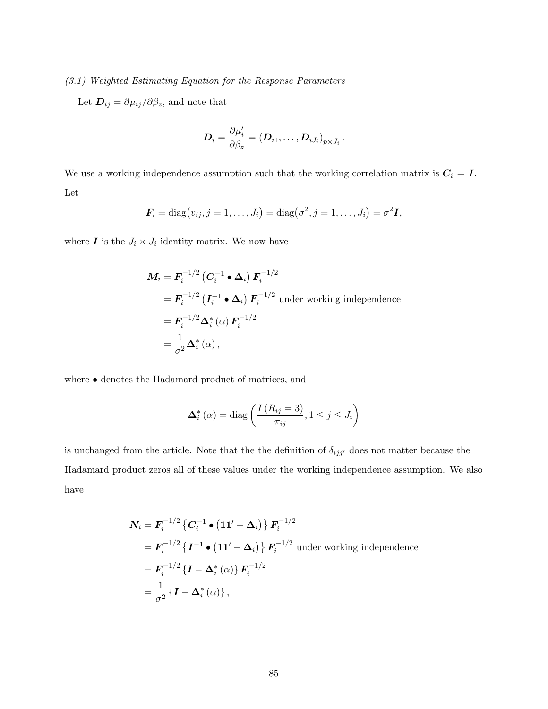# (3.1) Weighted Estimating Equation for the Response Parameters

Let  $\boldsymbol{D}_{ij} = \partial \mu_{ij} / \partial \beta_z$ , and note that

$$
\boldsymbol{D}_{i}=\frac{\partial \mu'_{i}}{\partial \beta_{z}}=\left(\boldsymbol{D}_{i1},\ldots,\boldsymbol{D}_{iJ_{i}}\right)_{p\times J_{i}}.
$$

We use a working independence assumption such that the working correlation matrix is  $C_i = I$ . Let

$$
\boldsymbol{F}_i = \text{diag}(v_{ij}, j = 1, \ldots, J_i) = \text{diag}(\sigma^2, j = 1, \ldots, J_i) = \sigma^2 \boldsymbol{I},
$$

where  $\boldsymbol{I}$  is the  $J_i \times J_i$  identity matrix. We now have

$$
M_i = F_i^{-1/2} (C_i^{-1} \cdot \Delta_i) F_i^{-1/2}
$$
  
=  $F_i^{-1/2} (I_i^{-1} \cdot \Delta_i) F_i^{-1/2}$  under working independence  
=  $F_i^{-1/2} \Delta_i^* (\alpha) F_i^{-1/2}$   
=  $\frac{1}{\sigma^2} \Delta_i^* (\alpha)$ ,

where • denotes the Hadamard product of matrices, and

$$
\Delta_i^*(\alpha) = \text{diag}\left(\frac{I(R_{ij}=3)}{\pi_{ij}}, 1 \le j \le J_i\right)
$$

is unchanged from the article. Note that the the definition of  $\delta_{ijj'}$  does not matter because the Hadamard product zeros all of these values under the working independence assumption. We also have

$$
N_i = F_i^{-1/2} \left\{ C_i^{-1} \bullet \left( 11' - \Delta_i \right) \right\} F_i^{-1/2}
$$
  
=  $F_i^{-1/2} \left\{ I^{-1} \bullet \left( 11' - \Delta_i \right) \right\} F_i^{-1/2}$  under working independence  
=  $F_i^{-1/2} \left\{ I - \Delta_i^* (\alpha) \right\} F_i^{-1/2}$   
=  $\frac{1}{\sigma^2} \left\{ I - \Delta_i^* (\alpha) \right\},$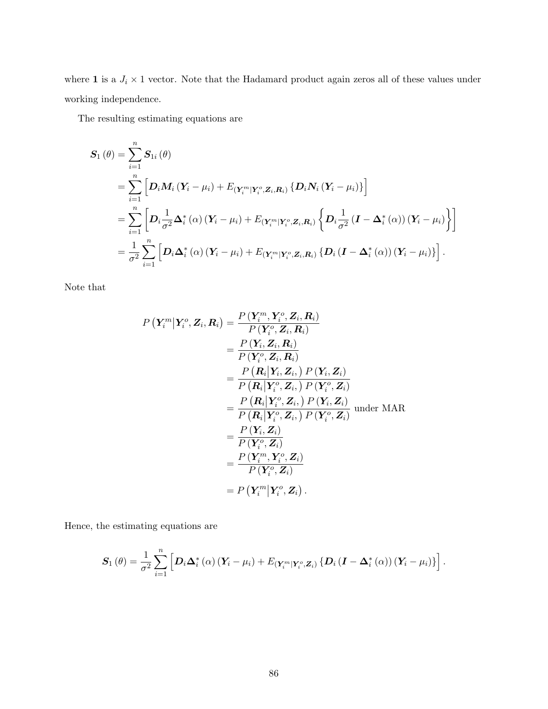where 1 is a  $J_i \times 1$  vector. Note that the Hadamard product again zeros all of these values under working independence.

The resulting estimating equations are

$$
S_{1}(\theta) = \sum_{i=1}^{n} S_{1i}(\theta)
$$
  
= 
$$
\sum_{i=1}^{n} \left[ D_{i} M_{i} (Y_{i} - \mu_{i}) + E_{(Y_{i}^{m}|Y_{i}^{o}, Z_{i}, R_{i})} \{D_{i} N_{i} (Y_{i} - \mu_{i})\} \right]
$$
  
= 
$$
\sum_{i=1}^{n} \left[ D_{i} \frac{1}{\sigma^{2}} \Delta_{i}^{*} (\alpha) (Y_{i} - \mu_{i}) + E_{(Y_{i}^{m}|Y_{i}^{o}, Z_{i}, R_{i})} \{\ D_{i} \frac{1}{\sigma^{2}} (I - \Delta_{i}^{*} (\alpha)) (Y_{i} - \mu_{i})\} \right]
$$
  
= 
$$
\frac{1}{\sigma^{2}} \sum_{i=1}^{n} \left[ D_{i} \Delta_{i}^{*} (\alpha) (Y_{i} - \mu_{i}) + E_{(Y_{i}^{m}|Y_{i}^{o}, Z_{i}, R_{i})} \{D_{i} (I - \Delta_{i}^{*} (\alpha)) (Y_{i} - \mu_{i})\} \right].
$$

Note that

$$
P\left(\mathbf{Y}_{i}^{m}|\mathbf{Y}_{i}^{o},\mathbf{Z}_{i},\mathbf{R}_{i}\right) = \frac{P\left(\mathbf{Y}_{i}^{m},\mathbf{Y}_{i}^{o},\mathbf{Z}_{i},\mathbf{R}_{i}\right)}{P\left(\mathbf{Y}_{i}^{o},\mathbf{Z}_{i},\mathbf{R}_{i}\right)}
$$
\n
$$
= \frac{P\left(\mathbf{Y}_{i},\mathbf{Z}_{i},\mathbf{R}_{i}\right)}{P\left(\mathbf{Y}_{i}^{o},\mathbf{Z}_{i},\mathbf{R}_{i}\right)}
$$
\n
$$
= \frac{P\left(\mathbf{R}_{i}|\mathbf{Y}_{i},\mathbf{Z}_{i}\right)P\left(\mathbf{Y}_{i},\mathbf{Z}_{i}\right)}{P\left(\mathbf{R}_{i}|\mathbf{Y}_{i}^{o},\mathbf{Z}_{i}\right)P\left(\mathbf{Y}_{i}^{o},\mathbf{Z}_{i}\right)}
$$
\n
$$
= \frac{P\left(\mathbf{R}_{i}|\mathbf{Y}_{i}^{o},\mathbf{Z}_{i}\right)P\left(\mathbf{Y}_{i}^{o},\mathbf{Z}_{i}\right)}{P\left(\mathbf{R}_{i}|\mathbf{Y}_{i}^{o},\mathbf{Z}_{i}\right)P\left(\mathbf{Y}_{i}^{o},\mathbf{Z}_{i}\right)} \text{ under MAR}
$$
\n
$$
= \frac{P\left(\mathbf{Y}_{i},\mathbf{Z}_{i}\right)}{P\left(\mathbf{Y}_{i}^{o},\mathbf{Z}_{i}\right)}
$$
\n
$$
= \frac{P\left(\mathbf{Y}_{i}^{m},\mathbf{Y}_{i}^{o},\mathbf{Z}_{i}\right)}{P\left(\mathbf{Y}_{i}^{o},\mathbf{Z}_{i}\right)}
$$
\n
$$
= P\left(\mathbf{Y}_{i}^{m}|\mathbf{Y}_{i}^{o},\mathbf{Z}_{i}\right).
$$

Hence, the estimating equations are

$$
\boldsymbol{S}_{1}(\theta) = \frac{1}{\sigma^{2}} \sum_{i=1}^{n} \left[ \boldsymbol{D}_{i} \boldsymbol{\Delta}_{i}^{*}(\alpha) \left( \boldsymbol{Y}_{i} - \mu_{i} \right) + E_{(\boldsymbol{Y}_{i}^{m} | \boldsymbol{Y}_{i}^{o}, \boldsymbol{Z}_{i})} \left\{ \boldsymbol{D}_{i} \left( \boldsymbol{I} - \boldsymbol{\Delta}_{i}^{*}(\alpha) \right) \left( \boldsymbol{Y}_{i} - \mu_{i} \right) \right\} \right].
$$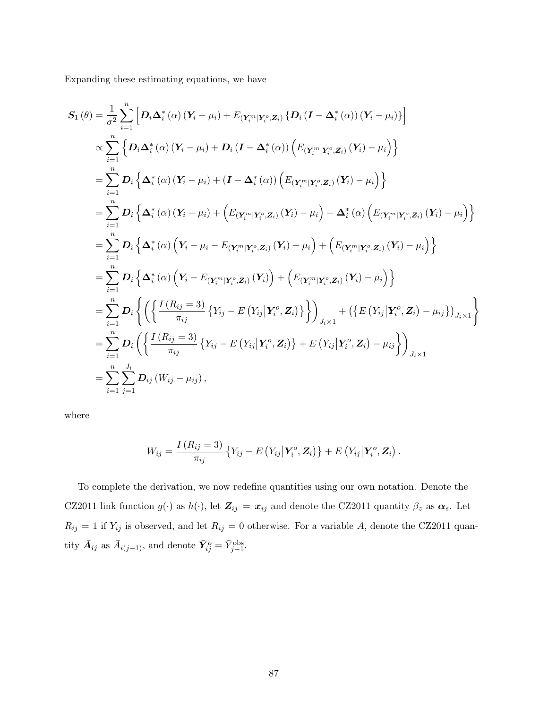Expanding these estimating equations, we have

$$
S_{1}(\theta) = \frac{1}{\sigma^{2}} \sum_{i=1}^{n} \left[ D_{i} \Delta_{i}^{*}(\alpha) (Y_{i} - \mu_{i}) + E_{(Y_{i}^{m}|Y_{i}^{o},Z_{i})} \{D_{i} (I - \Delta_{i}^{*}(\alpha)) (Y_{i} - \mu_{i})\} \right]
$$
  
\n
$$
\propto \sum_{i=1}^{n} \left\{ D_{i} \Delta_{i}^{*}(\alpha) (Y_{i} - \mu_{i}) + D_{i} (I - \Delta_{i}^{*}(\alpha)) \left( E_{(Y_{i}^{m}|Y_{i}^{o},Z_{i})} (Y_{i}) - \mu_{i} \right) \right\}
$$
  
\n
$$
= \sum_{i=1}^{n} D_{i} \left\{ \Delta_{i}^{*}(\alpha) (Y_{i} - \mu_{i}) + (I - \Delta_{i}^{*}(\alpha)) \left( E_{(Y_{i}^{m}|Y_{i}^{o},Z_{i})} (Y_{i}) - \mu_{i} \right) \right\}
$$
  
\n
$$
= \sum_{i=1}^{n} D_{i} \left\{ \Delta_{i}^{*}(\alpha) (Y_{i} - \mu_{i}) + \left( E_{(Y_{i}^{m}|Y_{i}^{o},Z_{i})} (Y_{i}) - \mu_{i} \right) - \Delta_{i}^{*}(\alpha) \left( E_{(Y_{i}^{m}|Y_{i}^{o},Z_{i})} (Y_{i}) - \mu_{i} \right) \right\}
$$
  
\n
$$
= \sum_{i=1}^{n} D_{i} \left\{ \Delta_{i}^{*}(\alpha) (Y_{i} - \mu_{i} - E_{(Y_{i}^{m}|Y_{i}^{o},Z_{i})} (Y_{i}) + \mu_{i} \right) + \left( E_{(Y_{i}^{m}|Y_{i}^{o},Z_{i})} (Y_{i}) - \mu_{i} \right) \right\}
$$
  
\n
$$
= \sum_{i=1}^{n} D_{i} \left\{ \Delta_{i}^{*}(\alpha) (Y_{i} - E_{(Y_{i}^{m}|Y_{i}^{o},Z_{i})} (Y_{i}) + \left( E_{(Y_{i}^{m}|Y_{i}^{o},Z_{i})} (Y_{i}) - \mu_{i} \right) \right\}
$$
  
\n
$$
= \sum_{i=1}^{
$$

where

$$
W_{ij} = \frac{I(R_{ij} = 3)}{\pi_{ij}} \left\{ Y_{ij} - E\left(Y_{ij} | \mathbf{Y}_i^o, \mathbf{Z}_i\right) \right\} + E\left(Y_{ij} | \mathbf{Y}_i^o, \mathbf{Z}_i\right).
$$

To complete the derivation, we now redefine quantities using our own notation. Denote the CZ2011 link function  $g(\cdot)$  as  $h(\cdot)$ , let  $\mathbf{Z}_{ij} = \mathbf{x}_{ij}$  and denote the CZ2011 quantity  $\beta_z$  as  $\alpha_s$ . Let  $R_{ij} = 1$  if  $Y_{ij}$  is observed, and let  $R_{ij} = 0$  otherwise. For a variable A, denote the CZ2011 quantity  $\bar{A}_{ij}$  as  $\bar{A}_{i(j-1)}$ , and denote  $\bar{Y}_{ij}^o = \bar{Y}_{j-1}^{\text{obs}}$ .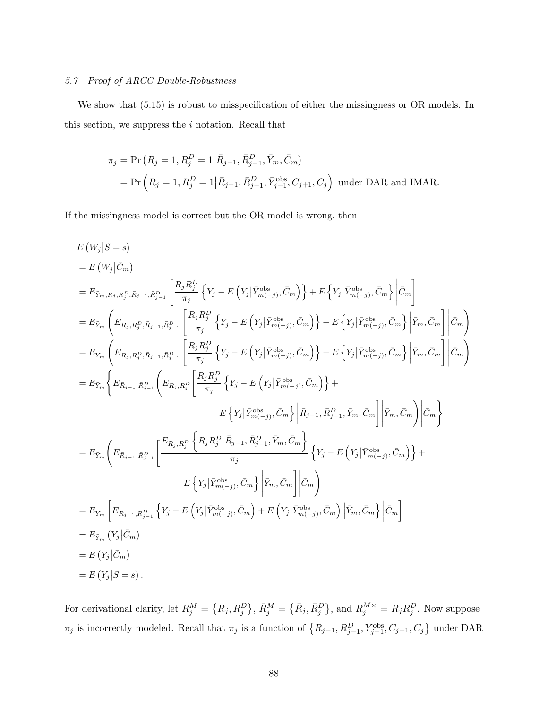# 5.7 Proof of ARCC Double-Robustness

We show that (5.15) is robust to misspecification of either the missingness or OR models. In this section, we suppress the  $i$  notation. Recall that

$$
\pi_j = \Pr(R_j = 1, R_j^D = 1 | \bar{R}_{j-1}, \bar{R}_{j-1}^D, \bar{Y}_m, \bar{C}_m)
$$
  
= 
$$
\Pr(R_j = 1, R_j^D = 1 | \bar{R}_{j-1}, \bar{R}_{j-1}^D, \bar{Y}_{j-1}^{\text{obs}}, C_{j+1}, C_j)
$$
 under DAR and IMAR.

If the missingness model is correct but the OR model is wrong, then

$$
E(W_{j}|S = s)
$$
\n
$$
= E(W_{j}|\bar{C}_{m})
$$
\n
$$
= E_{\bar{Y}_{m},R_{j},R_{j}^{D},R_{j-1},R_{j-1}^{D}} \left[ \frac{R_{j}R_{j}^{D}}{\pi_{j}} \left\{ Y_{j} - E\left(Y_{j}|\bar{Y}_{m(-j)}^{\text{obs}},\bar{C}_{m}\right) \right\} + E\left\{ Y_{j}|\bar{Y}_{m(-j)}^{\text{obs}},\bar{C}_{m}\right\} \Big| \bar{C}_{m} \right]
$$
\n
$$
= E_{\bar{Y}_{m}} \left( E_{R_{j},R_{j}^{D},\bar{R}_{j-1},\bar{R}_{j-1}^{D}} \left[ \frac{R_{j}R_{j}^{D}}{\pi_{j}} \left\{ Y_{j} - E\left(Y_{j}|\bar{Y}_{m(-j)}^{\text{obs}},\bar{C}_{m}\right) \right\} + E\left\{ Y_{j}|\bar{Y}_{m(-j)}^{\text{obs}},\bar{C}_{m}\right\} \Big| \bar{Y}_{m},\bar{C}_{m} \right] \Big| \bar{C}_{m} \right)
$$
\n
$$
= E_{\bar{Y}_{m}} \left( E_{R_{j},R_{j}^{D},\bar{R}_{j-1},\bar{R}_{j-1}^{D}} \left[ \frac{R_{j}R_{j}^{D}}{\pi_{j}} \left\{ Y_{j} - E\left(Y_{j}|\bar{Y}_{m(-j)}^{\text{obs}},\bar{C}_{m}\right) \right\} + E\left\{ Y_{j}|\bar{Y}_{m(-j)}^{\text{obs}},\bar{C}_{m}\right\} \Big| \bar{Y}_{m},\bar{C}_{m} \right] \Big| \bar{C}_{m} \right)
$$
\n
$$
= E_{\bar{Y}_{m}} \left\{ E_{\bar{R}_{j-1},\bar{R}_{j-1}^{D}} \left( E_{R_{j},R_{j}^{D}} \left[ \frac{R_{j}R_{j}^{D}}{\pi_{j}} \left\{ Y_{j} - E\left(Y_{j}|\bar{Y}_{m(-j)}^{\text{obs}},\bar{C}_{m}\right) \right\} + E\left\{ Y_{j}|\bar{Y}_{m(-j)}^{\text{obs}},\bar{C}_{m}\right\} \Big| \bar{Y}_{m},\bar{C}_{m} \right] \Big| \bar
$$

For derivational clarity, let  $R_j^M = \{R_j, R_j^D\}$ ,  $\bar{R}_j^M = \{\bar{R}_j, \bar{R}_j^D\}$ , and  $R_j^{M \times} = R_j R_j^D$ . Now suppose  $\pi_j$  is incorrectly modeled. Recall that  $\pi_j$  is a function of  $\{\bar{R}_{j-1}, \bar{R}_{j-1}^D, \bar{Y}_{j-1}^{\text{obs}}, C_{j+1}, C_j\}$  under DAR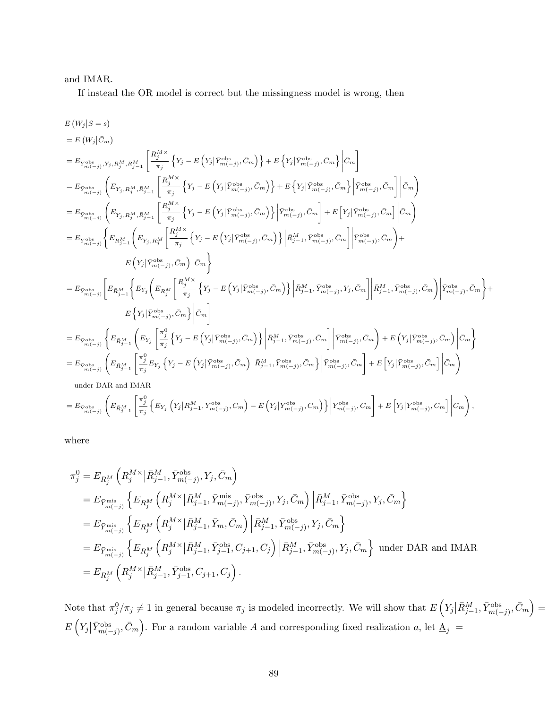# and IMAR.

If instead the OR model is correct but the missingness model is wrong, then

$$
\begin{split} &E\left(W_{j}|S=s\right)\\ &=E\left(W_{j}|\bar{C}_{m}\right)\\ &=E_{\bar{Y}_{m}^{\mathrm{obs}}},\\ &Y_{j},R_{j}^{M},\bar{R}_{j-1}^{M}\left[\frac{R_{j}^{M\times}}{\pi_{j}}\left\{Y_{j}-E\left(Y_{j}|\bar{Y}_{m}^{\mathrm{obs}},\bar{C}_{m}\right)\right\}+E\left\{Y_{j}|\bar{Y}_{m}^{\mathrm{obs}},\bar{C}_{m}\right\}\bigg|\bar{C}_{m}\right]\\ &=E_{\bar{Y}_{m}^{\mathrm{obs}}}\left(\left. E_{Y_{j},R_{j}^{M},\bar{R}_{j-1}^{M}}\left[\frac{R_{j}^{M\times}}{\pi_{j}}\left\{Y_{j}-E\left(Y_{j}|\bar{Y}_{m}^{\mathrm{obs}},\bar{C}_{m}\right)\right\}+E\left\{Y_{j}|\bar{Y}_{m}^{\mathrm{obs}},\bar{C}_{m}\right\}\bigg|\bar{Y}_{m}^{\mathrm{obs}},\bar{C}_{m}\right]\bigg|\bar{C}_{m}\right)\\ &=E_{\bar{Y}_{m}^{\mathrm{obs}}}\left(\left. E_{Y_{j},R_{j}^{M},\bar{R}_{j-1}^{M}}\left[\frac{R_{j}^{M\times}}{\pi_{j}}\left\{Y_{j}-E\left(Y_{j}|\bar{Y}_{m-1}^{\mathrm{obs}},\bar{C}_{m}\right)\right\}\bigg|\bar{Y}_{m-1}^{\mathrm{obs}},\bar{C}_{m}\right\}\bigg|\bar{Y}_{m-1}^{\mathrm{obs}},\bar{C}_{m}\right]\bigg|\bar{C}_{m}\right)\\ &=E_{\bar{Y}_{m}^{\mathrm{obs}}}\left\{\left. E_{\bar{R}_{j-1}^{M}}\left(E_{Y_{j},R_{j}^{M},\bar{R}_{j-1}^{M}}\left[\frac{R_{j}^{M\times}}{\pi_{j}}\left\{Y_{j}-E\left(Y_{j}|\bar{Y}_{m-1}^{\mathrm{obs}},\bar{C}_{m}\right)\right\}\bigg|\bar{R}_{j-1}^{\mathrm{obs}},\bar{C}_{m}\right\}-E\left[Y_{j}|\bar{Y}_{m-1}^{\mathrm{obs}},\bar{C}_{m}\right]\bigg|\bar{C}_{m}\right)\\ &=E_{\bar{Y}_{m}^{\mathrm{obs}}}\left[\left. E_{\bar{R}_{j-1}^{M}}\left\
$$

where

$$
\begin{split} &\pi_{j}^{0} = E_{R_{j}^{M}}\left(R_{j}^{M\times}\big|\bar{R}_{j-1}^{M},\bar{Y}_{m(-j)}^{\text{obs}},Y_{j},\bar{C}_{m}\right) \\ &= E_{\bar{Y}_{m(s-j)}^{\text{mis}}}\left\{E_{R_{j}^{M}}\left(R_{j}^{M\times}\big|\bar{R}_{j-1}^{M},\bar{Y}_{m(-j)}^{\text{mis}},\bar{Y}_{m(-j)}^{\text{obs}},Y_{j},\bar{C}_{m}\right)\big|\bar{R}_{j-1}^{M},\bar{Y}_{m(-j)}^{\text{obs}},Y_{j},\bar{C}_{m}\right\} \\ &= E_{\bar{Y}_{m(s-j)}^{\text{mis}}}\left\{E_{R_{j}^{M}}\left(R_{j}^{M\times}\big|\bar{R}_{j-1}^{M},\bar{Y}_{m},\bar{C}_{m}\right)\big|\bar{R}_{j-1}^{M},\bar{Y}_{m(-j)}^{\text{obs}},Y_{j},\bar{C}_{m}\right\} \\ &= E_{\bar{Y}_{m(s-j)}^{\text{mis}}}\left\{E_{R_{j}^{M}}\left(R_{j}^{M\times}\big|\bar{R}_{j-1}^{M},\bar{Y}_{j-1}^{\text{obs}},C_{j+1},C_{j}\right)\big|\bar{R}_{j-1}^{M},\bar{Y}_{m(-j)}^{\text{obs}},Y_{j},\bar{C}_{m}\right\} \text{ under DAR and IMAR} \\ &= E_{R_{j}^{M}}\left(R_{j}^{M\times}\big|\bar{R}_{j-1}^{M},\bar{Y}_{j-1}^{\text{obs}},C_{j+1},C_{j}\right). \end{split}
$$

Note that  $\pi_j^0/\pi_j \neq 1$  in general because  $\pi_j$  is modeled incorrectly. We will show that  $E\left(Y_j | \bar{R}_{j-1}^M, \bar{Y}_{m(-j)}^{\text{obs}}, \bar{C}_m\right) =$  $E\left(Y_j|\bar{Y}_{m(-j)}^{\text{obs}}, \bar{C}_m\right)$ . For a random variable A and corresponding fixed realization a, let  $\underline{A}_j =$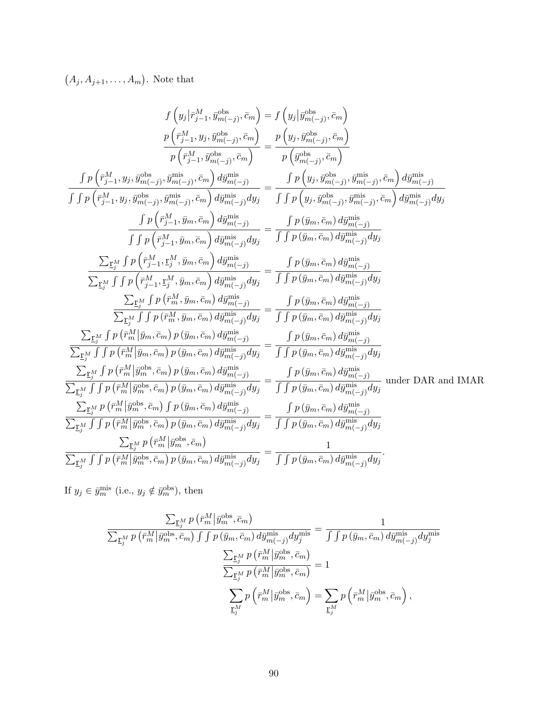$(A_j, A_{j+1}, \ldots, A_m)$ . Note that

$$
f\left(y_{j}|\bar{r}_{j-1}^{M}, \bar{y}_{m(-j)}^{obs}, \bar{c}_{m}\right) = f\left(y_{j} | y_{jm}^{obs}\right)
$$
\n
$$
\frac{p\left(\bar{r}_{j-1}^{M}, y_{j}, \bar{y}_{m(-j)}^{obs}, \bar{c}_{m}\right)}{p\left(\bar{r}_{j-1}^{M}, \bar{y}_{m(-j)}^{obs}, \bar{c}_{m}\right)} = \frac{p\left(y_{j}, \bar{y}_{m(-j)}^{obs}, \bar{c}_{m}\right)}{p\left(\bar{y}_{m(-j)}^{obs}, \bar{c}_{m}\right)}
$$
\n
$$
\frac{f\left(p_{j-1}^{M}, y_{j}, \bar{y}_{m(-j)}^{obs}, \bar{c}_{m}\right)}{f\left(\bar{r}_{j-1}^{M}, y_{j}, \bar{y}_{m(-j)}^{obs}, \bar{c}_{m}\right) d\bar{y}_{m(-j)}^{mis}} = \frac{f\left(y_{j}, \bar{y}_{m(-j)}^{obs}, \bar{c}_{m}\right)}{f\left(\bar{y}_{j}, \bar{c}_{j-1}, \bar{y}_{m(-j)}^{obs}, \bar{c}_{m}\right) d\bar{y}_{m(-j)}^{mis}}
$$
\n
$$
\frac{f\left(p_{j-1}^{M}, y_{j}, \bar{y}_{m(-j)}^{obs}, \bar{y}_{m(-j)}^{mis}, \bar{c}_{m}\right) d\bar{y}_{m(-j)}^{mis}}{f\left(\bar{r}_{j-1}^{M}, \bar{y}_{m}, \bar{c}_{m}\right) d\bar{y}_{m(-j)}^{mis}} = \frac{f\left(y_{j}, \bar{y}_{m(S)}^{obs}, \bar{y}_{m(S)}^{mis}, \bar{c}_{m}\right) d\bar{y}_{m(-j)}^{mis}}{f\left(\bar{y}_{j}, \bar{y}_{j}, \bar{c}_{m}\right) d\bar{y}_{m(-j)}^{mis}}
$$
\n
$$
\frac{\sum_{\Gamma_{j}^{M}} f\left(p\left(\bar{r}_{j-1}^{M}, \bar{y}_{m}, \bar{c}_{m}\right) d\bar{y}_{m(-j)}^{mis}}{f\left(\bar{y}_{j}, \bar{y}_{m}, \bar{c}_{m}\right) d\bar{y}_{m(-j)}^{mis}}
$$
\n
$$
\frac{\sum_{\Gamma_{j}^{M}} f\left(p\left(\bar{r}_{j-1}^{M}, \bar{y}_{m}, \
$$

If  $y_j \in \bar{y}_m^{\text{mis}}$  (i.e.,  $y_j \notin \bar{y}_m^{\text{obs}}$ ), then

$$
\frac{\sum_{\underline{\mathbf{r}}_{j}^{M}} p\left(\bar{r}_{m}^{M} \middle| \bar{y}_{m}^{\text{obs}}, \bar{c}_{m}\right)}{\sum_{\underline{\mathbf{r}}_{j}^{M}} p\left(\bar{r}_{m}^{M} \middle| \bar{y}_{m}^{\text{obs}}, \bar{c}_{m}\right) \int \int p\left(\bar{y}_{m}, \bar{c}_{m}\right) d\bar{y}_{m(-j)}^{\text{mis}} d y_{j}^{\text{mis}} = \frac{1}{\int \int p\left(\bar{y}_{m}, \bar{c}_{m}\right) d\bar{y}_{m(-j)}^{\text{mis}} d y_{j}^{\text{mis}}}{\sum_{\underline{\mathbf{r}}_{j}^{M}} p\left(\bar{r}_{m}^{M} \middle| \bar{y}_{m}^{\text{obs}}, \bar{c}_{m}\right)} = 1
$$

$$
\sum_{\underline{\mathbf{r}}_{j}^{M}} p\left(\bar{r}_{m}^{M} \middle| \bar{y}_{m}^{\text{obs}}, \bar{c}_{m}\right) = \sum_{\underline{\mathbf{r}}_{j}^{M}} p\left(\bar{r}_{m}^{M} \middle| \bar{y}_{m}^{\text{obs}}, \bar{c}_{m}\right),
$$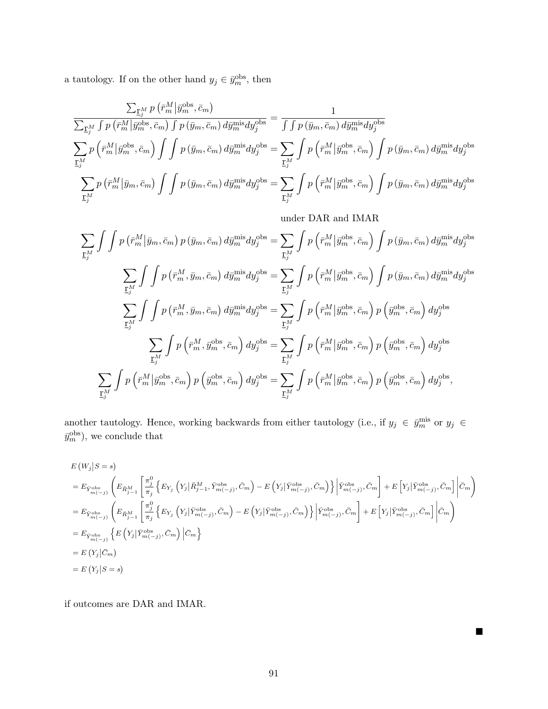a tautology. If on the other hand  $y_j \in \bar{y}_m^{\text{obs}}$ , then

$$
\frac{\sum_{\underline{\mathbf{r}}_{j}^{M}} p\left(\bar{r}_{m}^{M}|\bar{y}_{m}^{\text{obs}},\bar{c}_{m}\right)}{\sum_{\underline{\mathbf{r}}_{j}^{M}} \int p\left(\bar{r}_{m}^{M}|\bar{y}_{m}^{\text{obs}},\bar{c}_{m}\right) \int p\left(\bar{y}_{m},\bar{c}_{m}\right) d\bar{y}_{m}^{\text{mis}} dy_{j}^{\text{obs}}} = \frac{1}{\int \int p\left(\bar{y}_{m},\bar{c}_{m}\right) d\bar{y}_{m}^{\text{mis}} dy_{j}^{\text{obs}}}
$$
\n
$$
\sum_{\underline{\mathbf{r}}_{j}^{M}} p\left(\bar{r}_{m}^{M}|\bar{y}_{m}^{\text{obs}},\bar{c}_{m}\right) \int \int p\left(\bar{y}_{m},\bar{c}_{m}\right) d\bar{y}_{m}^{\text{mis}} dy_{j}^{\text{obs}} = \sum_{\underline{\mathbf{r}}_{j}^{M}} \int p\left(\bar{r}_{m}^{M}|\bar{y}_{m}^{\text{obs}},\bar{c}_{m}\right) \int p\left(\bar{y}_{m},\bar{c}_{m}\right) d\bar{y}_{m}^{\text{mis}} dy_{j}^{\text{obs}}
$$
\n
$$
\sum_{\underline{\mathbf{r}}_{j}^{M}} p\left(\bar{r}_{m}^{M}|\bar{y}_{m},\bar{c}_{m}\right) \int \int p\left(\bar{y}_{m},\bar{c}_{m}\right) d\bar{y}_{m}^{\text{mis}} dy_{j}^{\text{obs}} = \sum_{\underline{\mathbf{r}}_{j}^{M}} \int p\left(\bar{r}_{m}^{M}|\bar{y}_{m}^{\text{obs}},\bar{c}_{m}\right) \int p\left(\bar{y}_{m},\bar{c}_{m}\right) d\bar{y}_{m}^{\text{mis}} dy_{j}^{\text{obs}}
$$

under DAR and IMAR

$$
\sum_{\substack{\mathbf{r}_{j}^{M}}} \int \int p(\bar{r}_{m}^{M}|\bar{y}_{m},\bar{c}_{m}) p(\bar{y}_{m},\bar{c}_{m}) d\bar{y}_{m}^{\text{mis}} dy_{j}^{\text{obs}} = \sum_{\substack{\mathbf{r}_{j}^{M}}} \int p(\bar{r}_{m}^{M}|\bar{y}_{m}^{\text{obs}},\bar{c}_{m}) \int p(\bar{y}_{m},\bar{c}_{m}) d\bar{y}_{m}^{\text{mis}} dy_{j}^{\text{obs}}
$$
\n
$$
\sum_{\substack{\mathbf{r}_{j}^{M}}} \int \int p(\bar{r}_{m}^{M},\bar{y}_{m},\bar{c}_{m}) d\bar{y}_{m}^{\text{mis}} dy_{j}^{\text{obs}} = \sum_{\substack{\mathbf{r}_{j}^{M}}} \int p(\bar{r}_{m}^{M}|\bar{y}_{m}^{\text{obs}},\bar{c}_{m}) \int p(\bar{y}_{m},\bar{c}_{m}) d\bar{y}_{m}^{\text{mis}} dy_{j}^{\text{obs}}
$$
\n
$$
\sum_{\substack{\mathbf{r}_{j}^{M}}} \int \int p(\bar{r}_{m}^{M},\bar{y}_{m},\bar{c}_{m}) d\bar{y}_{m}^{\text{mis}} dy_{j}^{\text{obs}} = \sum_{\substack{\mathbf{r}_{j}^{M}}} \int p(\bar{r}_{m}^{M}|\bar{y}_{m}^{\text{obs}},\bar{c}_{m}) p(\bar{y}_{m}^{\text{obs}},\bar{c}_{m}) dy_{j}^{\text{obs}}
$$
\n
$$
\sum_{\substack{\mathbf{r}_{j}^{M}}} \int p(\bar{r}_{m}^{M},\bar{y}_{m}^{\text{obs}},\bar{c}_{m}) dy_{j}^{\text{obs}} = \sum_{\substack{\mathbf{r}_{j}^{M}}} \int p(\bar{r}_{m}^{M}|\bar{y}_{m}^{\text{obs}},\bar{c}_{m}) p(\bar{y}_{m}^{\text{obs}},\bar{c}_{m}) dy_{j}^{\text{obs}}
$$
\n
$$
\sum_{\substack{\mathbf{r}_{j}^{M}}} \int p(\bar{r}_{m}^{M}|\bar{y}_{m}^{\text{obs}},\bar{c}_{m}) p(\bar{y}_{m}^{\text{obs}},\bar{c}_{m}) y_{j}^{\text{obs}},
$$
\n
$$
\sum_{\sub
$$

another tautology. Hence, working backwards from either tautology (i.e., if  $y_j \in \bar{y}_m^{\text{mis}}$  or  $y_j \in$  $(\bar{y}_m^{\text{obs}})$ , we conclude that

$$
E(W_j|S=s)
$$
\n
$$
= E_{\bar{Y}_{m(-j)}} \left( E_{\bar{R}_{j-1}^M} \left[ \frac{\pi_j^0}{\pi_j} \left\{ E_{Y_j} \left( Y_j | \bar{R}_{j-1}^M, \bar{Y}_{m(-j)}^{obs}, \bar{C}_m \right) - E \left( Y_j | \bar{Y}_{m(-j)}^{obs}, \bar{C}_m \right) \right\} \middle| \bar{Y}_{m(-j)}^{obs}, \bar{C}_m \right] + E \left[ Y_j | \bar{Y}_{m(-j)}^{obs}, \bar{C}_m \right] \middle| \bar{C}_m \right)
$$
\n
$$
= E_{\bar{Y}_{m(-j)}} \left( E_{\bar{R}_{j-1}^M} \left[ \frac{\pi_j^0}{\pi_j} \left\{ E_{Y_j} \left( Y_j | \bar{Y}_{m(-j)}^{obs}, \bar{C}_m \right) - E \left( Y_j | \bar{Y}_{m(-j)}^{obs}, \bar{C}_m \right) \right\} \middle| \bar{Y}_{m(-j)}^{obs}, \bar{C}_m \right] + E \left[ Y_j | \bar{Y}_{m(-j)}^{obs}, \bar{C}_m \right] \middle| \bar{C}_m \right)
$$
\n
$$
= E_{\bar{Y}_{m(-j)}} \left\{ E \left( Y_j | \bar{Y}_{m(-j)}^{obs}, \bar{C}_m \right) \middle| \bar{C}_m \right\}
$$
\n
$$
= E \left( Y_j | \bar{C}_m \right)
$$
\n
$$
= E \left( Y_j | S = s \right)
$$

if outcomes are DAR and IMAR.

 $\blacksquare$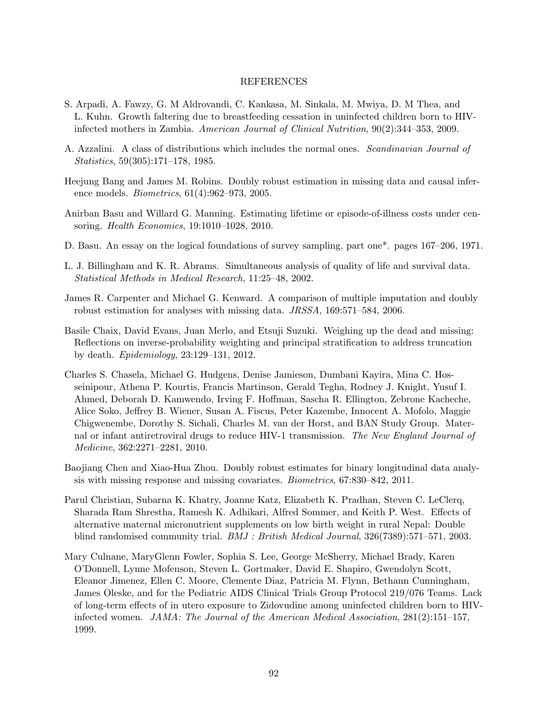## REFERENCES

- S. Arpadi, A. Fawzy, G. M Aldrovandi, C. Kankasa, M. Sinkala, M. Mwiya, D. M Thea, and L. Kuhn. Growth faltering due to breastfeeding cessation in uninfected children born to HIVinfected mothers in Zambia. American Journal of Clinical Nutrition, 90(2):344–353, 2009.
- A. Azzalini. A class of distributions which includes the normal ones. Scandinavian Journal of Statistics, 59(305):171–178, 1985.
- Heejung Bang and James M. Robins. Doubly robust estimation in missing data and causal inference models. Biometrics, 61(4):962–973, 2005.
- Anirban Basu and Willard G. Manning. Estimating lifetime or episode-of-illness costs under censoring. Health Economics, 19:1010–1028, 2010.
- D. Basu. An essay on the logical foundations of survey sampling, part one\*. pages 167–206, 1971.
- L. J. Billingham and K. R. Abrams. Simultaneous analysis of quality of life and survival data. Statistical Methods in Medical Research, 11:25–48, 2002.
- James R. Carpenter and Michael G. Kenward. A comparison of multiple imputation and doubly robust estimation for analyses with missing data. JRSSA, 169:571–584, 2006.
- Basile Chaix, David Evans, Juan Merlo, and Etsuji Suzuki. Weighing up the dead and missing: Reflections on inverse-probability weighting and principal stratification to address truncation by death. Epidemiology, 23:129–131, 2012.
- Charles S. Chasela, Michael G. Hudgens, Denise Jamieson, Dumbani Kayira, Mina C. Hosseinipour, Athena P. Kourtis, Francis Martinson, Gerald Tegha, Rodney J. Knight, Yusuf I. Ahmed, Deborah D. Kamwendo, Irving F. Hoffman, Sascha R. Ellington, Zebrone Kacheche, Alice Soko, Jeffrey B. Wiener, Susan A. Fiscus, Peter Kazembe, Innocent A. Mofolo, Maggie Chigwenembe, Dorothy S. Sichali, Charles M. van der Horst, and BAN Study Group. Maternal or infant antiretroviral drugs to reduce HIV-1 transmission. The New England Journal of Medicine, 362:2271–2281, 2010.
- Baojiang Chen and Xiao-Hua Zhou. Doubly robust estimates for binary longitudinal data analysis with missing response and missing covariates. Biometrics, 67:830–842, 2011.
- Parul Christian, Subarna K. Khatry, Joanne Katz, Elizabeth K. Pradhan, Steven C. LeClerq, Sharada Ram Shrestha, Ramesh K. Adhikari, Alfred Sommer, and Keith P. West. Effects of alternative maternal micronutrient supplements on low birth weight in rural Nepal: Double blind randomised community trial. BMJ : British Medical Journal, 326(7389):571–571, 2003.
- Mary Culnane, MaryGlenn Fowler, Sophia S. Lee, George McSherry, Michael Brady, Karen O'Donnell, Lynne Mofenson, Steven L. Gortmaker, David E. Shapiro, Gwendolyn Scott, Eleanor Jimenez, Ellen C. Moore, Clemente Diaz, Patricia M. Flynn, Bethann Cunningham, James Oleske, and for the Pediatric AIDS Clinical Trials Group Protocol 219/076 Teams. Lack of long-term effects of in utero exposure to Zidovudine among uninfected children born to HIVinfected women. JAMA: The Journal of the American Medical Association, 281(2):151–157, 1999.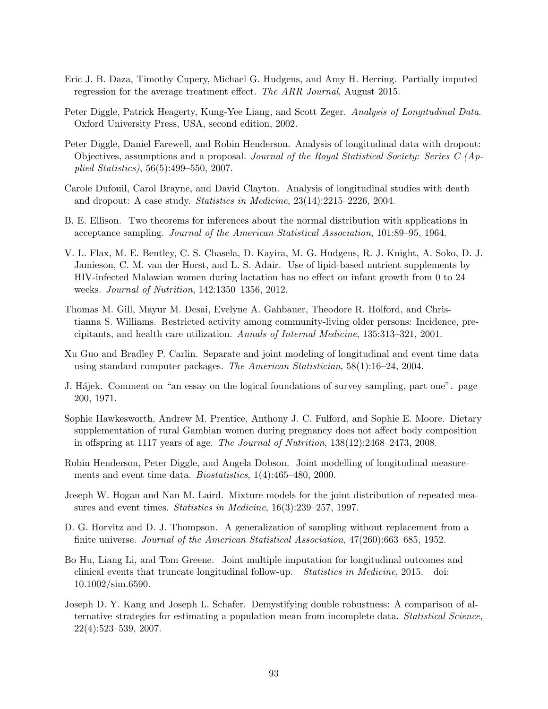- Eric J. B. Daza, Timothy Cupery, Michael G. Hudgens, and Amy H. Herring. Partially imputed regression for the average treatment effect. The ARR Journal, August 2015.
- Peter Diggle, Patrick Heagerty, Kung-Yee Liang, and Scott Zeger. Analysis of Longitudinal Data. Oxford University Press, USA, second edition, 2002.
- Peter Diggle, Daniel Farewell, and Robin Henderson. Analysis of longitudinal data with dropout: Objectives, assumptions and a proposal. Journal of the Royal Statistical Society: Series  $C(Ap)$ plied Statistics), 56(5):499–550, 2007.
- Carole Dufouil, Carol Brayne, and David Clayton. Analysis of longitudinal studies with death and dropout: A case study. Statistics in Medicine, 23(14):2215–2226, 2004.
- B. E. Ellison. Two theorems for inferences about the normal distribution with applications in acceptance sampling. Journal of the American Statistical Association, 101:89–95, 1964.
- V. L. Flax, M. E. Bentley, C. S. Chasela, D. Kayira, M. G. Hudgens, R. J. Knight, A. Soko, D. J. Jamieson, C. M. van der Horst, and L. S. Adair. Use of lipid-based nutrient supplements by HIV-infected Malawian women during lactation has no effect on infant growth from 0 to 24 weeks. Journal of Nutrition, 142:1350–1356, 2012.
- Thomas M. Gill, Mayur M. Desai, Evelyne A. Gahbauer, Theodore R. Holford, and Christianna S. Williams. Restricted activity among community-living older persons: Incidence, precipitants, and health care utilization. Annals of Internal Medicine, 135:313–321, 2001.
- Xu Guo and Bradley P. Carlin. Separate and joint modeling of longitudinal and event time data using standard computer packages. The American Statistician, 58(1):16–24, 2004.
- J. Hajek. Comment on "an essay on the logical foundations of survey sampling, part one". page 200, 1971.
- Sophie Hawkesworth, Andrew M. Prentice, Anthony J. C. Fulford, and Sophie E. Moore. Dietary supplementation of rural Gambian women during pregnancy does not affect body composition in offspring at 1117 years of age. The Journal of Nutrition, 138(12):2468–2473, 2008.
- Robin Henderson, Peter Diggle, and Angela Dobson. Joint modelling of longitudinal measurements and event time data. Biostatistics, 1(4):465–480, 2000.
- Joseph W. Hogan and Nan M. Laird. Mixture models for the joint distribution of repeated measures and event times. Statistics in Medicine, 16(3):239–257, 1997.
- D. G. Horvitz and D. J. Thompson. A generalization of sampling without replacement from a finite universe. Journal of the American Statistical Association, 47(260):663–685, 1952.
- Bo Hu, Liang Li, and Tom Greene. Joint multiple imputation for longitudinal outcomes and clinical events that truncate longitudinal follow-up. Statistics in Medicine, 2015. doi: 10.1002/sim.6590.
- Joseph D. Y. Kang and Joseph L. Schafer. Demystifying double robustness: A comparison of alternative strategies for estimating a population mean from incomplete data. Statistical Science, 22(4):523–539, 2007.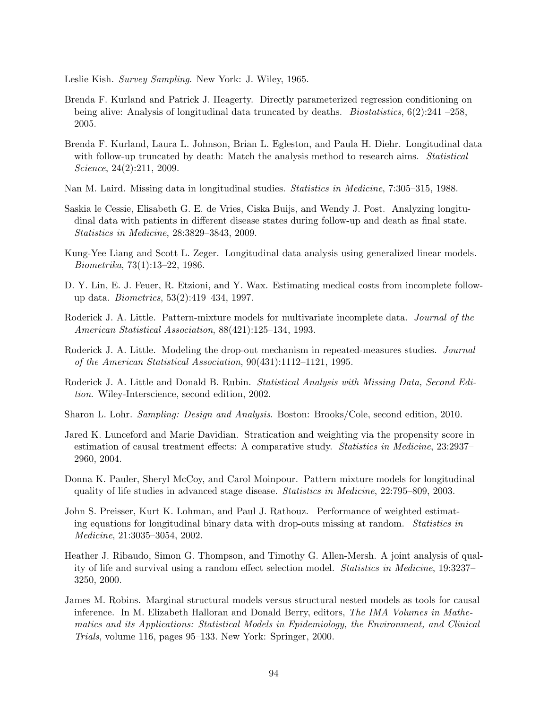Leslie Kish. Survey Sampling. New York: J. Wiley, 1965.

- Brenda F. Kurland and Patrick J. Heagerty. Directly parameterized regression conditioning on being alive: Analysis of longitudinal data truncated by deaths. *Biostatistics*,  $6(2):241 - 258$ , 2005.
- Brenda F. Kurland, Laura L. Johnson, Brian L. Egleston, and Paula H. Diehr. Longitudinal data with follow-up truncated by death: Match the analysis method to research aims. Statistical Science, 24(2):211, 2009.
- Nan M. Laird. Missing data in longitudinal studies. Statistics in Medicine, 7:305–315, 1988.
- Saskia le Cessie, Elisabeth G. E. de Vries, Ciska Buijs, and Wendy J. Post. Analyzing longitudinal data with patients in different disease states during follow-up and death as final state. Statistics in Medicine, 28:3829–3843, 2009.
- Kung-Yee Liang and Scott L. Zeger. Longitudinal data analysis using generalized linear models. Biometrika, 73(1):13–22, 1986.
- D. Y. Lin, E. J. Feuer, R. Etzioni, and Y. Wax. Estimating medical costs from incomplete followup data. Biometrics, 53(2):419–434, 1997.
- Roderick J. A. Little. Pattern-mixture models for multivariate incomplete data. Journal of the American Statistical Association, 88(421):125–134, 1993.
- Roderick J. A. Little. Modeling the drop-out mechanism in repeated-measures studies. Journal of the American Statistical Association, 90(431):1112–1121, 1995.
- Roderick J. A. Little and Donald B. Rubin. Statistical Analysis with Missing Data, Second Edition. Wiley-Interscience, second edition, 2002.
- Sharon L. Lohr. Sampling: Design and Analysis. Boston: Brooks/Cole, second edition, 2010.
- Jared K. Lunceford and Marie Davidian. Stratication and weighting via the propensity score in estimation of causal treatment effects: A comparative study. Statistics in Medicine, 23:2937– 2960, 2004.
- Donna K. Pauler, Sheryl McCoy, and Carol Moinpour. Pattern mixture models for longitudinal quality of life studies in advanced stage disease. Statistics in Medicine, 22:795–809, 2003.
- John S. Preisser, Kurt K. Lohman, and Paul J. Rathouz. Performance of weighted estimating equations for longitudinal binary data with drop-outs missing at random. Statistics in Medicine, 21:3035–3054, 2002.
- Heather J. Ribaudo, Simon G. Thompson, and Timothy G. Allen-Mersh. A joint analysis of quality of life and survival using a random effect selection model. Statistics in Medicine, 19:3237– 3250, 2000.
- James M. Robins. Marginal structural models versus structural nested models as tools for causal inference. In M. Elizabeth Halloran and Donald Berry, editors, The IMA Volumes in Mathematics and its Applications: Statistical Models in Epidemiology, the Environment, and Clinical Trials, volume 116, pages 95–133. New York: Springer, 2000.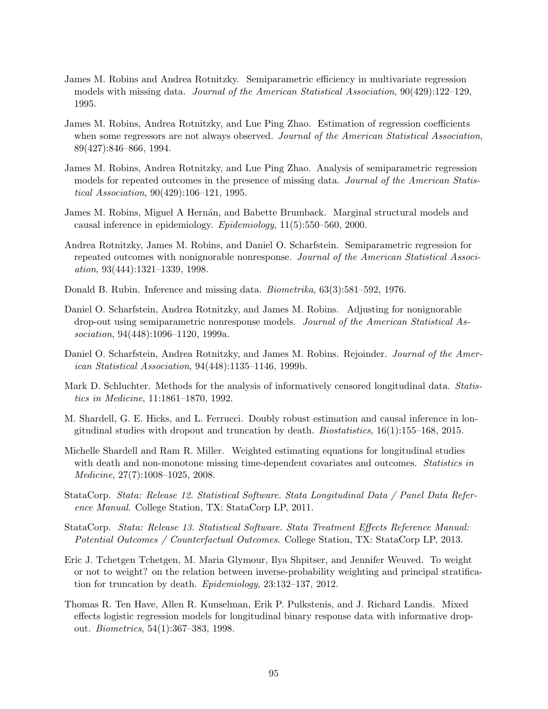- James M. Robins and Andrea Rotnitzky. Semiparametric efficiency in multivariate regression models with missing data. Journal of the American Statistical Association, 90(429):122–129, 1995.
- James M. Robins, Andrea Rotnitzky, and Lue Ping Zhao. Estimation of regression coefficients when some regressors are not always observed. Journal of the American Statistical Association, 89(427):846–866, 1994.
- James M. Robins, Andrea Rotnitzky, and Lue Ping Zhao. Analysis of semiparametric regression models for repeated outcomes in the presence of missing data. Journal of the American Statistical Association, 90(429):106–121, 1995.
- James M. Robins, Miguel A Hernán, and Babette Brumback. Marginal structural models and causal inference in epidemiology. Epidemiology, 11(5):550–560, 2000.
- Andrea Rotnitzky, James M. Robins, and Daniel O. Scharfstein. Semiparametric regression for repeated outcomes with nonignorable nonresponse. Journal of the American Statistical Association, 93(444):1321–1339, 1998.
- Donald B. Rubin. Inference and missing data. Biometrika, 63(3):581–592, 1976.
- Daniel O. Scharfstein, Andrea Rotnitzky, and James M. Robins. Adjusting for nonignorable drop-out using semiparametric nonresponse models. Journal of the American Statistical Association, 94(448):1096-1120, 1999a.
- Daniel O. Scharfstein, Andrea Rotnitzky, and James M. Robins. Rejoinder. Journal of the American Statistical Association, 94(448):1135–1146, 1999b.
- Mark D. Schluchter. Methods for the analysis of informatively censored longitudinal data. Statistics in Medicine, 11:1861–1870, 1992.
- M. Shardell, G. E. Hicks, and L. Ferrucci. Doubly robust estimation and causal inference in longitudinal studies with dropout and truncation by death. *Biostatistics*,  $16(1):155-168$ ,  $2015$ .
- Michelle Shardell and Ram R. Miller. Weighted estimating equations for longitudinal studies with death and non-monotone missing time-dependent covariates and outcomes. *Statistics in* Medicine, 27(7):1008–1025, 2008.
- StataCorp. Stata: Release 12. Statistical Software. Stata Longitudinal Data / Panel Data Reference Manual. College Station, TX: StataCorp LP, 2011.
- StataCorp. Stata: Release 13. Statistical Software. Stata Treatment Effects Reference Manual: Potential Outcomes / Counterfactual Outcomes. College Station, TX: StataCorp LP, 2013.
- Eric J. Tchetgen Tchetgen, M. Maria Glymour, Ilya Shpitser, and Jennifer Weuved. To weight or not to weight? on the relation between inverse-probability weighting and principal stratification for truncation by death. Epidemiology, 23:132–137, 2012.
- Thomas R. Ten Have, Allen R. Kunselman, Erik P. Pulkstenis, and J. Richard Landis. Mixed effects logistic regression models for longitudinal binary response data with informative dropout. Biometrics, 54(1):367–383, 1998.